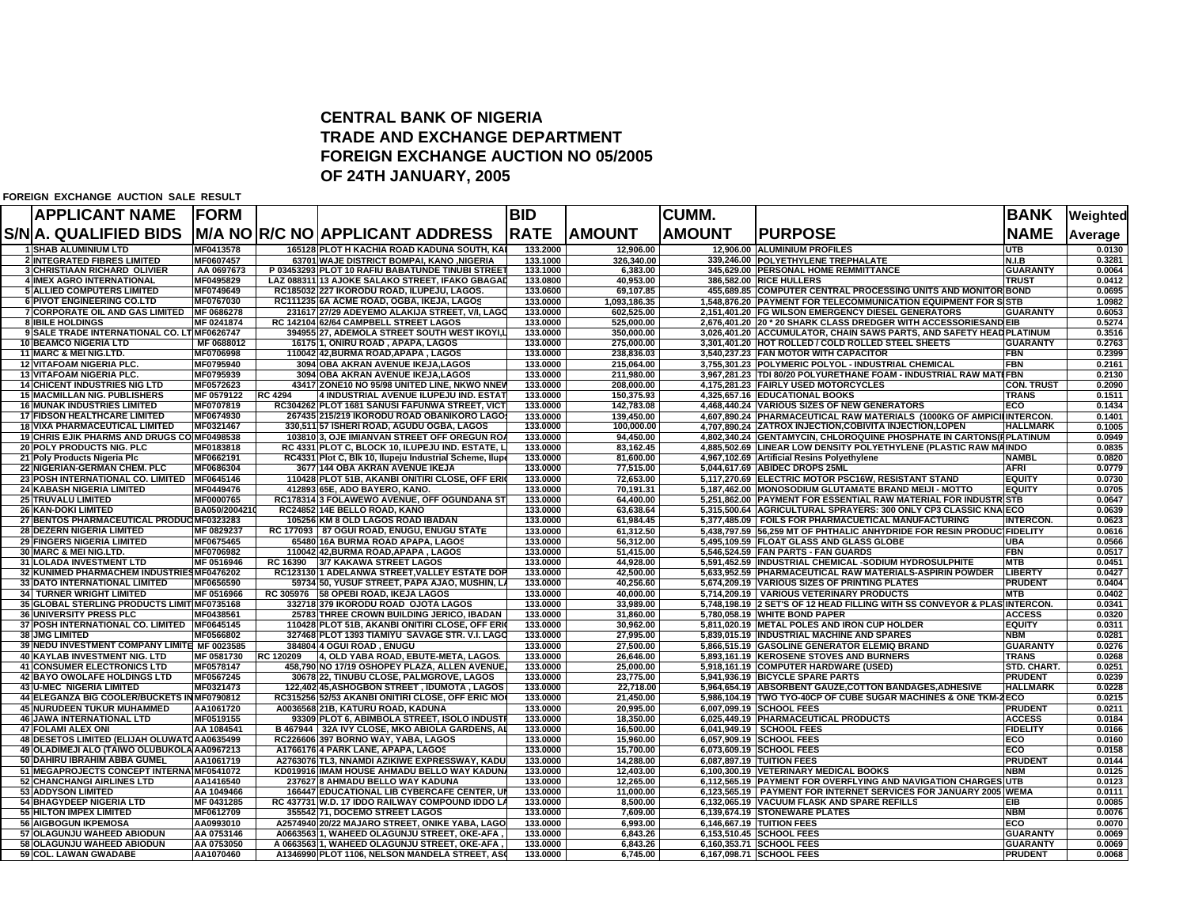## **CENTRAL BANK OF NIGERIA TRADE AND EXCHANGE DEPARTMENT FOREIGN EXCHANGE AUCTION NO 05/2005OF 24TH JANUARY, 2005**

**FOREIGN EXCHANGE AUCTION SALE RESULT**

| <b>APPLICANT NAME</b>                                    | <b>FORM</b>              |                |                                                                                             | <b>BID</b>           |                        | <b>CUMM.</b>  |                                                                                                              | <b>BANK</b>                    | Weighted         |
|----------------------------------------------------------|--------------------------|----------------|---------------------------------------------------------------------------------------------|----------------------|------------------------|---------------|--------------------------------------------------------------------------------------------------------------|--------------------------------|------------------|
| S/NA. QUALIFIED BIDS                                     |                          |                | <b>M/A NO R/C NO APPLICANT ADDRESS</b>                                                      | <b>RATE</b>          | <b>AMOUNT</b>          | <b>AMOUNT</b> | <b>IPURPOSE</b>                                                                                              | <b>NAME</b>                    | Average          |
| <b>1 SHAB ALUMINIUM LTD</b>                              | MF0413578                |                | 165128 PLOT H KACHIA ROAD KADUNA SOUTH, KA                                                  | 133.2000             | 12,906.00              |               | 12,906.00 ALUMINIUM PROFILES                                                                                 | UTB.                           | 0.0130           |
| 2 INTEGRATED FIBRES LIMITED                              | MF0607457                |                | 63701 WAJE DISTRICT BOMPAI, KANO .NIGERIA                                                   | 133.1000             | 326.340.00             |               | 339,246.00 POLYETHYLENE TREPHALATE                                                                           | N.I.B                          | 0.3281           |
| 3 CHRISTIAAN RICHARD OLIVIER                             | AA 0697673               |                | P 03453293 PLOT 10 RAFIU BABATUNDE TINUBI STREET                                            | 133.1000             | 6,383.00               |               | 345,629.00 PERSONAL HOME REMMITTANCE                                                                         | <b>GUARANTY</b>                | 0.0064           |
| <b>4 IMEX AGRO INTERNATIONAL</b>                         | MF0495829                |                | LAZ 088311 13 AJOKE SALAKO STREET, IFAKO GBAGAI                                             | 133.0800             | 40,953.00              |               | 386.582.00 RICE HULLERS                                                                                      | <b>TRUST</b>                   | 0.0412           |
| <b>5 ALLIED COMPUTERS LIMITED</b>                        | MF0749649                |                | RC185032 227 IKORODU ROAD, ILUPEJU, LAGOS.                                                  | 133.0600             | 69.107.85              |               | 455,689.85 COMPUTER CENTRAL PROCESSING UNITS AND MONITOR BOND                                                |                                | 0.0695           |
| <b>6 PIVOT ENGINEERING CO.LTD</b>                        | MF0767030                |                | RC111235 6A ACME ROAD, OGBA, IKEJA, LAGOS                                                   | 133.0000             | 1.093.186.35           |               | 1.548.876.20 PAYMENT FOR TELECOMMUNICATION EQUIPMENT FOR SISTB                                               |                                | 1.0982           |
| 7 CORPORATE OIL AND GAS LIMITED MF 0686278               |                          |                | 231617 27/29 ADEYEMO ALAKIJA STREET, V/I, LAGO                                              | 133,0000             | 602,525.00             |               | 2,151,401.20 FG WILSON EMERGENCY DIESEL GENERATORS                                                           | <b>GUARANTY</b>                | 0.6053           |
| <b>8 IBILE HOLDINGS</b>                                  | MF 0241874               |                | RC 142104 62/64 CAMPBELL STREET LAGOS                                                       | 133.0000             | 525.000.00             |               | 2,676,401.20 20 * 20 SHARK CLASS DREDGER WITH ACCESSORIESAND EIB                                             |                                | 0.5274           |
| 9 SALE TRADE INTERNATIONAL CO. LT MF0626747              |                          |                | 394955 27. ADEMOLA STREET SOUTH WEST IKOYI.L                                                | 133.0000             | 350.000.00             |               | 3.026.401.20 ACCUMULATOR, CHAIN SAWS PARTS, AND SAFETY HEADPLATINUM                                          |                                | 0.3516           |
| <b>10 BEAMCO NIGERIA LTD</b>                             | MF 0688012               |                | 16175 1, ONIRU ROAD, APAPA, LAGOS                                                           | 133.0000             | 275,000.00             |               | 3,301,401.20 HOT ROLLED / COLD ROLLED STEEL SHEETS                                                           | <b>GUARANTY</b>                | 0.2763           |
| <b>11 MARC &amp; MEI NIG.LTD.</b>                        | MF0706998                |                | 110042 42.BURMA ROAD.APAPA. LAGOS                                                           | 133.0000             | 238.836.03             |               | 3.540.237.23 FAN MOTOR WITH CAPACITOR                                                                        | <b>FBN</b>                     | 0.2399           |
| <b>12 VITAFOAM NIGERIA PLC.</b>                          | MF0795940                |                | 3094 OBA AKRAN AVENUE IKEJA,LAGOS                                                           | 133,0000             | 215.064.00             |               | 3,755,301.23 POLYMERIC POLYOL - INDUSTRIAL CHEMICAL                                                          | <b>FBN</b>                     | 0.2161           |
| <b>13 VITAFOAM NIGERIA PLC.</b>                          | MF0795939                |                | 3094 OBA AKRAN AVENUE IKEJA, LAGOS                                                          | 133.0000             | 211,980.00             |               | 3,967,281.23 TDI 80/20 POLYURETHANE FOAM - INDUSTRIAL RAW MATEFBN                                            |                                | 0.2130           |
| <b>14 CHICENT INDUSTRIES NIG LTD</b>                     | MF0572623                |                | 43417 ZONE10 NO 95/98 UNITED LINE, NKWO NNEV                                                | 133,0000             | 208.000.00             |               | 4.175.281.23 FAIRLY USED MOTORCYCLES                                                                         | <b>CON. TRUST</b>              | 0.2090           |
| <b>15 MACMILLAN NIG. PUBLISHERS</b>                      | MF 0579122               | <b>RC 4294</b> | 4 INDUSTRIAL AVENUE ILUPEJU IND. ESTAT                                                      | 133.0000             | 150,375.93             |               | 4,325,657.16 EDUCATIONAL BOOKS                                                                               | <b>TRANS</b>                   | 0.1511           |
| <b>16 MUNAK INDUSTRIES LIMITED</b>                       | MF0707819                |                | RC304262 PLOT 1681 SANUSI FAFUNWA STREET. VICT                                              | 133.0000             | 142.783.08             |               | 4,468,440.24 VARIOUS SIZES OF NEW GENERATORS                                                                 | ECO                            | 0.1434           |
| <b>17 FIDSON HEALTHCARE LIMITED</b>                      | MF0674930                |                | 267435 215/219 IKORODU ROAD OBANIKORO LAGO                                                  | 133.0000             | 139,450.00             |               | 4,607,890.24 PHARMACEUTICAL RAW MATERIALS (1000KG OF AMPICILINTERCON.                                        |                                | 0.1401           |
| <b>18 VIXA PHARMACEUTICAL LIMITED</b>                    | MF0321467                |                | 330,511 57 ISHERI ROAD, AGUDU OGBA, LAGOS                                                   | 133.0000             | 100,000.00             |               | 4,707,890.24 ZATROX INJECTION, COBIVITA INJECTION, LOPEN                                                     | <b>HALLMARK</b>                | 0.1005           |
| <b>19 CHRIS EJIK PHARMS AND DRUGS CO MF0498538</b>       |                          |                | 103810 3, OJE IMIANVAN STREET OFF OREGUN ROA                                                | 133,0000             | 94.450.00              |               | 4,802,340.24 GENTAMYCIN, CHLOROQUINE PHOSPHATE IN CARTONS(FPLATINUM                                          |                                | 0.0949           |
| 20 POLY PRODUCTS NIG. PLC                                | MF0183818                |                | RC 4331 PLOT C. BLOCK 10. ILUPEJU IND. ESTATE. L                                            | 133.0000             | 83,162.45              |               | 4,885,502.69 LINEAR LOW DENSITY POLYETHYLENE (PLASTIC RAW MAINDO                                             |                                | 0.0835           |
| 21 Poly Products Nigeria Plc                             | MF0662191                |                | RC4331 Plot C, Blk 10, Ilupeju Industrial Scheme, Ilupe                                     | 133.0000             | 81,600.00              |               | 4,967,102.69 Artificial Resins Polyethylene                                                                  | <b>NAMBL</b>                   | 0.0820           |
| 22 NIGERIAN-GERMAN CHEM. PLC                             | MF0686304                |                | 3677 144 OBA AKRAN AVENUE IKEJA                                                             | 133.0000             | 77,515.00              |               | 5,044,617.69 ABIDEC DROPS 25ML                                                                               | <b>AFRI</b>                    | 0.0779           |
| 23 POSH INTERNATIONAL CO. LIMITED                        | MF0645146<br>MF0449476   |                | 110428 PLOT 51B, AKANBI ONITIRI CLOSE, OFF ERI<br>412893 65E, ADO BAYERO, KANO.             | 133.0000<br>133.0000 | 72,653.00<br>70.191.31 |               | 5,117,270.69 ELECTRIC MOTOR PSC16W, RESISTANT STAND<br>5.187.462.00 MONOSODIUM GLUTAMATE BRAND MEIJI - MOTTO | <b>EQUITY</b><br><b>EQUITY</b> | 0.0730<br>0.0705 |
| <b>24 KABASH NIGERIA LIMITED</b>                         | MF0000765                |                | RC178314 3 FOLAWEWO AVENUE, OFF OGUNDANA ST                                                 | 133.0000             |                        |               | 5,251,862.00 PAYMENT FOR ESSENTIAL RAW MATERIAL FOR INDUSTRISTB                                              |                                | 0.0647           |
| 25 TRUVALU LIMITED<br><b>26 KAN-DOKI LIMITED</b>         | BA050/200421             |                | RC24852 14E BELLO ROAD, KANO                                                                | 133.0000             | 64,400.00<br>63,638.64 |               | 5,315,500.64 AGRICULTURAL SPRAYERS: 300 ONLY CP3 CLASSIC KNAIECO                                             |                                | 0.0639           |
| 27 BENTOS PHARMACEUTICAL PRODUC MF0323283                |                          |                | 105256 KM 8 OLD LAGOS ROAD IBADAN                                                           | 133,0000             | 61.984.45              |               | 5.377.485.09   FOILS FOR PHARMACUETICAL MANUFACTURING                                                        | <b>INTERCON.</b>               | 0.0623           |
| <b>28 DEZERN NIGERIA LIMITED</b>                         | MF 0829237               |                | <b>RC 177093 87 OGUI ROAD, ENUGU, ENUGU STATE</b>                                           | 133,0000             | 61.312.50              |               | 5.438.797.59 56.259 MT OF PHTHALIC ANHYDRIDE FOR RESIN PRODUCTFIDELITY                                       |                                | 0.0616           |
| 29 FINGERS NIGERIA LIMITED                               | MF0675465                |                | 65480 16A BURMA ROAD APAPA, LAGOS                                                           | 133.0000             | 56,312.00              |               | 5,495,109.59 FLOAT GLASS AND GLASS GLOBE                                                                     | <b>UBA</b>                     | 0.0566           |
| 30 MARC & MEI NIG.LTD.                                   | MF0706982                |                | 110042 42, BURMA ROAD, APAPA, LAGOS                                                         | 133.0000             | 51,415.00              |               | 5,546,524.59 FAN PARTS - FAN GUARDS                                                                          | FBN                            | 0.0517           |
| 31 LOLADA INVESTMENT LTD                                 | MF 0516946               | RC 16390       | 3/7 KAKAWA STREET LAGOS                                                                     | 133.0000             | 44,928.00              |               | 5,591,452.59 INDUSTRIAL CHEMICAL -SODIUM HYDROSULPHITE                                                       | <b>MTB</b>                     | 0.0451           |
| 32 KUNIMED PHARMACHEM INDUSTRIES MF0476202               |                          |                | RC123130 1 ADELANWA STREET, VALLEY ESTATE DOF                                               | 133,0000             | 42,500.00              |               | 5.633.952.59 PHARMACEUTICAL RAW MATERIALS-ASPIRIN POWDER                                                     | <b>LIBERTY</b>                 | 0.0427           |
| <b>33 DATO INTERNATIONAL LIMITED</b>                     | MF0656590                |                | 59734 50, YUSUF STREET, PAPA AJAO, MUSHIN, L                                                | 133.0000             | 40.256.60              |               | 5,674,209.19 VARIOUS SIZES OF PRINTING PLATES                                                                | <b>PRUDENT</b>                 | 0.0404           |
| <b>34 TURNER WRIGHT LIMITED</b>                          | MF 0516966               |                | RC 305976 58 OPEBI ROAD, IKEJA LAGOS                                                        | 133.0000             | 40,000.00              |               | 5,714,209.19   VARIOUS VETERINARY PRODUCTS                                                                   | <b>MTB</b>                     | 0.0402           |
| 35 GLOBAL STERLING PRODUCTS LIMIT MF0735168              |                          |                | 332718 379 IKORODU ROAD OJOTA LAGOS                                                         | 133,0000             | 33,989.00              |               | 5,748,198.19 2 SET'S OF 12 HEAD FILLING WITH SS CONVEYOR & PLAS INTERCON.                                    |                                | 0.0341           |
| <b>36 UNIVERSITY PRESS PLC</b>                           | MF0438561                |                | 25783 THREE CROWN BUILDING JERICO, IBADAN                                                   | 133.0000             | 31.860.00              |               | 5.780.058.19 WHITE BOND PAPER                                                                                | <b>ACCESS</b>                  | 0.0320           |
| 37 POSH INTERNATIONAL CO. LIMITED                        | MF0645145                |                | 110428 PLOT 51B, AKANBI ONITIRI CLOSE, OFF ERI                                              | 133.0000             | 30,962.00              |               | 5,811,020.19 METAL POLES AND IRON CUP HOLDER                                                                 | <b>EQUITY</b>                  | 0.0311           |
| <b>38 JMG LIMITED</b>                                    | MF0566802                |                | 327468 PLOT 1393 TIAMIYU SAVAGE STR. V.I. LAGC                                              | 133.0000             | 27.995.00              |               | 5.839.015.19 IINDUSTRIAL MACHINE AND SPARES                                                                  | NBM                            | 0.0281           |
| 39 NEDU INVESTMENT COMPANY LIMITE MF 0023585             |                          |                | 384804 4 OGUI ROAD, ENUGU                                                                   | 133.0000             | 27,500.00              |               | 5,866,515.19 GASOLINE GENERATOR ELEMIQ BRAND                                                                 | <b>GUARANTY</b>                | 0.0276           |
| 40 KAYLAB INVESTMENT NIG. LTD                            | MF 0581730               | RC 120209      | 4, OLD YABA ROAD, EBUTE-META, LAGOS.                                                        | 133.0000             | 26,646.00              |               | 5,893,161.19 KEROSENE STOVES AND BURNERS                                                                     | <b>TRANS</b>                   | 0.0268           |
| <b>41 CONSUMER ELECTRONICS LTD</b>                       | MF0578147                |                | 458.790 NO 17/19 OSHOPEY PLAZA, ALLEN AVENUE                                                | 133,0000             | 25.000.00              |               | 5,918,161.19 COMPUTER HARDWARE (USED)                                                                        | <b>STD. CHART.</b>             | 0.0251           |
| <b>42 BAYO OWOLAFE HOLDINGS LTD</b>                      | MF0567245                |                | 30678 22, TINUBU CLOSE, PALMGROVE, LAGOS                                                    | 133.0000             | 23,775.00              |               | 5,941,936.19 BICYCLE SPARE PARTS                                                                             | <b>PRUDENT</b>                 | 0.0239           |
| 43 U-MEC NIGERIA LIMITED                                 | MF0321473                |                | 122.402145.ASHOGBON STREET, IDUMOTA, LAGOS                                                  | 133,0000             | 22.718.00              |               | 5.964.654.19 ABSORBENT GAUZE.COTTON BANDAGES.ADHESIVE                                                        | <b>HALLMARK</b>                | 0.0228           |
| 44 ELEGANZA BIG COOLER/BUCKETS IN MF0790812              |                          |                | RC315256 52/53 AKANBI ONITIRI CLOSE, OFF ERIC MO                                            | 133.0000             | 21,450.00              |               | 5,986,104.19 TWO TYO-40CP OF CUBE SUGAR MACHINES & ONE TKM-2 ECO                                             |                                | 0.0215           |
| <b>45 NURUDEEN TUKUR MUHAMMED</b>                        | AA1061720                |                | A0036568 21B, KATURU ROAD, KADUNA                                                           | 133.0000             | 20,995.00              |               | 6.007.099.19 SCHOOL FEES                                                                                     | <b>PRUDENT</b>                 | 0.0211           |
| <b>46 JAWA INTERNATIONAL LTD</b>                         | MF0519155                |                | 93309 PLOT 6, ABIMBOLA STREET, ISOLO INDUST                                                 | 133,0000             | 18.350.00              |               | 6,025,449.19 PHARMACEUTICAL PRODUCTS                                                                         | <b>ACCESS</b>                  | 0.0184           |
| <b>47 FOLAMI ALEX ONI</b>                                | AA 1084541               |                | B 467944 32A IVY CLOSE, MKO ABIOLA GARDENS, A                                               | 133.0000             | 16,500.00              |               | 6,041,949.19 SCHOOL FEES                                                                                     | <b>FIDELITY</b>                | 0.0166           |
| 48 DESETOS LIMITED (ELIJAH OLUWATOAA0635499              |                          |                | RC226606 397 BORNO WAY, YABA, LAGOS                                                         | 133,0000             | 15.960.00              |               | 6,057,909.19 SCHOOL FEES                                                                                     | ECO                            | 0.0160           |
| 49 OLADIMEJI ALO (TAIWO OLUBUKOLA AA0967213              |                          |                | A1766176 4 PARK LANE, APAPA, LAGOS                                                          | 133.0000             | 15,700.00              |               | 6,073,609.19 SCHOOL FEES                                                                                     | ECO                            | 0.0158           |
| 50 DAHIRU IBRAHIM ABBA GUMEL                             | AA1061719                |                | A2763076 TL3, NNAMDI AZIKIWE EXPRESSWAY, KADI                                               | 133.0000             | 14,288.00              |               | 6,087,897.19 TUITION FEES                                                                                    | <b>PRUDENT</b>                 | 0.0144           |
| 51 MEGAPROJECTS CONCEPT INTERNA MF0541072                |                          |                | KD019916 IIMAM HOUSE AHMADU BELLO WAY KADUNA                                                | 133,0000             | 12.403.00              |               | 6.100.300.19   VETERINARY MEDICAL BOOKS                                                                      | <b>NBM</b>                     | 0.0125           |
| 52 CHANCHANGI AIRLINES LTD                               | AA1416540                |                | 237627 8 AHMADU BELLO WAY KADUNA                                                            | 133.0000             | 12,265.00              |               | 6,112,565.19 PAYMENT FOR OVERFLYING AND NAVIGATION CHARGES UTB                                               |                                | 0.0123           |
| <b>53 ADDYSON LIMITED</b>                                | AA 1049466               |                | <b>166447 EDUCATIONAL LIB CYBERCAFE CENTER, L</b>                                           | 133.0000             | 11,000.00              |               | 6,123,565.19   PAYMENT FOR INTERNET SERVICES FOR JANUARY 2005   WEMA                                         |                                | 0.0111           |
| 54 BHAGYDEEP NIGERIA LTD                                 | MF 0431285               |                | RC 437731 W.D. 17 IDDO RAILWAY COMPOUND IDDO LA                                             | 133.0000             | 8,500.00               |               | 6,132,065.19 VACUUM FLASK AND SPARE REFILLS                                                                  | EIB                            | 0.0085           |
| <b>55 HILTON IMPEX LIMITED</b>                           | MF0612709                |                | 355542 71. DOCEMO STREET LAGOS                                                              | 133.0000             | 7.609.00               |               | 6.139.674.19 STONEWARE PLATES<br>6,146,667.19 TUITION FEES                                                   | <b>NBM</b><br>ECO              | 0.0076<br>0.0070 |
| 56 AIGBOGUN IKPEMOSA                                     | AA0993010                |                | A2574940 20/22 MAJARO STREET, ONIKE YABA, LAGO                                              | 133.0000<br>133.0000 | 6,993.00<br>6,843.26   |               | 6,153,510.45 SCHOOL FEES                                                                                     | <b>GUARANTY</b>                | 0.0069           |
| 57 OLAGUNJU WAHEED ABIODUN<br>58 OLAGUNJU WAHEED ABIODUN | AA 0753146<br>AA 0753050 |                | A0663563 1, WAHEED OLAGUNJU STREET, OKE-AFA<br>A 0663563 1, WAHEED OLAGUNJU STREET, OKE-AFA | 133,0000             | 6,843.26               |               | 6,160,353.71 SCHOOL FEES                                                                                     | <b>GUARANTY</b>                | 0.0069           |
| 59 COL. LAWAN GWADABE                                    | AA1070460                |                | A1346990 PLOT 1106, NELSON MANDELA STREET, AS                                               | 133.0000             | 6,745.00               |               | 6,167,098.71 SCHOOL FEES                                                                                     | <b>PRUDENT</b>                 | 0.0068           |
|                                                          |                          |                |                                                                                             |                      |                        |               |                                                                                                              |                                |                  |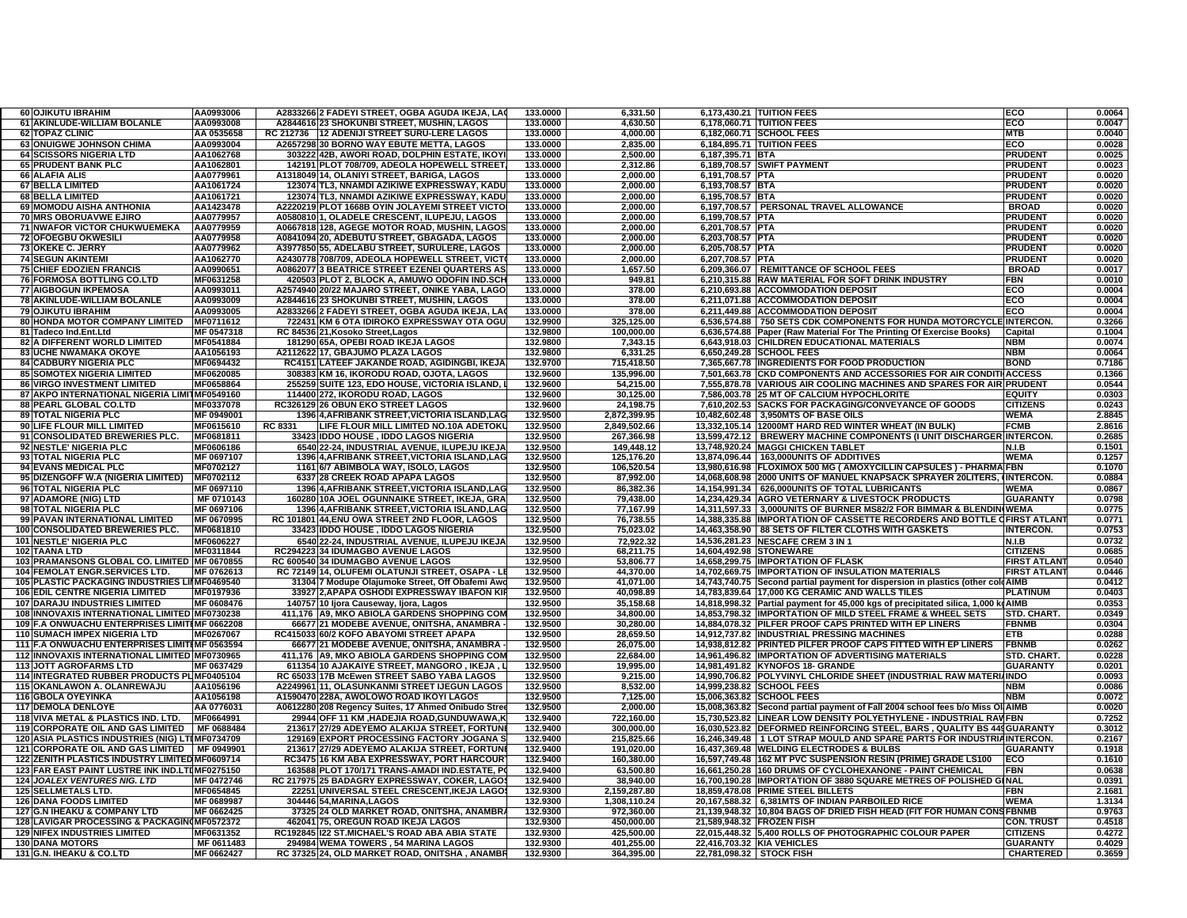| <b>60 OJIKUTU IBRAHIM</b>                          | AA0993006                | A2833266 2 FADEYI STREET, OGBA AGUDA IKEJA, LA                                       | 133.0000             | 6,331.50                 | 6,173,430.21 TUITION FEES                                                         | ECO                                 | 0.0064           |
|----------------------------------------------------|--------------------------|--------------------------------------------------------------------------------------|----------------------|--------------------------|-----------------------------------------------------------------------------------|-------------------------------------|------------------|
| 61 AKINLUDE-WILLIAM BOLANLE                        | AA0993008                | A2844616 23 SHOKUNBI STREET, MUSHIN, LAGOS                                           | 133,0000             | 4.630.50                 | 6.178.060.71 TUITION FEES                                                         | ECO                                 | 0.0047           |
| <b>62 TOPAZ CLINIC</b>                             | AA 0535658               | RC 212736 12 ADENIJI STREET SURU-LERE LAGOS                                          | 133,0000             | 4.000.00                 | 6,182,060.71 SCHOOL FEES                                                          | <b>MTB</b>                          | 0.0040           |
| <b>63 ONUIGWE JOHNSON CHIMA</b>                    | AA0993004                | A2657298 30 BORNO WAY EBUTE METTA, LAGOS                                             | 133.0000             | 2,835.00                 | 6,184,895.71 TUITION FEES                                                         | ECO                                 | 0.0028           |
|                                                    |                          | 303222 42B, AWORI ROAD, DOLPHIN ESTATE, IKOY                                         | 133.0000             |                          |                                                                                   | <b>PRUDENT</b>                      | 0.0025           |
| <b>64 SCISSORS NIGERIA LTD</b>                     | AA1062768                |                                                                                      |                      | 2,500.00                 | 6,187,395.71 BTA                                                                  |                                     |                  |
| 65 PRUDENT BANK PLC                                | AA1062801                | 142191 PLOT 708/709, ADEOLA HOPEWELL STREET                                          | 133.0000             | 2,312.86                 | 6,189,708.57 SWIFT PAYMENT                                                        | <b>PRUDENT</b>                      | 0.0023           |
| 66 ALAFIA ALIS                                     | AA0779961                | A1318049 14, OLANIYI STREET, BARIGA, LAGOS                                           | 133.0000             | 2.000.00                 | 6,191,708.57 PTA                                                                  | <b>PRUDENT</b>                      | 0.0020           |
| 67 BELLA LIMITED                                   | AA1061724                | 123074 TL3, NNAMDI AZIKIWE EXPRESSWAY, KADU                                          | 133.0000             | 2.000.00                 | 6,193,708.57 BTA                                                                  | <b>PRUDENT</b>                      | 0.0020           |
| 68 BELLA LIMITED                                   | AA1061721                | 123074 TL3, NNAMDI AZIKIWE EXPRESSWAY, KADU                                          |                      |                          | 6.195.708.57 BTA                                                                  | <b>PRUDENT</b>                      | 0.0020           |
|                                                    |                          |                                                                                      | 133.0000             | 2.000.00                 |                                                                                   |                                     |                  |
| 69 MOMODU AISHA ANTHONIA                           | AA1423478                | A2220219 PLOT 1668B OYIN JOLAYEMI STREET VICTO                                       | 133.0000             | 2.000.00                 | 6,197,708.57 PERSONAL TRAVEL ALLOWANCE                                            | <b>BROAD</b>                        | 0.0020           |
| 70 MRS OBORUAVWE EJIRO                             | AA0779957                | A0580810 1, OLADELE CRESCENT, ILUPEJU, LAGOS                                         | 133.0000             | 2,000.00                 | 6,199,708.57 PTA                                                                  | <b>PRUDENT</b>                      | 0.0020           |
| <b>71 NWAFOR VICTOR CHUKWUEMEKA</b>                | AA0779959                | A0667818 128, AGEGE MOTOR ROAD, MUSHIN, LAGOS                                        | 133.0000             | 2,000.00                 | 6,201,708.57 PTA                                                                  | <b>PRUDENT</b>                      | 0.0020           |
|                                                    |                          |                                                                                      |                      |                          |                                                                                   |                                     |                  |
| 72 OFOEGBU OKWESILI                                | AA0779958                | A0841094 20, ADEBUTU STREET, GBAGADA, LAGOS                                          | 133.0000             | 2,000.00                 | 6,203,708.57 PTA                                                                  | <b>PRUDENT</b>                      | 0.0020           |
| 73 OKEKE C. JERRY                                  | AA0779962                | A3977850 55, ADELABU STREET, SURULERE, LAGOS                                         | 133.0000             | 2,000.00                 | 6,205,708.57 PTA                                                                  | <b>PRUDENT</b>                      | 0.0020           |
| <b>74 SEGUN AKINTEMI</b>                           | AA1062770                | A2430778 708/709, ADEOLA HOPEWELL STREET, VICT                                       | 133,0000             | 2,000.00                 | 6,207,708.57 PTA                                                                  | <b>PRUDENT</b>                      | 0.0020           |
| <b>75 CHIEF EDOZIEN FRANCIS</b>                    | AA0990651                | A0862077 3 BEATRICE STREET EZENEI QUARTERS AS                                        | 133,0000             | 1,657.50                 | 6.209.366.07   REMITTANCE OF SCHOOL FEES                                          | <b>BROAD</b>                        | 0.0017           |
|                                                    | MF0631258                |                                                                                      | 133.0000             | 949.81                   | 6,210,315.88 RAW MATERIAL FOR SOFT DRINK INDUSTRY                                 | FBN                                 | 0.0010           |
| 76 FORMOSA BOTTLING CO.LTD                         |                          | 420503 PLOT 2, BLOCK A, AMUWO ODOFIN IND.SCH                                         |                      |                          |                                                                                   |                                     |                  |
| 77 AIGBOGUN IKPEMOSA                               | AA0993011                | A2574940 20/22 MAJARO STREET, ONIKE YABA, LAGO                                       | 133.0000             | 378.00                   | 6,210,693.88 ACCOMMODATION DEPOSIT                                                | ECO                                 | 0.0004           |
| 78 AKINLUDE-WILLIAM BOLANLE                        | AA0993009                | A2844616 23 SHOKUNBI STREET, MUSHIN, LAGOS                                           | 133.0000             | 378.00                   | 6,211,071.88 ACCOMMODATION DEPOSIT                                                | ECO                                 | 0.0004           |
| <b>79 OJIKUTU IBRAHIM</b>                          | AA0993005                | A2833266 2 FADEYI STREET, OGBA AGUDA IKEJA, LA                                       | 133.0000             | 378.00                   | 6,211,449.88 ACCOMMODATION DEPOSIT                                                | ECO                                 | 0.0004           |
|                                                    |                          |                                                                                      |                      |                          |                                                                                   |                                     |                  |
| 80 HONDA MOTOR COMPANY LIMITED                     | MF0711612                | 722431 KM 6 OTA IDIROKO EXPRESSWAY OTA OGU                                           | 132.9900             | 325.125.00               | 6,536,574.88   750 SETS CDK COMPONENTS FOR HUNDA MOTORCYCLE INTERCON.             |                                     | 0.3266           |
| 81 Tadeco Ind.Ent.Ltd                              | MF 0547318               | RC 84536 21, Kosoko Street, Lagos                                                    | 132.9800             | 100.000.00               | 6,636,574.88 Paper (Raw Material For The Printing Of Exercise Books)              | Capital                             | 0.1004           |
| 82 A DIFFERENT WORLD LIMITED                       | MF0541884                | 181290 65A, OPEBI ROAD IKEJA LAGOS                                                   | 132.9800             | 7,343.15                 | 6,643,918.03 CHILDREN EDUCATIONAL MATERIALS                                       | <b>NBM</b>                          | 0.0074           |
| <b>83 UCHE NWAMAKA OKOYE</b>                       | AA1056193                | A2112622 17, GBAJUMO PLAZA LAGOS                                                     | 132.9800             | 6,331.25                 | 6,650,249.28 SCHOOL FEES                                                          | <b>NBM</b>                          | 0.0064           |
| <b>84 CADBURY NIGERIA PLC</b>                      | MF0694432                | RC4151 LATEEF JAKANDE ROAD, AGIDINGBI, IKEJA                                         | 132.9700             |                          | 7,365,667.78 INGREDIENTS FOR FOOD PRODUCTION                                      | <b>BOND</b>                         | 0.7186           |
|                                                    |                          |                                                                                      |                      | 715,418.50               |                                                                                   |                                     |                  |
| <b>85 SOMOTEX NIGERIA LIMITED</b>                  | MF0620085                | 308383 KM 16, IKORODU ROAD, OJOTA, LAGOS                                             | 132.9600             | 135,996.00               | 7,501,663.78 CKD COMPONENTS AND ACCESSORIES FOR AIR CONDIT                        | <b>IACCESS</b>                      | 0.1366           |
| <b>86 VIRGO INVESTMENT LIMITED</b>                 | MF0658864                | 255259 SUITE 123, EDO HOUSE, VICTORIA ISLAND,                                        | 132.9600             | 54,215.00                | 7,555,878.78 VARIOUS AIR COOLING MACHINES AND SPARES FOR AIR PRUDENT              |                                     | 0.0544           |
| 87 AKPO INTERNATIONAL NIGERIA LIMITMF0549160       |                          | 114400 272, IKORODU ROAD, LAGOS                                                      | 132.9600             | 30,125.00                | 7,586,003.78 25 MT OF CALCIUM HYPOCHLORITE                                        | <b>EQUITY</b>                       | 0.0303           |
| 88 PEARL GLOBAL CO.LTD                             | MF0337078                | RC326129 26 OBUN EKO STREET LAGOS                                                    | 132.9600             | 24,198.75                | 7,610,202.53 SACKS FOR PACKAGING/CONVEYANCE OF GOODS                              | <b>CITIZENS</b>                     | 0.0243           |
|                                                    |                          |                                                                                      |                      |                          |                                                                                   |                                     |                  |
| 89 TOTAL NIGERIA PLC                               | MF 0949001               | 1396 4, AFRIBANK STREET, VICTORIA ISLAND, LAC                                        | 132.9500             | 2,872,399.95             | 10,482,602.48 3,950MTS OF BASE OILS                                               | <b>WEMA</b>                         | 2.8845           |
| 90 LIFE FLOUR MILL LIMITED                         | MF0615610                | LIFE FLOUR MILL LIMITED NO.10A ADETOKU<br>RC 8331                                    | 132.9500             | 2,849,502.66             | 13,332,105.14 12000MT HARD RED WINTER WHEAT (IN BULK)                             | <b>FCMB</b>                         | 2.8616           |
| 91 CONSOLIDATED BREWERIES PLC.                     | MF0681811                | 33423 IDDO HOUSE, IDDO LAGOS NIGERIA                                                 | 132.9500             | 267,366.98               | 13,599,472.12   BREWERY MACHINE COMPONENTS (I UNIT DISCHARGER INTERCON.           |                                     | 0.2685           |
| 92 NESTLE' NIGERIA PLC                             | MF0606186                | 6540 22-24, INDUSTRIAL AVENUE, ILUPEJU IKEJA                                         | 132.9500             | 149.448.12               | 13,748,920.24 MAGGI CHICKEN TABLET                                                | N.I.B                               | 0.1501           |
|                                                    |                          |                                                                                      |                      |                          |                                                                                   |                                     |                  |
| 93 TOTAL NIGERIA PLC                               | MF 0697107               | 1396 4, AFRIBANK STREET, VICTORIA ISLAND, LAC                                        | 132.9500             | 125,176.20               | 13.874.096.44   163.000UNITS OF ADDITIVES                                         | <b>WEMA</b>                         | 0.1257           |
| 94 EVANS MEDICAL PLC                               | MF0702127                | 1161 6/7 ABIMBOLA WAY, ISOLO, LAGOS                                                  | 132.9500             | 106,520.54               | 13,980,616.98 FLOXIMOX 500 MG ( AMOXYCILLIN CAPSULES ) - PHARMA FBN               |                                     | 0.1070           |
| 95 DIZENGOFF W.A (NIGERIA LIMITED)                 | MF0702112                | 6337 28 CREEK ROAD APAPA LAGOS                                                       | 132.9500             | 87,992.00                | 14,068,608.98 2000 UNITS OF MANUEL KNAPSACK SPRAYER 20LITERS, (INTERCON.          |                                     | 0.0884           |
| 96 TOTAL NIGERIA PLC                               | MF 0697110               | 1396 4, AFRIBANK STREET, VICTORIA ISLAND, LAC                                        | 132.9500             | 86,382.36                | 14,154,991.34   626,000UNITS OF TOTAL LUBRICANTS                                  | <b>WEMA</b>                         | 0.0867           |
|                                                    | MF 0710143               | 160280 10A JOEL OGUNNAIKE STREET, IKEJA, GRA                                         | 132.9500             |                          | 14,234,429.34 AGRO VETERNARY & LIVESTOCK PRODUCTS                                 |                                     |                  |
| 97 ADAMORE (NIG) LTD                               |                          |                                                                                      |                      | 79,438.00                |                                                                                   | <b>GUARANTY</b>                     | 0.0798           |
| 98 TOTAL NIGERIA PLC                               | MF 0697106               | 1396 4, AFRIBANK STREET, VICTORIA ISLAND, LAC                                        | 132.9500             | 77,167.99                | 14,311,597.33 3,000UNITS OF BURNER MS82/2 FOR BIMMAR & BLENDIN(WEMA               |                                     | 0.0775           |
| 99 PAVAN INTERNATIONAL LIMITED                     | MF 0670995               | RC 101801 44, ENU OWA STREET 2ND FLOOR, LAGOS                                        | 132.9500             | 76,738.55                | 14,388,335.88 IMPORTATION OF CASSETTE RECORDERS AND BOTTLE CFIRST ATLANT          |                                     | 0.0771           |
| 100 CONSOLIDATED BREWERIES PLC.                    | MF0681810                | 33423 IDDO HOUSE, IDDO LAGOS NIGERIA                                                 | 132.9500             | 75,023.02                | 14,463,358.90   88 SETS OF FILTER CLOTHS WITH GASKETS                             | <b>INTERCON.</b>                    | 0.0753           |
| 101 NESTLE' NIGERIA PLC                            |                          |                                                                                      |                      |                          | 14,536,281.23 NESCAFE CREM 3 IN 1                                                 |                                     | 0.0732           |
|                                                    | MF0606227                | 6540 22-24, INDUSTRIAL AVENUE, ILUPEJU IKEJA                                         | 132.9500             | 72,922.32                |                                                                                   | N.I.B                               |                  |
| 102 TAANA LTD                                      | MF0311844                | RC294223 34 IDUMAGBO AVENUE LAGOS                                                    | 132.9500             | 68,211.75                | 14,604,492.98 STONEWARE                                                           | <b>CITIZENS</b>                     | 0.0685           |
| 103 PRAMANSONS GLOBAL CO. LIMITED MF 0670855       |                          | RC 600540 34 IDUMAGBO AVENUE LAGOS                                                   | 132.9500             | 53,806.77                | 14,658,299.75 IMPORTATION OF FLASK                                                | <b>FIRST ATLAN</b>                  | 0.0540           |
| 104 FEMOLAT ENGR.SERVICES LTD.                     | MF 0762613               | RC 72149 14, OLUFEMI OLATUNJI STREET, OSAPA - LI                                     | 132.9500             | 44.370.00                | 14,702,669.75 IMPORTATION OF INSULATION MATERIALS                                 | <b>FIRST ATLAN</b>                  | 0.0446           |
| 105 PLASTIC PACKAGING INDUSTRIES LIMF0469540       |                          | 31304 7 Modupe Olajumoke Street, Off Obafemi Aw                                      | 132.9500             | 41.071.00                |                                                                                   |                                     | 0.0412           |
|                                                    |                          |                                                                                      |                      |                          | 14,743,740.75 Second partial payment for dispersion in plastics (other cold AIMB  |                                     |                  |
| <b>106 EDIL CENTRE NIGERIA LIMITED</b>             | MF0197936                | 33927 2, APAPA OSHODI EXPRESSWAY IBAFON KI                                           | 132.9500             | 40.098.89                | 14,783,839.64 17,000 KG CERAMIC AND WALLS TILES                                   | <b>PLATINUM</b>                     | 0.0403           |
| 107 DARAJU INDUSTRIES LIMITED                      | MF 0608476               | 140757 10 Ijora Causeway, Ijora, Lagos                                               | 132.9500             | 35,158.68                | 14,818,998.32 Partial payment for 45,000 kgs of precipitated silica, 1,000 kgAIMB |                                     | 0.0353           |
| 108 INNOVAXIS INTERNATIONAL LIMITED MF0730238      |                          | 411,176   A9, MKO ABIOLA GARDENS SHOPPING COI                                        | 132.9500             | 34,800.00                | 14,853,798.32 IMPORTATION OF MILD STEEL FRAME & WHEEL SETS                        | STD. CHART.                         | 0.0349           |
| 109 F.A ONWUACHU ENTERPRISES LIMITIMF 0662208      |                          | 66677 21 MODEBE AVENUE, ONITSHA, ANAMBRA                                             | 132.9500             | 30,280.00                | 14,884,078.32 PILFER PROOF CAPS PRINTED WITH EP LINERS                            | <b>FBNMB</b>                        | 0.0304           |
| <b>110 SUMACH IMPEX NIGERIA LTD</b>                | <b>MF0267067</b>         | RC415033 60/2 KOFO ABAYOMI STREET APAPA                                              | 132.9500             | 28,659.50                |                                                                                   | ETB                                 | 0.0288           |
|                                                    |                          |                                                                                      |                      |                          | 14,912,737.82 INDUSTRIAL PRESSING MACHINES                                        |                                     |                  |
| 111 F.A ONWUACHU ENTERPRISES LIMITIMF 0563594      |                          | 66677 21 MODEBE AVENUE, ONITSHA, ANAMBRA                                             | 132.9500             | 26,075.00                | 14,938,812.82 PRINTED PILFER PROOF CAPS FITTED WITH EP LINERS                     | <b>FBNMB</b>                        | 0.0262           |
| 112 INNOVAXIS INTERNATIONAL LIMITED MF0730965      |                          | 411,176 A9, MKO ABIOLA GARDENS SHOPPING COM                                          | 132.9500             | 22,684.00                | 14,961,496.82 IMPORTATION OF ADVERTISING MATERIALS                                | STD. CHART.                         | 0.0228           |
| <b>113 JOTT AGROFARMS LTD</b>                      | MF 0637429               | 611354 10 AJAKAIYE STREET, MANGORO, IKEJA,                                           | 132.9500             | 19,995.00                | 14,981,491.82 KYNOFOS 18- GRANDE                                                  | <b>GUARANTY</b>                     | 0.0201           |
| 114 INTEGRATED RUBBER PRODUCTS PLIMF0405104        |                          | RC 65033 17B McEwen STREET SABO YABA LAGOS                                           | 132.9500             | 9,215.00                 | 14,990,706.82 POLYVINYL CHLORIDE SHEET (INDUSTRIAL RAW MATERIAINDO                |                                     | 0.0093           |
|                                                    |                          |                                                                                      |                      |                          |                                                                                   |                                     |                  |
| 115 OKANLAWON A. OLANREWAJU                        | AA1056196                | A2249961 11, OLASUNKANMI STREET IJEGUN LAGOS                                         | 132.9500             | 8,532.00                 | 14,999,238.82 SCHOOL FEES                                                         | <b>NBM</b>                          | 0.0086           |
| <b>116 GBOLA OYEYINKA</b>                          | AA1056198                | A1590470 228A, AWOLOWO ROAD IKOYI LAGOS                                              | 132.9500             | 7,125.00                 | 15,006,363.82 SCHOOL FEES                                                         | <b>NBM</b>                          | 0.0072           |
| <b>117 DEMOLA DENLOYE</b>                          | AA 0776031               | A0612280 208 Regency Suites, 17 Ahmed Onibudo Stre                                   | 132.9500             | 2,000.00                 | 15,008,363.82 Second partial payment of Fall 2004 school fees b/o Miss OliAIMB    |                                     | 0.0020           |
| 118 VIVA METAL & PLASTICS IND. LTD.                | MF0664991                | 29944 OFF 11 KM .HADEJIA ROAD.GUNDUWAWA.K                                            | 132.9400             | 722.160.00               | 15.730.523.82 LINEAR LOW DENSITY POLYETHYLENE - INDUSTRIAL RAWFBN                 |                                     | 0.7252           |
|                                                    |                          |                                                                                      |                      |                          |                                                                                   |                                     |                  |
| <b>119 CORPORATE OIL AND GAS LIMITED</b>           | MF 0688484               | 213617 27/29 ADEYEMO ALAKIJA STREET, FORTUN                                          | 132.9400             | 300.000.00               | 16,030,523.82   DEFORMED REINFORCING STEEL, BARS, QUALITY BS 449GUARANTY          |                                     | 0.3012           |
| 120 ASIA PLASTICS INDUSTRIES (NIG) LTIMF0734709    |                          | 129169 EXPORT PROCESSING FACTORY JOGANA :                                            | 132.9400             | 215,825.66               | 16.246.349.48   1 LOT STRAP MOULD AND SPARE PARTS FOR INDUSTRIAINTERCON.          |                                     | 0.2167           |
| 121 CORPORATE OIL AND GAS LIMITED   MF 0949901     |                          | 213617 27/29 ADEYEMO ALAKIJA STREET, FORTUN                                          | 132.9400             | 191,020.00               | 16,437,369.48 WELDING ELECTRODES & BULBS                                          | <b>GUARANTY</b>                     | 0.1918           |
| 122 ZENITH PLASTICS INDUSTRY LIMITED MF0609714     |                          | RC3475 16 KM ABA EXPRESSWAY, PORT HARCOUR                                            | 132.9400             | 160,380.00               | 16,597,749.48 162 MT PVC SUSPENSION RESIN (PRIME) GRADE LS100                     | ECO                                 | 0.1610           |
|                                                    |                          |                                                                                      |                      |                          |                                                                                   |                                     |                  |
| 123 FAR EAST PAINT LUSTRE INK IND.LTDMF0275150     |                          | 163588 PLOT 170/171 TRANS-AMADI IND.ESTATE, P                                        | 132.9400             | 63,500.80                | 16,661,250.28 160 DRUMS OF CYCLOHEXANONE - PAINT CHEMICAL                         | FBN                                 | 0.0638           |
| 124 JOALEX VENTURES NIG. LTD                       | MF 0472746               | RC 217975 25 BADAGRY EXPRESSWAY, COKER, LAGO                                         | 132.9400             | 38,940.00                | 16,700,190.28 IMPORTATION OF 3880 SQUARE METRES OF POLISHED GINAL                 |                                     | 0.0391           |
|                                                    |                          | 22251 UNIVERSAL STEEL CRESCENT, IKEJA LAGO                                           | 132.9300             | 2,159,287.80             | 18,859,478.08 PRIME STEEL BILLETS                                                 | <b>FBN</b>                          | 2.1681           |
| 125 SELLMETALS LTD.                                | MF0654845                |                                                                                      |                      |                          |                                                                                   |                                     |                  |
|                                                    |                          |                                                                                      |                      |                          |                                                                                   | <b>WEMA</b>                         |                  |
| <b>126 DANA FOODS LIMITED</b>                      | MF 0689987               | 304446 54, MARINA, LAGOS                                                             | 132.9300             | 1,308,110.24             | 20,167,588.32   6,381MTS OF INDIAN PARBOILED RICE                                 |                                     | 1.3134           |
| 127 G.N IHEAKU & COMPANY LTD                       | MF 0662425               | 37325 24 OLD MARKET ROAD, ONITSHA, ANAMBR                                            | 132.9300             | 972,360.00               | 21,139,948.32 10,804 BAGS OF DRIED FISH HEAD (FIT FOR HUMAN CONSFBNMB             |                                     | 0.9763           |
| 128 LAVIGAR PROCESSING & PACKAGIN(MF0572372        |                          | 462041 75, OREGUN ROAD IKEJA LAGOS                                                   | 132.9300             | 450,000.00               | 21,589,948.32 FROZEN FISH                                                         | CON. TRUST                          | 0.4518           |
| <b>129 NIFEX INDUSTRIES LIMITED</b>                | MF0631352                | RC192845 122 ST.MICHAEL'S ROAD ABA ABIA STATE                                        | 132.9300             | 425,500.00               | 22,015,448.32 5,400 ROLLS OF PHOTOGRAPHIC COLOUR PAPER                            | <b>CITIZENS</b>                     | 0.4272           |
|                                                    |                          |                                                                                      |                      |                          |                                                                                   |                                     |                  |
| <b>130 DANA MOTORS</b><br>131 G.N. IHEAKU & CO.LTD | MF 0611483<br>MF 0662427 | 294984 WEMA TOWERS, 54 MARINA LAGOS<br>RC 37325 24, OLD MARKET ROAD, ONITSHA, ANAMBR | 132.9300<br>132.9300 | 401.255.00<br>364.395.00 | 22,416,703.32 KIA VEHICLES<br>22,781,098.32 STOCK FISH                            | <b>GUARANTY</b><br><b>CHARTERED</b> | 0.4029<br>0.3659 |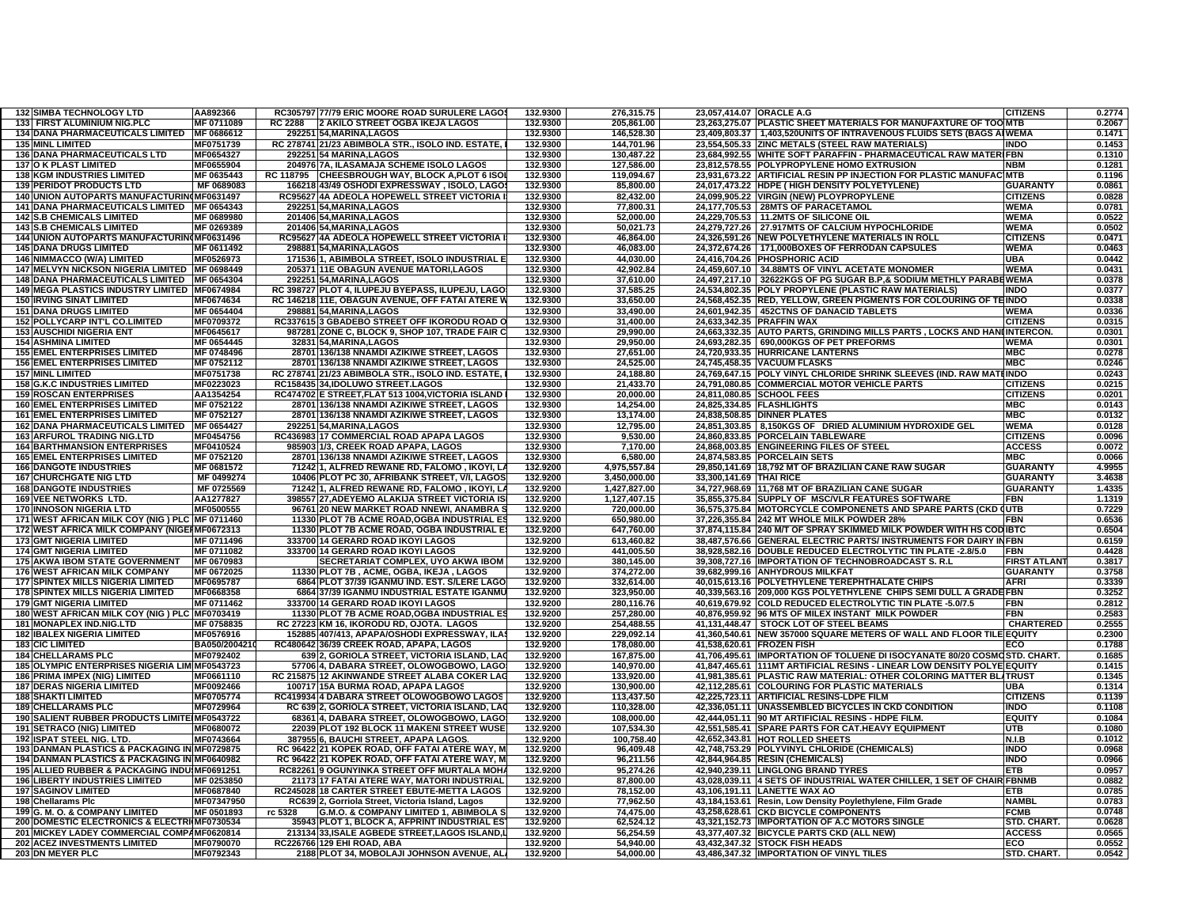| <b>132 SIMBA TECHNOLOGY LTD</b>                        | AA892366               | RC305797 77/79 ERIC MOORE ROAD SURULERE LAGOS      | 132.9300             | 276,315.75               | 23,057,414.07 ORACLE A.G  |                                                                           | <b>CITIZENS</b>                | 0.2774 |
|--------------------------------------------------------|------------------------|----------------------------------------------------|----------------------|--------------------------|---------------------------|---------------------------------------------------------------------------|--------------------------------|--------|
| 133 FIRST ALUMINIUM NIG.PLC                            | MF 0711089             | <b>RC 2288</b><br>2 AKILO STREET OGBA IKEJA LAGOS  | 132.9300             | 205.861.00               |                           | 23,263,275.07 PLASTIC SHEET MATERIALS FOR MANUFAXTURE OF TOO MTB          |                                | 0.2067 |
| <b>134 DANA PHARMACEUTICALS LIMITED</b>                | MF 0686612             | 292251 54.MARINA.LAGOS                             | 132.9300             | 146.528.30               |                           | 23.409.803.37   1.403.520UNITS OF INTRAVENOUS FLUIDS SETS (BAGS AIWEMA    |                                | 0.1471 |
| <b>135 MINL LIMITED</b>                                | MF0751739              | RC 278741 21/23 ABIMBOLA STR., ISOLO IND. ESTATE.  | 132.9300             | 144,701.96               |                           | 23.554.505.33 ZINC METALS (STEEL RAW MATERIALS)                           | <b>INDO</b>                    | 0.1453 |
| <b>136 DANA PHARMACEUTICALS LTD</b>                    | MF0654327              | 292251 54 MARINA.LAGOS                             | 132.9300             | 130,487.22               |                           | 23,684,992.55 WHITE SOFT PARAFFIN - PHARMACEUTICAL RAW MATERIFBN          |                                | 0.1310 |
| <b>137 O K PLAST LIMITED</b>                           | MF0655904              | 204976 7A, ILASAMAJA SCHEME ISOLO LAGOS            | 132.9300             | 127,586.00               |                           | 23,812,578.55 POLYPROPYLENE HOMO EXTRUSION                                | <b>NBM</b>                     | 0.1281 |
| <b>138 KGM INDUSTRIES LIMITED</b>                      | MF 0635443             | RC 118795 CHEESBROUGH WAY, BLOCK A, PLOT 6 ISC     | 132.9300             | 119,094.67               |                           | 23,931,673.22 ARTIFICIAL RESIN PP INJECTION FOR PLASTIC MANUFAC MTB       |                                | 0.1196 |
| <b>139 PERIDOT PRODUCTS LTD</b>                        | MF 0689083             | 166218 43/49 OSHODI EXPRESSWAY , ISOLO, LAGO       | 132.9300             | 85,800.00                |                           | 24,017,473.22 HDPE ( HIGH DENSITY POLYETYLENE)                            | <b>GUARANTY</b>                | 0.0861 |
| 140 UNION AUTOPARTS MANUFACTURIN(MF0631497             |                        | RC95627 4A ADEOLA HOPEWELL STREET VICTORIA         | 132.9300             | 82,432.00                |                           | 24,099,905.22 VIRGIN (NEW) PLOYPROPYLENE                                  | <b>CITIZENS</b>                | 0.0828 |
| 141 DANA PHARMACEUTICALS LIMITED   MF 0654343          |                        | 292251 54, MARINA, LAGOS                           | 132.9300             | 77,800.31                |                           | 24,177,705.53 28MTS OF PARACETAMOL                                        | <b>WEMA</b>                    | 0.0781 |
| <b>142 S.B CHEMICALS LIMITED</b>                       | <b>MF 0689980</b>      | 201406 54, MARINA, LAGOS                           | 132.9300             | 52.000.00                |                           | 24.229.705.53 11.2MTS OF SILICONE OIL                                     | <b>WEMA</b>                    | 0.0522 |
|                                                        |                        |                                                    |                      |                          |                           |                                                                           |                                |        |
| <b>143 S.B CHEMICALS LIMITED</b>                       | MF 0269389             | 201406 54, MARINA, LAGOS                           | 132.9300             | 50,021.73                |                           | 24,279,727.26 27.917MTS OF CALCIUM HYPOCHLORIDE                           | WEMA                           | 0.0502 |
| 144 UNION AUTOPARTS MANUFACTURIN(MF0631496             |                        | RC95627 4A ADEOLA HOPEWELL STREET VICTORIA         | 132.9300             | 46,864.00                |                           | 24,326,591.26 NEW POLYETHYLENE MATERIALS IN ROLL                          | <b>CITIZENS</b>                | 0.0471 |
| <b>145 DANA DRUGS LIMITED</b>                          | MF 0611492             | 298881 54, MARINA, LAGOS                           | 132.9300             | 46,083.00                |                           | 24,372,674.26   171,000BOXES OF FERRODAN CAPSULES                         | <b>WEMA</b>                    | 0.0463 |
| 146 NIMMACCO (W/A) LIMITED                             | MF0526973              | 17153611, ABIMBOLA STREET, ISOLO INDUSTRIAL E      | 132.9300             | 44,030.00                |                           | 24,416,704.26 PHOSPHORIC ACID                                             | <b>UBA</b>                     | 0.0442 |
| 147 MELVYN NICKSON NIGERIA LIMITED MF 0698449          |                        | 205371 11E OBAGUN AVENUE MATORI, LAGOS             | 132.9300             | 42,902.84                |                           | 24,459,607.10 34.88MTS OF VINYL ACETATE MONOMER                           | <b>WEMA</b>                    | 0.0431 |
| 148 DANA PHARMACEUTICALS LIMITED   MF 0654304          |                        | 292251 54, MARINA, LAGOS                           | 132.9300             | 37,610.00                |                           | 24,497,217.10 32622KGS OF PG SUGAR B.P,& SODIUM METHLY PARABEWEMA         |                                | 0.0378 |
| 149 MEGA PLASTICS INDUSTRY LIMITED MF0674984           |                        | RC 398727 PLOT 4, ILUPEJU BYEPASS, ILUPEJU, LAGO   | 132.9300             | 37,585.25                |                           | 24,534,802.35 POLY PROPYLENE (PLASTIC RAW MATERIALS)                      | <b>INDO</b>                    | 0.0377 |
| <b>150 IRVING SINAT LIMITED</b>                        | MF0674634              | RC 146218 11E, OBAGUN AVENUE, OFF FATAI ATERE \    | 132.9300             | 33,650.00                |                           | 24,568,452.35 RED, YELLOW, GREEN PIGMENTS FOR COLOURING OF TEINDO         |                                | 0.0338 |
| <b>151 DANA DRUGS LIMITED</b>                          | MF 0654404             | 298881 54, MARINA, LAGOS                           | 132.9300             | 33,490.00                |                           | 24,601,942.35   452CTNS OF DANACID TABLETS                                | <b>WEMA</b>                    | 0.0336 |
| <b>152 POLLYCARP INT'L CO.LIMITED</b>                  | MF0709372              | RC337615 3 GBADEBO STREET OFF IKORODU ROAD (       | 132.9300             | 31,400.00                |                           | 24,633,342.35 PRAFFIN WAX                                                 | <b>CITIZENS</b>                | 0.0315 |
| <b>153 AUSCHIDI NIGERIA ENT</b>                        | MF0645617              | 987281 ZONE C, BLOCK 9, SHOP 107, TRADE FAIR (     | 132.9300             | 29,990.00                |                           | 24,663,332.35 AUTO PARTS, GRINDING MILLS PARTS, LOCKS AND HANIINTERCON.   |                                | 0.0301 |
| <b>154 ASHMINA LIMITED</b>                             | MF 0654445             | 32831 54, MARINA, LAGOS                            | 132.9300             | 29,950.00                |                           | 24,693,282.35 690,000KGS OF PET PREFORMS                                  | <b>WEMA</b>                    | 0.0301 |
| <b>155 EMEL ENTERPRISES LIMITED</b>                    | MF 0748496             | 28701 136/138 NNAMDI AZIKIWE STREET, LAGOS         | 132.9300             | 27,651.00                |                           | 24,720,933.35 HURRICANE LANTERNS                                          | <b>MBC</b>                     | 0.0278 |
| <b>156 EMEL ENTERPRISES LIMITED</b>                    | MF 0752112             | 28701 136/138 NNAMDI AZIKIWE STREET, LAGOS         | 132.9300             | 24,525.00                |                           | 24,745,458.35 VACUUM FLASKS                                               | <b>MBC</b>                     | 0.0246 |
| <b>157 MINL LIMITED</b>                                | MF0751738              | RC 278741 21/23 ABIMBOLA STR., ISOLO IND. ESTATE,  | 132.9300             | 24,188.80                |                           | 24,769,647.15 POLY VINYL CHLORIDE SHRINK SLEEVES (IND. RAW MATEINDO       |                                | 0.0243 |
| <b>158 G.K.C INDUSTRIES LIMITED</b>                    | MF0223023              | RC158435 34, IDOLUWO STREET.LAGOS                  | 132.9300             | 21,433.70                |                           | 24,791,080.85 COMMERCIAL MOTOR VEHICLE PARTS                              | <b>CITIZENS</b>                | 0.0215 |
| <b>159 ROSCAN ENTERPRISES</b>                          | AA1354254              | RC474702 E STREET, FLAT 513 1004, VICTORIA ISLAND  | 132.9300             | 20,000.00                |                           | 24,811,080.85 SCHOOL FEES                                                 | <b>CITIZENS</b>                | 0.0201 |
| <b>160 EMEL ENTERPRISES LIMITED</b>                    | MF 0752122             | 28701 136/138 NNAMDI AZIKIWE STREET, LAGOS         | 132.9300             | 14,254.00                | 24,825,334.85 FLASHLIGHTS |                                                                           | <b>MBC</b>                     | 0.0143 |
| <b>161 EMEL ENTERPRISES LIMITED</b>                    | MF 0752127             | 28701 136/138 NNAMDI AZIKIWE STREET, LAGOS         | 132.9300             | 13.174.00                |                           | 24.838.508.85 DINNER PLATES                                               | <b>MBC</b>                     | 0.0132 |
| <b>162 DANA PHARMACEUTICALS LIMITED</b>                | MF 0654427             | 292251 54. MARINA LAGOS                            | 132.9300             | 12,795.00                |                           | 24.851.303.85 8.150KGS OF DRIED ALUMINIUM HYDROXIDE GEL                   | <b>WEMA</b>                    | 0.0128 |
| <b>163 ARFUROL TRADING NIG.LTD</b>                     |                        |                                                    | 132.9300             |                          |                           | 24.860.833.85 PORCELAIN TABLEWARE                                         | <b>CITIZENS</b>                |        |
|                                                        | MF0454756              | RC436983 17 COMMERCIAL ROAD APAPA LAGOS            |                      | 9,530.00                 |                           |                                                                           |                                | 0.0096 |
| <b>164 BARTHMANSION ENTERPRISES</b>                    | MF0410524              | 985903 1/3, CREEK ROAD APAPA, LAGOS                | 132.9300             | 7,170.00                 |                           | 24,868,003.85 ENGINEERING FILES OF STEEL                                  | <b>ACCESS</b>                  | 0.0072 |
| <b>165 EMEL ENTERPRISES LIMITED</b>                    | MF 0752120             | 28701 136/138 NNAMDI AZIKIWE STREET, LAGOS         | 132.9300             | 6,580.00                 |                           | 24,874,583.85 PORCELAIN SETS                                              | <b>MBC</b>                     | 0.0066 |
| <b>166 DANGOTE INDUSTRIES</b>                          | MF 0681572             | 71242 1, ALFRED REWANE RD, FALOMO , IKOYI, L.      | 132.9200             | 4,975,557.84             |                           | 29,850,141.69 18,792 MT OF BRAZILIAN CANE RAW SUGAR                       | <b>GUARANTY</b>                | 4.9955 |
| <b>167 CHURCHGATE NIG LTD</b>                          | MF 0499274             | 10406 PLOT PC 30, AFRIBANK STREET, V/I, LAGO!      | 132.9200             | 3,450,000.00             | 33.300.141.69 THAI RICE   |                                                                           | <b>GUARANTY</b>                | 3.4638 |
| <b>168 DANGOTE INDUSTRIES</b>                          | MF 0725569             | 71242 1. ALFRED REWANE RD. FALOMO, IKOYI, L.       | 132.9200             | 1.427.827.00             |                           | 34.727.968.69 11.768 MT OF BRAZILIAN CANE SUGAR                           | <b>GUARANTY</b>                | 1.4335 |
| <b>169 VEE NETWORKS LTD.</b>                           | AA1277827              | 398557 27, ADEYEMO ALAKIJA STREET VICTORIA IS      | 132.9200             | 1,127,407.15             |                           | 35,855,375.84 SUPPLY OF MSC/VLR FEATURES SOFTWARE                         | <b>FBN</b>                     | 1.1319 |
| <b>170 INNOSON NIGERIA LTD</b>                         | MF0500555              | 96761 20 NEW MARKET ROAD NNEWI, ANAMBRA            | 132.9200             | 720.000.00               |                           | 36,575,375.84 MOTORCYCLE COMPONENETS AND SPARE PARTS (CKD QUTB            |                                | 0.7229 |
| 171 WEST AFRICAN MILK COY (NIG) PLC MF 0711460         |                        | 11330 PLOT 7B ACME ROAD, OGBA INDUSTRIAL E         | 132.9200             | 650,980.00               |                           | 37,226,355.84 242 MT WHOLE MILK POWDER 28%                                | FBN                            | 0.6536 |
| 172 WEST AFRICA MILK COMPANY (NIGEHMF0672313           |                        | 11330 PLOT 7B ACME ROAD, OGBA INDUSTRIAL E         | 132.9200             | 647,760.00               |                           | 37,874,115.84 240 M/T OF SPRAY SKIMMED MILK POWDER WITH HS CODIBTC        |                                | 0.6504 |
| <b>173 GMT NIGERIA LIMITED</b>                         | MF 0711496             | 333700 14 GERARD ROAD IKOYI LAGOS                  | 132.9200             | 613,460.82               |                           | 38,487,576.66 GENERAL ELECTRIC PARTS/INSTRUMENTS FOR DAIRY INFBN          |                                | 0.6159 |
| <b>174 GMT NIGERIA LIMITED</b>                         | MF 0711082             | 333700 14 GERARD ROAD IKOYI LAGOS                  | 132.9200             | 441,005.50               |                           | 38,928,582.16 DOUBLE REDUCED ELECTROLYTIC TIN PLATE -2.8/5.0              | <b>FBN</b>                     | 0.4428 |
| <b>175 AKWA IBOM STATE GOVERNMENT</b>                  | MF 0670983             | <b>SECRETARIAT COMPLEX, UYO AKWA IBOM</b>          | 132.9200             | 380,145.00               |                           | 39,308,727.16 IMPORTATION OF TECHNOBROADCAST S. R.L.                      | <b>FIRST ATLAN</b>             | 0.3817 |
| <b>176 WEST AFRICAN MILK COMPANY</b>                   | MF 0672025             | 11330 PLOT 7B, ACME, OGBA, IKEJA, LAGOS            | 132.9200             | 374,272.00               |                           | 39,682,999.16 ANHYDROUS MILKFAT                                           | <b>GUARANTY</b>                | 0.3758 |
| <b>177 SPINTEX MILLS NIGERIA LIMITED</b>               | MF0695787              | 6864 PLOT 37/39 IGANMU IND. EST. S/LERE LAGO       | 132.9200             | 332,614.00               |                           | 40,015,613.16 POLYETHYLENE TEREPHTHALATE CHIPS                            | <b>AFRI</b>                    | 0.3339 |
| <b>178 SPINTEX MILLS NIGERIA LIMITED</b>               | MF0668358              | 6864 37/39 IGANMU INDUSTRIAL ESTATE IGANMU         | 132.9200             | 323,950.00               |                           | 40,339,563.16 209,000 KGS POLYETHYLENE CHIPS SEMI DULL A GRADE FBN        |                                | 0.3252 |
| <b>179 GMT NIGERIA LIMITED</b>                         | MF 0711462             | 333700 14 GERARD ROAD IKOYI LAGOS                  | 132.9200             | 280,116.76               |                           | 40,619,679.92 COLD REDUCED ELECTROLYTIC TIN PLATE -5.0/7.5                | FBN                            | 0.2812 |
| 180 WEST AFRICAN MILK COY (NIG) PLC MF0703419          |                        | 11330 PLOT 7B ACME ROAD, OGBA INDUSTRIAL E         | 132.9200             | 257,280.00               |                           | 40,876,959.92 96 MTS OF MILEX INSTANT MILK POWDER                         | FBN                            | 0.2583 |
| 181 MONAPLEX IND.NIG.LTD                               | MF 0758835             | RC 27223 KM 16, IKORODU RD, OJOTA. LAGOS           | 132.9200             | 254,488.55               |                           | 41,131,448.47 STOCK LOT OF STEEL BEAMS                                    | <b>CHARTERED</b>               | 0.2555 |
| <b>182 IBALEX NIGERIA LIMITED</b>                      | MF0576916              | 152885 407/413, APAPA/OSHODI EXPRESSWAY, ILA       | 132.9200             | 229,092.14               |                           | 41,360,540.61 NEW 357000 SQUARE METERS OF WALL AND FLOOR TILE EQUITY      |                                | 0.2300 |
| <b>183 CIC LIMITED</b>                                 | BA050/2004210          | RC480642 36/39 CREEK ROAD, APAPA, LAGOS            | 132.9200             | 178,080.00               | 41,538,620.61 FROZEN FISH |                                                                           | ECO                            | 0.1788 |
| <b>184 CHELLARAMS PLC</b>                              | MF0792402              | 639 2, GORIOLA STREET, VICTORIA ISLAND, LA         | 132.9200             |                          |                           | 41,706,495.61 IMPORTATION OF TOLUENE DI ISOCYANATE 80/20 COSMOSTD. CHART. |                                | 0.1685 |
| 185 OLYMPIC ENTERPRISES NIGERIA LIMIMF0543723          |                        | 57706 4, DABARA STREET, OLOWOGBOWO, LAGC           | 132.9200             | 167,875.00<br>140,970.00 |                           | 41,847,465.61 111MT ARTIFICIAL RESINS - LINEAR LOW DENSITY POLYE EQUITY   |                                | 0.1415 |
| 186 PRIMA IMPEX (NIG) LIMITED                          | MF0661110              | RC 215875 12 AKINWANDE STREET ALABA COKER LAO      | 132.9200             | 133,920.00               |                           | 41,981,385.61 PLASTIC RAW MATERIAL: OTHER COLORING MATTER BLATRUST        |                                | 0.1345 |
|                                                        |                        |                                                    |                      |                          |                           |                                                                           |                                |        |
| <b>187 DERAS NIGERIA LIMITED</b>                       | MF0092466              | 100717 15A BURMA ROAD, APAPA LAGOS                 | 132.9200             | 130,900.00               |                           | 42,112,285.61 COLOURING FOR PLASTIC MATERIALS                             | <b>UBA</b>                     | 0.1314 |
| <b>188 SHAKTI LIMITED</b><br><b>189 CHELLARAMS PLC</b> | MF0705774<br>MF0729964 | RC419934 4 DABARA STREET OLOWOGBOWO LAGOS          | 132.9200<br>132.9200 | 113,437.50               |                           | 42.225.723.11 ARTIFICIAL RESINS-LDPE FILM                                 | <b>CITIZENS</b><br><b>INDO</b> | 0.1139 |
|                                                        |                        | RC 639 2, GORIOLA STREET, VICTORIA ISLAND, LA      |                      | 110,328.00               |                           | 42,336,051.11 UNASSEMBLED BICYCLES IN CKD CONDITION                       |                                | 0.1108 |
| 190 SALIENT RUBBER PRODUCTS LIMITE MF0543722           |                        | 68361 4, DABARA STREET, OLOWOGBOWO, LAGO           | 132.9200             | 108,000.00               |                           | 42.444.051.11 90 MT ARTIFICIAL RESINS - HDPE FILM.                        | <b>EQUITY</b>                  | 0.1084 |
| <b>191 SETRACO (NIG) LIMITED</b>                       | MF0680072              | 22039 PLOT 192 BLOCK 11 MAKENI STREET WUS          | 132.9200             | 107,534.30               |                           | 42,551,585.41 SPARE PARTS FOR CAT.HEAVY EQUIPMENT                         | <b>UTB</b>                     | 0.1080 |
| 192 ISPAT STEEL NIG. LTD.                              | MF0743664              | 387955 6. BAUCHI STREET. APAPA LAGOS               | 132.9200             | 100.758.40               |                           | 42,652,343.81 HOT ROLLED SHEETS                                           | N.I.B                          | 0.1012 |
| 193 DANMAN PLASTICS & PACKAGING IN MF0729875           |                        | RC 96422 21 KOPEK ROAD, OFF FATAI ATERE WAY, M     | 132.9200             | 96,409.48                |                           | 42,748,753.29 POLYVINYL CHLORIDE (CHEMICALS)                              | <b>INDO</b>                    | 0.0968 |
| 194 DANMAN PLASTICS & PACKAGING IN MF0640982           |                        | RC 96422 21 KOPEK ROAD, OFF FATAI ATERE WAY, M     | 132.9200             | 96,211.56                |                           | 42,844,964.85 RESIN (CHEMICALS)                                           | <b>INDO</b>                    | 0.0966 |
| 195 ALLIED RUBBER & PACKAGING INDUIMF0691251           |                        | RC82261 9 OGUNYINKA STREET OFF MURTALA MOH         | 132.9200             | 95.274.26                |                           | 42,940,239.11 LINGLONG BRAND TYRES                                        | ETB                            | 0.0957 |
| <b>196 LIBERTY INDUSTRIES LIMITED</b>                  | MF 0253850             | 21173 17 FATAI ATERE WAY, MATORI INDUSTRIAL        | 132.9200             | 87.800.00                |                           | 43,028,039.11 4 SETS OF INDUSTRIAL WATER CHILLER, 1 SET OF CHAIR FBNMB    |                                | 0.0882 |
| <b>197 SAGINOV LIMITED</b>                             | MF0687840              | RC245028 18 CARTER STREET EBUTE-METTA LAGOS        | 132.9200             | 78,152.00                |                           | 43,106,191.11 LANETTE WAX AO                                              | ETB                            | 0.0785 |
| 198 Chellarams Pic                                     | MF07347950             | RC639 2, Gorriola Street, Victoria Island, Lagos   | 132.9200             | 77,962.50                |                           | 43,184,153.61 Resin, Low Density Poylethylene, Film Grade                 | <b>NAMBL</b>                   | 0.0783 |
| 199 G. M. O. & COMPANY LIMITED                         | MF 0501893             | rc 5328<br>G.M.O. & COMPANY LIMITED 1, ABIMBOLA \$ | 132.9200             | 74,475.00                |                           | 43,258,628.61 CKD BICYCLE COMPONENTS                                      | <b>FCMB</b>                    | 0.0748 |
| 200 DOMESTIC ELECTRONICS & ELECTRI MF0730534           |                        |                                                    | 132.9200             | 62,524.12                |                           | 43,321,152.73 IMPORTATION OF A.C MOTORS SINGLE                            | STD. CHART.                    | 0.0628 |
|                                                        |                        | 35943 PLOT 1, BLOCK A, AFPRINT INDUSTRIAL ES       |                      |                          |                           |                                                                           |                                |        |
| 201 MICKEY LADEY COMMERCIAL COMPAMF0620814             |                        | 213134 33, ISALE AGBEDE STREET, LAGOS ISLAND,      | 132.9200             | 56,254.59                |                           | 43,377,407.32 BICYCLE PARTS CKD (ALL NEW)                                 | <b>ACCESS</b>                  | 0.0565 |
| <b>202 ACEZ INVESTMENTS LIMITED</b>                    | MF0790070              | RC226766 129 EHI ROAD, ABA                         | 132.9200             | 54.940.00                |                           | 43.432.347.32 STOCK FISH HEADS                                            | ECO                            | 0.0552 |
| 203 DN MEYER PLC                                       | MF0792343              | 2188 PLOT 34, MOBOLAJI JOHNSON AVENUE, AL.         | 132.9200             | 54.000.00                |                           | 43,486,347.32 IMPORTATION OF VINYL TILES                                  | <b>STD. CHART.</b>             | 0.0542 |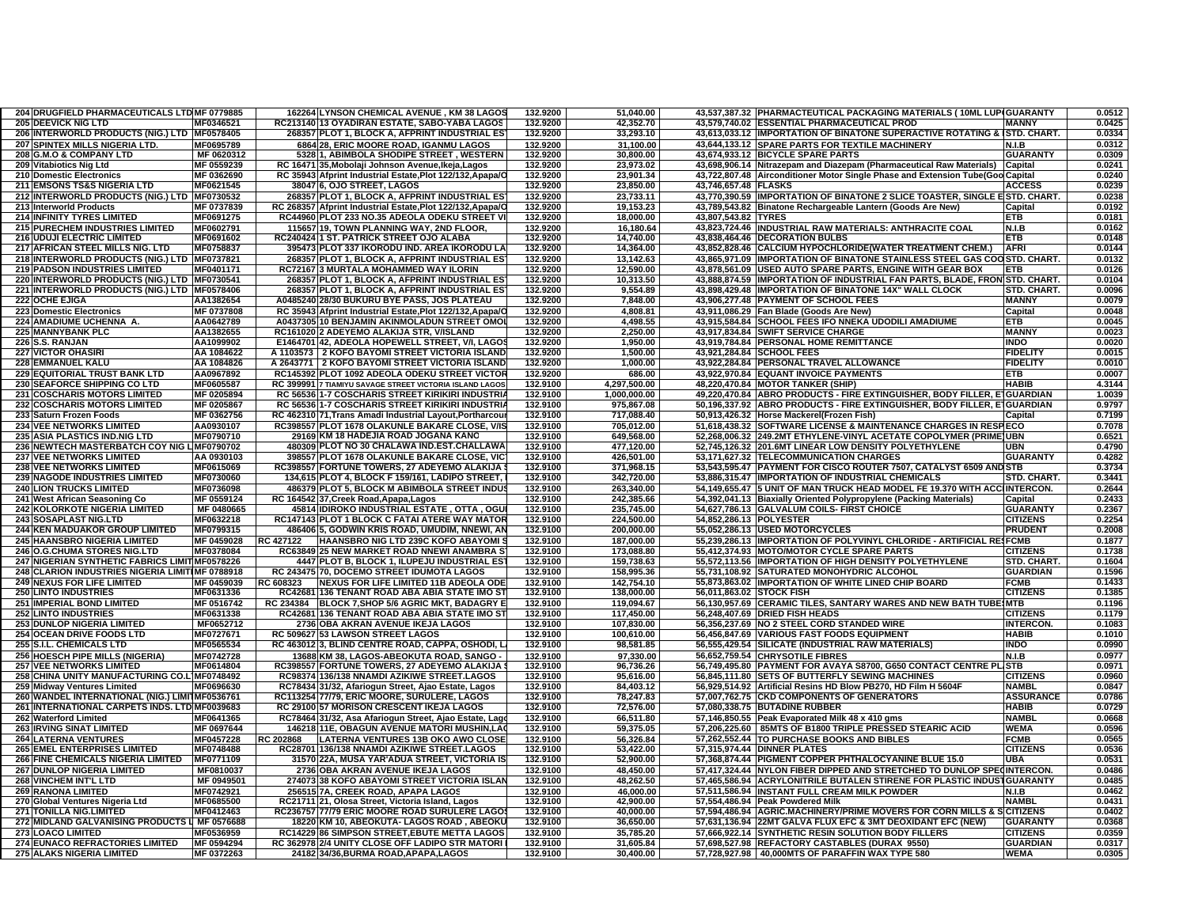| 204 DRUGFIELD PHARMACEUTICALS LTD MF 0779885    |                  | 162264 LYNSON CHEMICAL AVENUE, KM 38 LAGOS                 | 132.9200 | 51.040.00    |                          | 43,537,387.32  PHARMACTEUTICAL PACKAGING MATERIALS ( 10ML LUP(GUARANTY         |                   | 0.0512 |
|-------------------------------------------------|------------------|------------------------------------------------------------|----------|--------------|--------------------------|--------------------------------------------------------------------------------|-------------------|--------|
| <b>205 DEEVICK NIG LTD</b>                      | MF0346521        | RC213140 13 OYADIRAN ESTATE, SABO-YABA LAGOS               | 132.9200 | 42,352.70    |                          | 43,579,740.02 ESSENTIAL PHARMACEUTICAL PROD                                    | <b>MANNY</b>      | 0.0425 |
| 206 INTERWORLD PRODUCTS (NIG.) LTD MF0578405    |                  | 268357 PLOT 1, BLOCK A, AFPRINT INDUSTRIAL ES              | 132.9200 | 33,293.10    |                          | 43.613.033.12 IIMPORTATION OF BINATONE SUPERACTIVE ROTATING & ISTD. CHART.     |                   | 0.0334 |
| 207 SPINTEX MILLS NIGERIA LTD.                  | MF0695789        | 6864 28. ERIC MOORE ROAD. IGANMU LAGOS                     | 132.9200 | 31.100.00    |                          | 43,644,133.12 SPARE PARTS FOR TEXTILE MACHINERY                                | N.I.B             | 0.0312 |
| 208 G.M.O & COMPANY LTD                         | MF 0620312       | 5328 1, ABIMBOLA SHODIPE STREET, WESTERN                   | 132.9200 | 30.800.00    |                          | 43,674,933.12 BICYCLE SPARE PARTS                                              | <b>GUARANTY</b>   | 0.0309 |
| 209 Vitabiotics Nig Ltd                         | MF 0559239       | RC 16471 35, Mobolaji Johnson Avenue, Ikeja, Lagos         | 132.9200 | 23,973.02    |                          | 43,698,906.14 Nitrazepam and Diazepam (Pharmaceutical Raw Materials)           | Capital           | 0.0241 |
| 210 Domestic Electronics                        | MF 0362690       | RC 35943 Afprint Industrial Estate, Plot 122/132, Apapa/C  | 132.9200 | 23,901.34    |                          | 43,722,807.48 Airconditioner Motor Single Phase and Extension Tube(Goo Capital |                   | 0.0240 |
| 211 EMSONS TS&S NIGERIA LTD                     | MF0621545        |                                                            | 132.9200 | 23,850.00    | 43,746,657.48 FLASKS     |                                                                                | <b>ACCESS</b>     | 0.0239 |
|                                                 |                  | 38047 6, OJO STREET, LAGOS                                 | 132.9200 |              |                          |                                                                                |                   |        |
| 212 INTERWORLD PRODUCTS (NIG.) LTD MF0730532    |                  | 268357 PLOT 1, BLOCK A, AFPRINT INDUSTRIAL ES              |          | 23,733.11    |                          | 43,770,390.59 IMPORTATION OF BINATONE 2 SLICE TOASTER, SINGLE ESTD. CHART.     |                   | 0.0238 |
| 213 Interworld Products                         | MF 0737839       | RC 268357 Afprint Industrial Estate, Plot 122/132, Apapa/C | 132.9200 | 19,153.23    |                          | 43,789,543.82 Binatone Rechargeable Lantern (Goods Are New)                    | Capital           | 0.0192 |
| 214 INFINITY TYRES LIMITED                      | MF0691275        | RC44960 PLOT 233 NO.35 ADEOLA ODEKU STREET V               | 132.9200 | 18,000.00    | 43,807,543.82 TYRES      |                                                                                | ETB               | 0.0181 |
| 215 PURECHEM INDUSTRIES LIMITED                 | MF0602791        | 11565719. TOWN PLANNING WAY, 2ND FLOOR                     | 132.9200 | 16,180.64    |                          | 43,823,724.46 INDUSTRIAL RAW MATERIALS: ANTHRACITE COAL                        | N.I.B             | 0.0162 |
| 216 UDUJI ELECTRIC LIMITED                      | MF0691602        | RC240424 1 ST. PATRICK STREET OJO ALABA                    | 132.9200 | 14,740.00    |                          | 43,838,464.46   DECORATION BULBS                                               | ETB               | 0.0148 |
| 217 AFRICAN STEEL MILLS NIG. LTD                | MF0758837        | 395473 PLOT 337 IKORODU IND. AREA IKORODU LA               | 132.9200 | 14,364.00    |                          | 43,852,828.46 CALCIUM HYPOCHLORIDE(WATER TREATMENT CHEM.)                      | <b>AFRI</b>       | 0.0144 |
| 218 INTERWORLD PRODUCTS (NIG.) LTD MF0737821    |                  | 268357 PLOT 1, BLOCK A, AFPRINT INDUSTRIAL ES              | 132.9200 | 13,142.63    |                          | 43,865,971.09 IMPORTATION OF BINATONE STAINLESS STEEL GAS COOSTD. CHART.       |                   | 0.0132 |
| <b>219 PADSON INDUSTRIES LIMITED</b>            | MF0401171        | RC72167 3 MURTALA MOHAMMED WAY ILORIN                      | 132.9200 | 12,590.00    |                          | 43,878,561.09 USED AUTO SPARE PARTS, ENGINE WITH GEAR BOX                      | ETB               | 0.0126 |
| 220 INTERWORLD PRODUCTS (NIG.) LTD   MF0730541  |                  | 268357 PLOT 1, BLOCK A, AFPRINT INDUSTRIAL ES              | 132.9200 | 10,313.50    |                          | 43,888,874.59 IMPORTATION OF INDUSTRIAL FAN PARTS, BLADE, FRON STD. CHART.     |                   | 0.0104 |
| 221 INTERWORLD PRODUCTS (NIG.) LTD MF0578406    |                  | 268357 PLOT 1, BLOCK A, AFPRINT INDUSTRIAL ES              | 132.9200 | 9,554.89     |                          | 43,898,429.48 IMPORTATION OF BINATONE 14X" WALL CLOCK                          | STD. CHART.       | 0.0096 |
| <b>222 OCHE EJIGA</b>                           | AA1382654        | A0485240 28/30 BUKURU BYE PASS, JOS PLATEAU                | 132.9200 | 7,848.00     |                          | 43,906,277.48 PAYMENT OF SCHOOL FEES                                           | <b>MANNY</b>      | 0.0079 |
| 223 Domestic Electronics                        | MF 0737808       | RC 35943 Afprint Industrial Estate, Plot 122/132, Apapa/C  | 132.9200 | 4,808.81     |                          | 43,911,086.29 Fan Blade (Goods Are New)                                        | Capital           | 0.0048 |
|                                                 |                  |                                                            |          |              |                          |                                                                                |                   |        |
| 224 AMADIUME UCHENNA A.                         | AA0642789        | A0437305 10 BENJAMIN AKINMOLADUN STREET OMO                | 132.9200 | 4,498.55     |                          | 43,915,584.84 SCHOOL FEES IFO NNEKA UDODILI AMADIUME                           | ETB               | 0.0045 |
| <b>225 MANNYBANK PLC</b>                        | AA1382655        | RC161020 2 ADEYEMO ALAKIJA STR, V/ISLAND                   | 132.9200 | 2,250.00     |                          | 43,917,834.84 SWIFT SERVICE CHARGE                                             | <b>MANNY</b>      | 0.0023 |
| 226 S.S. RANJAN                                 | AA1099902        | E1464701 42, ADEOLA HOPEWELL STREET, V/I, LAGO             | 132.9200 | 1,950.00     |                          | 43,919,784.84 PERSONAL HOME REMITTANCE                                         | <b>INDO</b>       | 0.0020 |
| <b>227 VICTOR OHASIRI</b>                       | AA 1084622       | A 1103573   2 KOFO BAYOMI STREET VICTORIA ISLAND           | 132.9200 | 1,500.00     |                          | 43,921,284.84 SCHOOL FEES                                                      | <b>FIDELITY</b>   | 0.0015 |
| <b>228 EMMANUEL KALU</b>                        | AA 1084826       | A 2643771 2 KOFO BAYOMI STREET VICTORIA ISLAND             | 132.9200 | 1.000.00     |                          | 43,922,284.84 PERSONAL TRAVEL ALLOWANCE                                        | <b>FIDELITY</b>   | 0.0010 |
| <b>229 EQUITORIAL TRUST BANK LTD</b>            | AA0967892        | RC145392 PLOT 1092 ADEOLA ODEKU STREET VICTOR              | 132.9200 | 686.00       |                          | 43,922,970.84 EQUANT INVOICE PAYMENTS                                          | ETB               | 0.0007 |
| <b>230 SEAFORCE SHIPPING CO LTD</b>             | MF0605587        | RC 399991 7 TIAMIYU SAVAGE STREET VICTORIA ISLAND LAGOS    | 132.9100 | 4,297,500.00 |                          | 48,220,470.84 MOTOR TANKER (SHIP)                                              | <b>HABIB</b>      | 4.3144 |
| 231 COSCHARIS MOTORS LIMITED                    | MF 0205894       | RC 56536 1-7 COSCHARIS STREET KIRIKIRI INDUSTRI            | 132.9100 | 1,000,000.00 |                          | 49,220,470.84 ABRO PRODUCTS - FIRE EXTINGUISHER, BODY FILLER, ETGUARDIAN       |                   | 1.0039 |
| <b>232 COSCHARIS MOTORS LIMITED</b>             | MF 0205867       | RC 56536 1-7 COSCHARIS STREET KIRIKIRI INDUSTRI            | 132.9100 | 975,867.08   |                          | 50,196,337.92 ABRO PRODUCTS - FIRE EXTINGUISHER, BODY FILLER, ETGUARDIAN       |                   | 0.9797 |
| 233 Saturn Frozen Foods                         | MF 0362756       | RC 462310 71, Trans Amadi Industrial Layout, Portharcou    | 132.9100 | 717,088.40   |                          | 50,913,426.32 Horse Mackerel(Frozen Fish)                                      | Capital           | 0.7199 |
| <b>234 VEE NETWORKS LIMITED</b>                 | AA0930107        | RC398557 PLOT 1678 OLAKUNLE BAKARE CLOSE, V/IS             | 132.9100 | 705,012.00   |                          | 51,618,438.32 SOFTWARE LICENSE & MAINTENANCE CHARGES IN RESPIECO               |                   | 0.7078 |
|                                                 |                  |                                                            |          |              |                          |                                                                                |                   |        |
| <b>235 ASIA PLASTICS IND.NIG LTD</b>            | MF0790710        | 29169 KM 18 HADEJIA ROAD JOGANA KANO                       | 132.9100 | 649,568.00   |                          | 52,268,006.32 249.2MT ETHYLENE-VINYL ACETATE COPOLYMER (PRIME)UBN              |                   | 0.6521 |
| 236 NEWTECH MASTERBATCH COY NIG LIMF0790702     |                  | 480309 PLOT NO 30 CHALAWA IND.EST.CHALLAWA                 | 132.9100 | 477,120.00   |                          | 52,745,126.32 201.6MT LINEAR LOW DENSITY POLYETHYLENE                          | UBN               | 0.4790 |
| <b>237 VEE NETWORKS LIMITED</b>                 | AA 0930103       | 398557 PLOT 1678 OLAKUNLE BAKARE CLOSE, VICT               | 132.9100 | 426,501.00   |                          | 53.171.627.32 TELECOMMUNICATION CHARGES                                        | <b>GUARANTY</b>   | 0.4282 |
| <b>238 VEE NETWORKS LIMITED</b>                 | MF0615069        | RC398557 FORTUNE TOWERS, 27 ADEYEMO ALAKIJA                | 132.9100 | 371,968.15   |                          | 53,543,595.47   PAYMENT FOR CISCO ROUTER 7507, CATALYST 6509 AND STB           |                   | 0.3734 |
| <b>239 NAGODE INDUSTRIES LIMITED</b>            | MF0730060        | 134,615 PLOT 4, BLOCK F 159/161, LADIPO STREET,            | 132.9100 | 342,720.00   |                          | 53,886,315.47 IMPORTATION OF INDUSTRIAL CHEMICALS                              | STD. CHART.       | 0.3441 |
| <b>240 LION TRUCKS LIMITED</b>                  | MF0736098        | 486379 PLOT 5, BLOCK M ABIMBOLA STREET INDU                | 132.9100 | 263,340.00   |                          | 54,149,655.47 5 UNIT OF MAN TRUCK HEAD MODEL FE 19.370 WITH ACCIINTERCON.      |                   | 0.2644 |
| 241 West African Seasoning Co                   | MF 0559124       | RC 164542 37, Creek Road, Apapa, Lagos                     | 132.9100 | 242,385.66   |                          | 54,392,041.13 Biaxially Oriented Polypropylene (Packing Materials)             | Capital           | 0.2433 |
| <b>242 KOLORKOTE NIGERIA LIMITED</b>            | MF 0480665       | 45814 IDIROKO INDUSTRIAL ESTATE , OTTA , OGU               | 132.9100 | 235.745.00   |                          | 54.627.786.13 GALVALUM COILS- FIRST CHOICE                                     | <b>GUARANTY</b>   | 0.2367 |
| 243 SOSAPLAST NIG.LTD                           | MF0632218        | RC147143 PLOT 1 BLOCK C FATAI ATERE WAY MATOR              | 132.9100 | 224,500.00   | 54,852,286.13 POLYESTER  |                                                                                | <b>CITIZENS</b>   | 0.2254 |
| <b>244 KEN MADUAKOR GROUP LIMITED</b>           | MF0799315        | 486406 5, GODWIN KRIS ROAD, UMUDIM, NNEWI, AI              | 132.9100 | 200,000.00   |                          | 55,052,286.13 USED MOTORCYCLES                                                 | <b>PRUDENT</b>    | 0.2008 |
| <b>245 HAANSBRO NIGERIA LIMITED</b>             | MF 0459028       | HAANSBRO NIG LTD 239C KOFO ABAYOMI S<br><b>RC 427122</b>   | 132.9100 | 187,000.00   |                          | 55,239,286.13 IMPORTATION OF POLYVINYL CHLORIDE - ARTIFICIAL RESFCMB           |                   | 0.1877 |
|                                                 |                  | RC63849 25 NEW MARKET ROAD NNEWI ANAMBRA S                 |          |              |                          | 55,412,374.93 MOTO/MOTOR CYCLE SPARE PARTS                                     |                   |        |
| 246 O.G.CHUMA STORES NIG.LTD                    | MF0378084        |                                                            | 132.9100 | 173,088.80   |                          |                                                                                | <b>CITIZENS</b>   | 0.1738 |
| 247 NIGERIAN SYNTHETIC FABRICS LIMITIMF0578226  |                  | 4447 PLOT B, BLOCK 1, ILUPEJU INDUSTRIAL ES                | 132.9100 | 159,738.63   |                          | 55,572,113.56 IMPORTATION OF HIGH DENSITY POLYETHYLENE                         | <b>STD. CHART</b> | 0.1604 |
| 248 CLARION INDUSTRIES NIGERIA LIMITIMF 0788918 |                  | RC 243475 70, DOCEMO STREET IDUMOTA LAGOS                  | 132.9100 | 158,995.36   |                          | 55,731,108.92 SATURATED MONOHYDRIC ALCOHOL                                     | <b>GUARDIAN</b>   | 0.1596 |
| <b>249 NEXUS FOR LIFE LIMITED</b>               | MF 0459039       | RC 608323<br>NEXUS FOR LIFE LIMITED 11B ADEOLA ODE         | 132.9100 | 142,754.10   |                          | 55,873,863.02 IMPORTATION OF WHITE LINED CHIP BOARD                            | <b>FCMB</b>       | 0.1433 |
| <b>250 LINTO INDUSTRIES</b>                     | MF0631336        | RC42681 136 TENANT ROAD ABA ABIA STATE IMO ST              | 132.9100 | 138,000.00   | 56,011,863.02 STOCK FISH |                                                                                | <b>CITIZENS</b>   | 0.1385 |
| <b>251 IMPERIAL BOND LIMITED</b>                | MF 0516742       | RC 234384 BLOCK 7, SHOP 5/6 AGRIC MKT, BADAGRY E           | 132.9100 | 119,094.67   |                          | 56,130,957.69 CERAMIC TILES, SANTARY WARES AND NEW BATH TUBE MTB               |                   | 0.1196 |
| <b>252 LINTO INDUSTRIES</b>                     | MF0631338        | RC42681 136 TENANT ROAD ABA ABIA STATE IMO ST              | 132.9100 | 117,450.00   |                          | 56,248,407.69 DRIED FISH HEADS                                                 | <b>CITIZENS</b>   | 0.1179 |
| <b>253 DUNLOP NIGERIA LIMITED</b>               | MF0652712        | 2736 OBA AKRAN AVENUE IKEJA LAGOS                          | 132.9100 | 107,830.00   |                          | 56,356,237.69 NO 2 STEEL CORD STANDED WIRE                                     | <b>INTERCON.</b>  | 0.1083 |
| <b>254 OCEAN DRIVE FOODS LTD</b>                | MF0727671        | RC 509627 53 LAWSON STREET LAGOS                           | 132.9100 | 100.610.00   |                          | 56,456,847.69 VARIOUS FAST FOODS EQUIPMENT                                     | <b>HABIB</b>      | 0.1010 |
| 255 S.I.L. CHEMICALS LTD                        | MF0565534        | RC 463012 3, BLIND CENTRE ROAD, CAPPA, OSHODI, I           | 132.9100 | 98,581.85    |                          | 56,555,429.54 SILICATE (INDUSTRIAL RAW MATERIALS)                              | <b>INDO</b>       | 0.0990 |
| 256 HOESCH PIPE MILLS (NIGERIA)                 | MF0742728        | 13688 KM 38, LAGOS-ABEOKUTA ROAD, SANGO -                  | 132.9100 | 97,330.00    |                          | 56,652,759.54 CHRYSOTILE FIBRES                                                | N.I.B             | 0.0977 |
| <b>257 VEE NETWORKS LIMITED</b>                 | MF0614804        | RC398557 FORTUNE TOWERS, 27 ADEYEMO ALAKIJA                | 132.9100 | 96,736.26    |                          | 56,749,495.80 PAYMENT FOR AVAYA S8700, G650 CONTACT CENTRE PLISTB              |                   | 0.0971 |
| 258 CHINA UNITY MANUFACTURING CO.L MF0748492    |                  |                                                            | 132.9100 |              |                          | 56,845,111.80 SETS OF BUTTERFLY SEWING MACHINES                                | <b>CITIZENS</b>   | 0.0960 |
|                                                 |                  | RC98374 136/138 NNAMDI AZIKIWE STREET.LAGOS                |          | 95,616.00    |                          |                                                                                |                   |        |
| 259 Midway Ventures Limited                     | MF0696630        | RC78434 31/32, Afariogun Street, Ajao Estate, Lagos        | 132.9100 | 84,403.12    |                          | 56,929,514.92 Artificial Resins HD Blow PB270, HD Film H 5604F                 | <b>NAMBL</b>      | 0.0847 |
| 260 WANDEL INTERNATIONAL (NIG.) LIMITMF0536761  |                  | RC113254 77/79, ERIC MOORE, SURULERE, LAGOS                | 132.9100 | 78,247.83    |                          | 57,007,762.75 CKD COMPONENTS OF GENERATORS                                     | <b>ASSURANCE</b>  | 0.0786 |
| 261 INTERNATIONAL CARPETS INDS. LTD MF0039683   |                  | RC 29100 57 MORISON CRESCENT IKEJA LAGOS                   | 132.9100 | 72,576.00    |                          | 57,080,338.75 BUTADINE RUBBER                                                  | <b>HABIB</b>      | 0.0729 |
| 262 Waterford Limited                           | MF0641365        | RC78464 31/32, Asa Afariogun Street, Ajao Estate, Lag      | 132.9100 | 66.511.80    |                          | 57,146,850.55 Peak Evaporated Milk 48 x 410 gms                                | <b>NAMBI</b>      | 0.0668 |
| <b>263 IRVING SINAT LIMITED</b>                 | MF 0697644       | 146218 11E, OBAGUN AVENUE MATORI MUSHIN, LA                | 132.9100 | 59,375.05    |                          | 57,206,225.60   85MTS OF B1800 TRIPLE PRESSED STEARIC ACID                     | <b>WEMA</b>       | 0.0596 |
| <b>264 LATERNA VENTURES</b>                     | MF0457228        | RC 202868<br>LATERNA VENTURES 13B OKO AWO CLOSE            | 132.9100 | 56,326.84    |                          | 57,262,552.44 TO PURCHASE BOOKS AND BIBLES                                     | <b>FCMB</b>       | 0.0565 |
| <b>265 EMEL ENTERPRISES LIMITED</b>             | MF0748488        | RC28701 136/138 NNAMDI AZIKIWE STREET.LAGOS                | 132.9100 | 53,422.00    |                          | 57,315,974.44 DINNER PLATES                                                    | <b>CITIZENS</b>   | 0.0536 |
| <b>266 FINE CHEMICALS NIGERIA LIMITED</b>       | MF0771109        | 31570 22A, MUSA YAR'ADUA STREET, VICTORIA IS               | 132.9100 | 52,900.00    |                          | 57,368,874.44 PIGMENT COPPER PHTHALOCYANINE BLUE 15.0                          | <b>UBA</b>        | 0.0531 |
| <b>267 DUNLOP NIGERIA LIMITED</b>               | MF0810037        | 2736 OBA AKRAN AVENUE IKEJA LAGOS                          | 132.9100 | 48,450.00    |                          | 57,417,324.44 NYLON FIBER DIPPED AND STRETCHED TO DUNLOP SPECINTERCON.         |                   | 0.0486 |
| 268 VINCHEM INT'L LTD                           | MF 0949501       | 274073 38 KOFO ABAYOMI STREET VICTORIA ISLAI               | 132.9100 | 48,262.50    |                          | 57,465,586.94 ACRYLONITRILE BUTALEN STIRENE FOR PLASTIC INDUSTGUARANTY         |                   | 0.0485 |
|                                                 |                  |                                                            |          |              |                          |                                                                                |                   | 0.0462 |
| <b>269 RANONA LIMITED</b>                       | MF0742921        | 256515 7A, CREEK ROAD, APAPA LAGOS                         | 132.9100 | 46,000.00    |                          | 57,511,586.94 IINSTANT FULL CREAM MILK POWDER                                  | N.I.B<br>NAMBL    | 0.0431 |
| 270 Global Ventures Nigeria Ltd                 | <b>MF0685500</b> | RC21711 21, Olosa Street, Victoria Island, Lagos           | 132.9100 | 42,900.00    |                          | 57,554,486.94 Peak Powdered Milk                                               |                   |        |
| 271 TONILLA NIG.LIMITED                         | MF0412463        | RC236757 77/79 ERIC MOORE ROAD SURULERE LAGO               | 132.9100 | 40,000.00    |                          | 57,594,486.94 AGRIC.MACHINERY/PRIME MOVERS FOR CORN MILLS & SCITIZENS          |                   | 0.0402 |
| 272 MIDLAND GALVANISING PRODUCTS L MF 0576688   |                  | 18220 KM 10, ABEOKUTA- LAGOS ROAD, ABEOKI                  | 132.9100 | 36,650.00    |                          | 57,631,136.94 22MT GALVA FLUX EFC & 3MT DEOXIDANT EFC (NEW)                    | <b>GUARANTY</b>   | 0.0368 |
| <b>273 LOACO LIMITED</b>                        | MF0536959        | RC14229 86 SIMPSON STREET, EBUTE METTA LAGOS               | 132.9100 | 35,785.20    |                          | 57,666,922.14 SYNTHETIC RESIN SOLUTION BODY FILLERS                            | <b>CITIZENS</b>   | 0.0359 |
| <b>274 EUNACO REFRACTORIES LIMITED</b>          | MF 0594294       | RC 362978 2/4 UNITY CLOSE OFF LADIPO STR MATORI            | 132.9100 | 31,605.84    |                          | 57,698,527.98 REFACTORY CASTABLES (DURAX 9550)                                 | <b>GUARDIAN</b>   | 0.0317 |
| <b>275 ALAKS NIGERIA LIMITED</b>                | MF 0372263       | 24182 34/36, BURMA ROAD, APAPA, LAGOS                      | 132.9100 | 30,400.00    |                          | 57,728,927.98   40,000MTS OF PARAFFIN WAX TYPE 580                             | <b>WEMA</b>       | 0.0305 |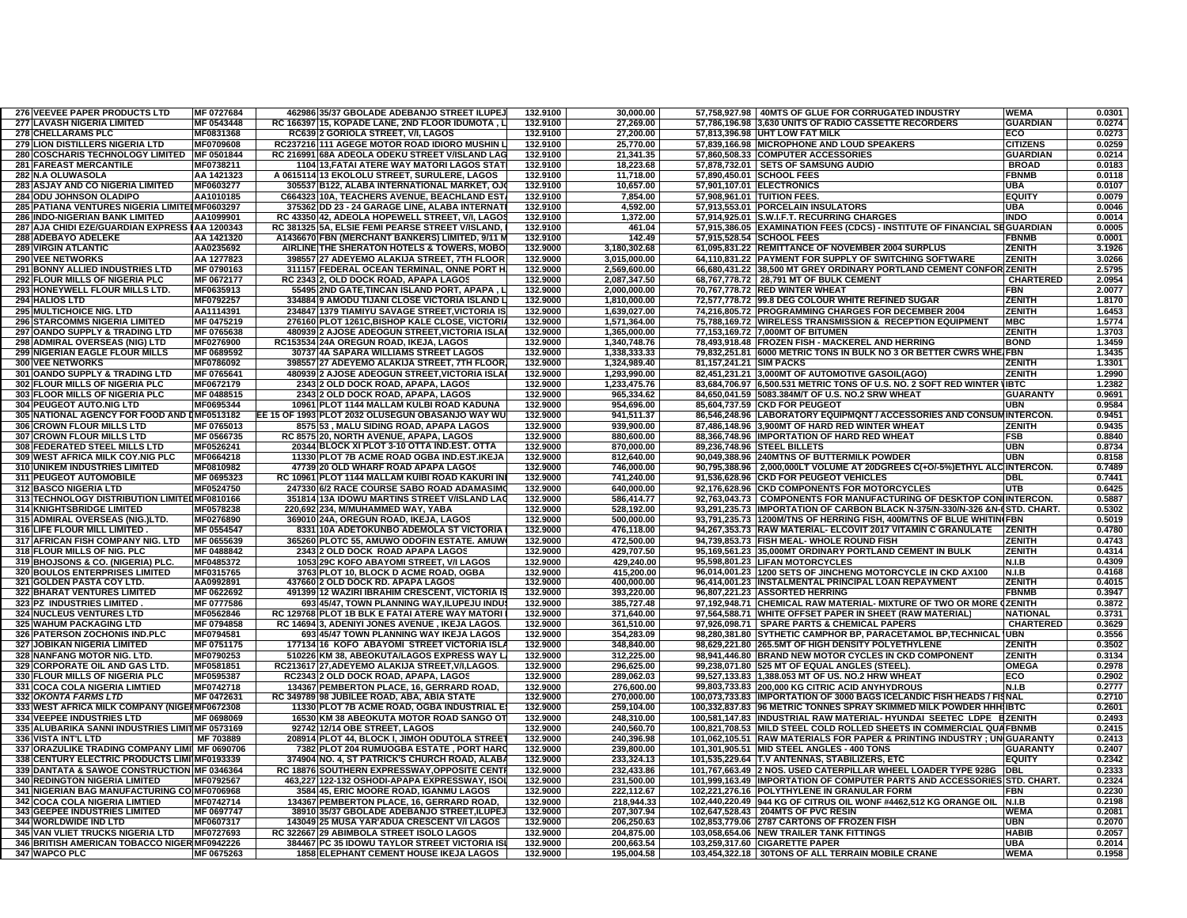| 276 VEEVEE PAPER PRODUCTS LTD                                                    | MF 0727684               | 462986 35/37 GBOLADE ADEBANJO STREET ILUPEJ                                              | 132.9100             | 30.000.00                    |                             | 57,758,927.98   40MTS OF GLUE FOR CORRUGATED INDUSTRY                                                                                       | <b>WEMA</b>      | 0.0301           |
|----------------------------------------------------------------------------------|--------------------------|------------------------------------------------------------------------------------------|----------------------|------------------------------|-----------------------------|---------------------------------------------------------------------------------------------------------------------------------------------|------------------|------------------|
| <b>277 LAVASH NIGERIA LIMITED</b>                                                | MF 0543448               | RC 166397 15, KOPADE LANE, 2ND FLOOR IDUMOTA, L                                          | 132.9100             | 27,269.00                    |                             | 57,786,196.98 3,630 UNITS OF RADIO CASSETTE RECORDERS                                                                                       | <b>GUARDIAN</b>  | 0.0274           |
| <b>278 CHELLARAMS PLC</b>                                                        | MF0831368                | RC639 2 GORIOLA STREET. V/I. LAGOS                                                       | 132.9100             | 27.200.00                    |                             | 57.813.396.98 UHT LOW FAT MILK                                                                                                              | ECO              | 0.0273           |
| <b>279 LION DISTILLERS NIGERIA LTD</b>                                           | MF0709608                | RC237216 111 AGEGE MOTOR ROAD IDIORO MUSHIN                                              | 132.9100             | 25.770.00                    |                             | 57.839.166.98 MICROPHONE AND LOUD SPEAKERS                                                                                                  | <b>CITIZENS</b>  | 0.0259           |
| 280 COSCHARIS TECHNOLOGY LIMITED MF 0501844                                      |                          | RC 216991 68A ADEOLA ODEKU STREET V/ISLAND LAG                                           | 132.9100             | 21,341.35                    |                             | 57.860.508.33 COMPUTER ACCESSORIES                                                                                                          | <b>GUARDIAN</b>  | 0.0214           |
| <b>281 FAREAST MERCANTILE</b>                                                    | MF0738211                | 1104 13, FATAI ATERE WAY MATORI LAGOS STAT                                               | 132.9100             | 18,223.68                    |                             | 57,878,732.01 SETS OF SAMSUNG AUDIO                                                                                                         | <b>BROAD</b>     | 0.0183           |
| 282 N.A OLUWASOLA                                                                | AA 1421323               | A 0615114 13 EKOLOLU STREET, SURULERE, LAGOS                                             | 132.9100             | 11,718.00                    |                             | 57,890,450.01 SCHOOL FEES                                                                                                                   | <b>FBNMB</b>     | 0.0118           |
| <b>283 ASJAY AND CO NIGERIA LIMITED</b>                                          | MF0603277                | 305537 B122, ALABA INTERNATIONAL MARKET, O.                                              | 132.9100             | 10,657.00                    |                             | 57,901,107.01 ELECTRONICS                                                                                                                   | UBA              | 0.0107           |
| 284 ODU JOHNSON OLADIPO                                                          | AA1010185                | C664323 10A, TEACHERS AVENUE, BEACHLAND EST                                              | 132.9100             | 7,854.00                     | 57,908,961.01 TUITION FEES. |                                                                                                                                             | <b>EQUITY</b>    | 0.0079           |
| 285 PATIANA VENTURES NIGERIA LIMITEIMF0603297                                    |                          | 375362 DD 23 - 24 GARAGE LINE, ALABA INTERNAT                                            | 132.9100             | 4,592.00                     |                             | 57,913,553.01 PORCELAIN INSULATORS                                                                                                          | <b>UBA</b>       | 0.0046           |
| <b>286 INDO-NIGERIAN BANK LIMITED</b>                                            | AA1099901                | RC 43350 42, ADEOLA HOPEWELL STREET, V/I, LAGO                                           | 132.9100             | 1,372.00                     |                             | 57,914,925.01 S.W.I.F.T. RECURRING CHARGES                                                                                                  | <b>INDO</b>      | 0.0014           |
| 287 AJA CHIDI EZE/GUARDIAN EXPRESS IAA 1200343                                   |                          | RC 381325 5A, ELSIE FEMI PEARSE STREET V/ISLAND                                          | 132.9100             | 461.04                       |                             | 57,915,386.05 EXAMINATION FEES (CDCS) - INSTITUTE OF FINANCIAL SEGUARDIAN                                                                   |                  | 0.0005           |
| 288 ADEBAYO ADELEKE                                                              | AA 1421320               | A1436670 FBN (MERCHANT BANKERS) LIMITED, 9/11                                            | 132.9100             | 142.49                       |                             | 57,915,528.54 SCHOOL FEES                                                                                                                   | <b>FBNMB</b>     | 0.0001           |
| <b>289 VIRGIN ATLANTIC</b>                                                       | AA0235692                | AIRLINE THE SHERATON HOTELS & TOWERS, MOBO                                               | 132.9000             | 3,180,302.68                 |                             | 61,095,831.22 REMITTANCE OF NOVEMBER 2004 SURPLUS                                                                                           | <b>ZENITH</b>    | 3.1926           |
| 290 VEE NETWORKS                                                                 | AA 1277823               | 398557 27 ADEYEMO ALAKIJA STREET, 7TH FLOOR                                              | 132.9000             | 3,015,000.00                 |                             | 64,110,831.22 PAYMENT FOR SUPPLY OF SWITCHING SOFTWARE                                                                                      | <b>ZENITH</b>    | 3.0266           |
| 291 BONNY ALLIED INDUSTRIES LTD                                                  | MF 0790163<br>MF 0672177 | 311157 FEDERAL OCEAN TERMINAL, ONNE PORT H                                               | 132.9000<br>132.9000 | 2,569,600.00                 |                             | 66,680,431.22 38,500 MT GREY ORDINARY PORTLAND CEMENT CONFOR ZENITH                                                                         | <b>CHARTERED</b> | 2.5795<br>2.0954 |
| 292 FLOUR MILLS OF NIGERIA PLC<br>293 HONEYWELL FLOUR MILLS LTD.                 | MF0635913                | RC 2343 2, OLD DOCK ROAD, APAPA LAGOS<br>55495 2ND GATE.TINCAN ISLAND PORT, APAPA.       | 132.9000             | 2,087,347.50<br>2.000.000.00 |                             | 68,767,778.72   28,791 MT OF BULK CEMENT                                                                                                    | <b>FBN</b>       | 2.0077           |
| <b>294 HALIOS LTD</b>                                                            | MF0792257                | 334884 9 AMODU TIJANI CLOSE VICTORIA ISLAND                                              | 132.9000             | 1,810,000.00                 |                             | 70,767,778.72 RED WINTER WHEAT<br>72,577,778.72 99.8 DEG COLOUR WHITE REFINED SUGAR                                                         | <b>ZENITH</b>    | 1.8170           |
| 295 MULTICHOICE NIG. LTD                                                         | AA1114391                | 234847 1379 TIAMIYU SAVAGE STREET, VICTORIA I                                            | 132.9000             | 1,639,027.00                 |                             | 74,216,805.72 PROGRAMMING CHARGES FOR DECEMBER 2004                                                                                         | ZENITH           | 1.6453           |
| <b>296 STARCOMMS NIGERIA LIMITED</b>                                             | MF 0475219               | 276160 PLOT 1261C, BISHOP KALE CLOSE, VICTOR                                             | 132.9000             | 1,571,364.00                 |                             | 75,788,169.72 WIRELESS TRANSMISSION & RECEPTION EQUIPMENT                                                                                   | <b>MBC</b>       | 1.5774           |
| 297 OANDO SUPPLY & TRADING LTD                                                   | MF 0765638               | 480939 2 AJOSE ADEOGUN STREET, VICTORIA ISLA                                             | 132.9000             | 1,365,000.00                 |                             | 77,153,169.72 7,000MT OF BITUMEN                                                                                                            | ZENITH           | 1.3703           |
| 298 ADMIRAL OVERSEAS (NIG) LTD                                                   | MF0276900                | RC153534 24A OREGUN ROAD, IKEJA, LAGOS                                                   | 132.9000             | 1.340.748.76                 |                             | 78,493,918.48 FROZEN FISH - MACKEREL AND HERRING                                                                                            | <b>BOND</b>      | 1.3459           |
| 299 NIGERIAN EAGLE FLOUR MILLS                                                   | MF 0689592               | 30737 4A SAPARA WILLIAMS STREET LAGOS                                                    | 132.9000             | 1,338,333.33                 |                             | 79,832,251.81 6000 METRIC TONS IN BULK NO 3 OR BETTER CWRS WHE FBN                                                                          |                  | 1.3435           |
| <b>300 VEE NETWORKS</b>                                                          | MF0786092                | 398557 27 ADEYEMO ALAKIJA STREET, 7TH FLOOF                                              | 132.9000             | 1,324,989.40                 | 81,157,241.21 SIM PACKS     |                                                                                                                                             | <b>ZENITH</b>    | 1.3301           |
| 301 OANDO SUPPLY & TRADING LTD                                                   | MF 0765641               | 480939 2 AJOSE ADEOGUN STREET, VICTORIA ISLA                                             | 132.9000             | 1,293,990.00                 |                             | 82,451,231.21 3,000MT OF AUTOMOTIVE GASOIL(AGO)                                                                                             | <b>ZENITH</b>    | 1.2990           |
| 302 FLOUR MILLS OF NIGERIA PLC                                                   | MF0672179                | 2343 2 OLD DOCK ROAD, APAPA, LAGOS                                                       | 132.9000             | 1,233,475.76                 |                             | 83,684,706.97 6,500.531 METRIC TONS OF U.S. NO. 2 SOFT RED WINTER VIBTC                                                                     |                  | 1.2382           |
| 303 FLOOR MILLS OF NIGERIA PLC                                                   | MF 0488515               | 2343 2 OLD DOCK ROAD, APAPA, LAGOS                                                       | 132.9000             | 965,334.62                   |                             | 84,650,041.59 5083.384M/T OF U.S. NO.2 SRW WHEAT                                                                                            | <b>GUARANTY</b>  | 0.9691           |
| 304 PEUGEOT AUTO.NIG LTD                                                         | MF0695344                | 10961 PLOT 1144 MALLAM KULBI ROAD KADUNA                                                 | 132.9000             | 954,696.00                   |                             | 85,604,737.59 CKD FOR PEUGEOT                                                                                                               | UBN              | 0.9584           |
| 305 NATIONAL AGENCY FOR FOOD AND IMF0513182                                      |                          | EE 15 OF 1993 PLOT 2032 OLUSEGUN OBASANJO WAY WI                                         | 132.9000             | 941,511.37                   |                             | 86,546,248.96 LABORATORY EQUIPMQNT / ACCESSORIES AND CONSUMINTERCON.                                                                        |                  | 0.9451           |
| 306 CROWN FLOUR MILLS LTD                                                        | MF 0765013               | 8575 53, MALU SIDING ROAD, APAPA LAGOS                                                   | 132.9000             | 939,900.00                   |                             | 87,486,148.96 3,900MT OF HARD RED WINTER WHEAT                                                                                              | <b>ZENITH</b>    | 0.9435           |
| 307 CROWN FLOUR MILLS LTD                                                        | MF 0566735               | RC 8575 20, NORTH AVENUE, APAPA, LAGOS                                                   | 132.9000             | 880,600.00                   |                             | 88,366,748.96 IMPORTATION OF HARD RED WHEAT                                                                                                 | FSB              | 0.8840           |
| 308 FEDERATED STEEL MILLS LTD                                                    | MF0526241                | 20344 BLOCK XI PLOT 3-10 OTTA IND.EST. OTTA                                              | 132.9000             | 870,000.00                   |                             | 89,236,748.96 STEEL BILLETS                                                                                                                 | UBN              | 0.8734           |
| 309 WEST AFRICA MILK COY.NIG PLC                                                 | MF0664218                | 11330 PLOT 7B ACME ROAD OGBA IND.EST.IKEJA                                               | 132.9000             | 812.640.00                   |                             | 90,049,388.96 240MTNS OF BUTTERMILK POWDER                                                                                                  | <b>UBN</b>       | 0.8158           |
| <b>310 UNIKEM INDUSTRIES LIMITED</b>                                             | MF0810982                | 47739 20 OLD WHARF ROAD APAPA LAGOS                                                      | 132.9000             | 746.000.00                   |                             | 90,795,388.96 2,000,000LT VOLUME AT 20DGREES C(+O/-5%)ETHYL ALC INTERCON.                                                                   |                  | 0.7489           |
| 311 PEUGEOT AUTOMOBILE                                                           | MF 0695323               | RC 10961 PLOT 1144 MALLAM KUIBI ROAD KAKURI IN                                           | 132.9000             | 741.240.00                   |                             | 91.536.628.96 CKD FOR PEUGEOT VEHICLES                                                                                                      | DBL              | 0.7441           |
| 312 BASCO NIGERIA LTD                                                            | MF0524750                | 247330 6/2 RACE COURSE SABO ROAD ADAMASIM                                                | 132.9000             | 640.000.00                   |                             | 92,176,628.96 CKD COMPONENTS FOR MOTORCYCLES                                                                                                | UTR              | 0.6425           |
| 313 TECHNOLOGY DISTRIBUTION LIMITED MF0810166                                    |                          | 351814 13A IDOWU MARTINS STREET V/ISLAND LAO                                             | 132.9000             | 586,414.77                   |                             | 92,763,043.73 COMPONENTS FOR MANUFACTURING OF DESKTOP CONHINTERCON                                                                          |                  | 0.5887           |
| 314 KNIGHTSBRIDGE LIMITED                                                        | MF0578238                | 220,692 234, M/MUHAMMED WAY, YABA                                                        | 132.9000             | 528,192.00                   |                             | 93,291,235.73 IMPORTATION OF CARBON BLACK N-375/N-330/N-326 &N-6STD. CHART.                                                                 |                  | 0.5302           |
| 315 ADMIRAL OVERSEAS (NIG.)LTD.                                                  | MF0276890                | 369010 24A, OREGUN ROAD, IKEJA, LAGOS                                                    | 132.9000             | 500,000.00                   |                             | 93,791,235.73 1200M/TNS OF HERRING FISH, 400M/TNS OF BLUE WHITIN(FBN                                                                        |                  | 0.5019           |
| 316 LIFE FLOUR MILL LIMITED                                                      | MF 0554547               | 8331 10A ADETOKUNBO ADEMOLA ST VICTORIA                                                  | 132.9000             | 476,118.00                   |                             | 94,267,353.73 RAW MATERIAL- ELCOVIT 2017 VITAMIN C GRANULATE                                                                                | <b>ZENITH</b>    | 0.4780           |
| 317 AFRICAN FISH COMPANY NIG. LTD                                                | MF 0655639               | 365260 PLOTC 55, AMUWO ODOFIN ESTATE. AMUW                                               | 132.9000             | 472,500.00                   |                             | 94,739,853.73 FISH MEAL-WHOLE ROUND FISH                                                                                                    | <b>ZENITH</b>    | 0.4743           |
| 318 FLOUR MILLS OF NIG. PLC                                                      | MF 0488842               | 2343 2 OLD DOCK ROAD APAPA LAGOS                                                         | 132.9000             | 429,707.50                   |                             | 95,169,561.23 35,000MT ORDINARY PORTLAND CEMENT IN BULK                                                                                     | <b>ZENITH</b>    | 0.4314           |
| 319 BHOJSONS & CO. (NIGERIA) PLC.                                                | MF0485372                | 1053 29C KOFO ABAYOMI STREET, V/I LAGOS                                                  | 132.9000             | 429,240.00                   |                             | 95,598,801.23 LIFAN MOTORCYCLES                                                                                                             | N.I.B            | 0.4309           |
| 320 BOULOS ENTERPRISES LIMITED                                                   | MF0315765                | 3763 PLOT 10, BLOCK D ACME ROAD, OGBA                                                    | 132.9000             | 415,200.00                   |                             | 96,014,001.23 1200 SETS OF JINCHENG MOTORCYCLE IN CKD AX100                                                                                 | <b>N.I.B</b>     | 0.4168           |
| 321 GOLDEN PASTA COY LTD.                                                        | AA0992891                | 437660 2 OLD DOCK RD. APAPA LAGOS                                                        | 132.9000             | 400,000.00                   |                             | 96,414,001.23  INSTALMENTAL PRINCIPAL LOAN REPAYMENT                                                                                        | <b>ZENITH</b>    | 0.4015           |
| 322 BHARAT VENTURES LIMITED                                                      | MF 0622692               | 491399 12 WAZIRI IBRAHIM CRESCENT, VICTORIA I                                            | 132.9000             | 393,220.00                   |                             | 96,807,221.23 ASSORTED HERRING                                                                                                              | <b>FBNMB</b>     | 0.3947           |
| 323 PZ INDUSTRIES LIMITED.                                                       | MF 0777586               | 693 45/47, TOWN PLANNING WAY, ILUPEJU INDU                                               | 132.9000             | 385,727.48                   |                             | 97,192,948.71 CHEMICAL RAW MATERIAL- MIXTURE OF TWO OR MORE CZENITH                                                                         |                  | 0.3872           |
| <b>324 NUCLEUS VENTURES LTD</b>                                                  | MF0562846                | RC 129768 PLOT 1B BLK E FATAI ATERE WAY MATORI                                           | 132.9000             | 371.640.00                   |                             | 97,564,588.71   WHITE OFFSET PAPER IN SHEET (RAW MATERIAL)                                                                                  | NATIONAL         | 0.3731           |
| <b>325 WAHUM PACKAGING LTD</b>                                                   | MF 0794858               | RC 14694 3. ADENIYI JONES AVENUE . IKEJA LAGOS                                           | 132.9000             | 361.510.00                   | 97.926.098.71               | <b>SPARE PARTS &amp; CHEMICAL PAPERS</b>                                                                                                    | <b>CHARTERED</b> | 0.3629           |
| 326 PATERSON ZOCHONIS IND.PLC                                                    | MF0794581                | 693 45/47 TOWN PLANNING WAY IKEJA LAGOS                                                  | 132.9000             | 354,283.09                   |                             | 98,280,381.80 SYTHETIC CAMPHOR BP, PARACETAMOL BP, TECHNICAL JUBN                                                                           |                  | 0.3556           |
| 327 JOBIKAN NIGERIA LIMITED                                                      | MF 0751175               | 177134 16 KOFO ABAYOMI STREET VICTORIA ISL                                               | 132.9000             | 348,840.00                   |                             | 98,629,221.80 265.5MT OF HIGH DENSITY POLYETHYLENE                                                                                          | ZENITH           | 0.3502           |
| <b>328 NANFANG MOTOR NIG. LTD</b>                                                | MF0790253                | 510226 KM 38, ABEOKUTA/LAGOS EXPRESS WAY L                                               | 132.9000             | 312,225.00                   |                             | 98.941.446.80 BRAND NEW MOTOR CYCLES IN CKD COMPONENT                                                                                       | <b>ZENITH</b>    | 0.3134           |
| 329 CORPORATE OIL AND GAS LTD.                                                   | MF0581851                | RC213617 27, ADEYEMO ALAKIJA STREET, V/I, LAGOS.                                         | 132.9000             | 296,625.00                   |                             | 99,238,071.80 525 MT OF EQUAL ANGLES (STEEL)                                                                                                | <b>OMEGA</b>     | 0.2978           |
| 330 FLOUR MILLS OF NIGERIA PLC                                                   | MF0595387                | RC2343 2 OLD DOCK ROAD, APAPA, LAGOS                                                     | 132.9000             | 289.062.03                   |                             | 99,527,133.83 1,388.053 MT OF US. NO.2 HRW WHEAT                                                                                            | ECO              | 0.2902           |
| 331 COCA COLA NIGERIA LIMTIED                                                    | MF0742718                | 134367 PEMBERTON PLACE, 16, GERRARD ROAD.                                                | 132.9000             | 276,600.00                   |                             | 99,803,733.83 200,000 KG CITRIC ACID ANYHYDROUS                                                                                             | N.I.B            | 0.2777           |
| 332 OKONTA FARMS LTD<br>333 WEST AFRICA MILK COMPANY (NIGERMF0672308             | MF 0472631               | RC 349789 98 JUBILEE ROAD, ABA, ABIA STATE<br>11330 PLOT 7B ACME ROAD, OGBA INDUSTRIAL E | 132.9000<br>132.9000 | 270,000.00                   |                             | 100,073,733.83 IMPORTATION OF 3000 BAGS ICELANDIC FISH HEADS / FISNAL<br>100,332,837.83 96 METRIC TONNES SPRAY SKIMMED MILK POWDER HHH IBTC |                  | 0.2710<br>0.2601 |
|                                                                                  | MF 0698069               |                                                                                          | 132.9000             | 259,104.00                   |                             | 100,581,147.83  INDUSTRIAL RAW MATERIAL- HYUNDAI SEETEC LDPE BZENITH                                                                        |                  |                  |
| 334 VEEPEE INDUSTRIES LTD<br>335 ALUBARIKA SANNI INDUSTRIES LIMITMF 0573169      |                          | 16530 KM 38 ABEOKUTA MOTOR ROAD SANGO O                                                  | 132.9000             | 248,310.00<br>240,560.70     |                             | 100,821,708.53 MILD STEEL COLD ROLLED SHEETS IN COMMERCIAL QUAFBNME                                                                         |                  | 0.2493<br>0.2415 |
| 336 VISTA INT'L LTD                                                              | MF 703889                | 92742 12/14 OBE STREET, LAGOS<br>208914 PLOT 44, BLOCK I, JIMOH ODUTOLA STREE            | 132.9000             | 240,396.98                   |                             | 101,062,105.51 RAW MATERIALS FOR PAPER & PRINTING INDUSTRY ; UNIGUARANTY                                                                    |                  | 0.2413           |
| 337 ORAZULIKE TRADING COMPANY LIMI MF 0690706                                    |                          | 7382 PLOT 204 RUMUOGBA ESTATE, PORT HAR                                                  | 132.9000             | 239.800.00                   |                             | 101,301,905.51 MID STEEL ANGLES - 400 TONS                                                                                                  | <b>GUARANTY</b>  | 0.2407           |
| 338 CENTURY ELECTRIC PRODUCTS LIMI MF0193339                                     |                          | 374904 NO. 4, ST PATRICK'S CHURCH ROAD, ALAB                                             | 132.9000             | 233,324.13                   |                             | 101,535,229.64 T.V ANTENNAS, STABILIZERS, ETC                                                                                               | <b>EQUITY</b>    | 0.2342           |
| 339 DANTATA & SAWOE CONSTRUCTION MF 0346364                                      |                          | RC 18876 SOUTHERN EXPRESSWAY, OPPOSITE CENT                                              | 132.9000             | 232,433.86                   |                             | 101,767,663.49 2 NOS. USED CATERPILLAR WHEEL LOADER TYPE 928G                                                                               | <b>DBL</b>       | 0.2333           |
| 340 REDINGTON NIGERIA LIMITED                                                    | MF0792567                | 463,227 122-132 OSHODI-APAPA EXPRESSWAY, ISO                                             | 132.9000             | 231,500.00                   |                             | 101,999,163.49  IMPORTATION OF COMPUTER PARTS AND ACCESSORIES STD. CHART.                                                                   |                  | 0.2324           |
| 341 NIGERIAN BAG MANUFACTURING CO MF0706968                                      |                          | 3584 45, ERIC MOORE ROAD, IGANMU LAGOS                                                   | 132.9000             | 222.112.67                   |                             | 102,221,276.16 POLYTHYLENE IN GRANULAR FORM                                                                                                 | FBN              | 0.2230           |
| <b>342 COCA COLA NIGERIA LIMTIED</b>                                             | MF0742714                | 134367 PEMBERTON PLACE, 16, GERRARD ROAD.                                                | 132.9000             | 218,944.33                   |                             | 102,440,220.49 944 KG OF CITRUS OIL WONF #4462,512 KG ORANGE OIL                                                                            | N.I.B            | 0.2198           |
| <b>343 GEEPEE INDUSTRIES LIMITED</b>                                             | MF 0697747               | 38910 35/37 GBOLADE ADEBANJO STREET.ILUPE                                                | 132.9000             | 207.307.94                   |                             | 102.647.528.43 204MTS OF PVC RESIN                                                                                                          | <b>WEMA</b>      | 0.2081           |
|                                                                                  |                          |                                                                                          |                      |                              |                             | 102,853,779.06 2787 CARTONS OF FROZEN FISH                                                                                                  | UBN              | 0.2070           |
|                                                                                  | MF0607317                |                                                                                          | 132.9000             |                              |                             |                                                                                                                                             |                  |                  |
| <b>344 WORLDWIDE IND LTD</b>                                                     |                          | 143049 25 MUSA YAR'ADUA CRESCENT V/I LAGOS                                               |                      | 206,250.63                   |                             |                                                                                                                                             | <b>HABIB</b>     |                  |
| 345 VAN VLIET TRUCKS NIGERIA LTD<br>346 BRITISH AMERICAN TOBACCO NIGER MF0942226 | MF0727693                | RC 322667 29 ABIMBOLA STREET ISOLO LAGOS<br>384467 PC 35 IDOWU TAYLOR STREET VICTORIA IS | 132.9000<br>132.9000 | 204,875.00<br>200,663.54     |                             | 103,058,654.06 NEW TRAILER TANK FITTINGS<br>103,259,317.60 CIGARETTE PAPER                                                                  | <b>UBA</b>       | 0.2057<br>0.2014 |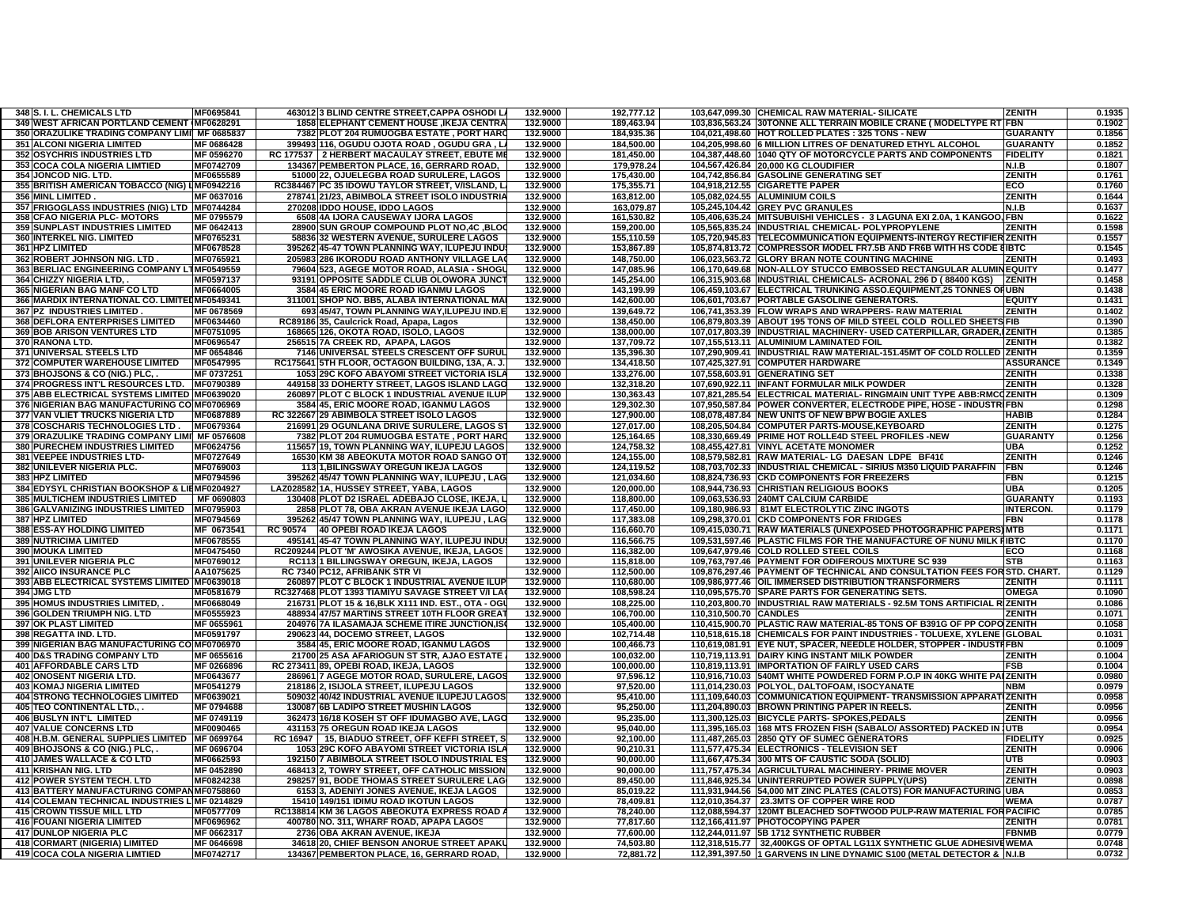| 348 S. I. L. CHEMICALS LTD                                   | MF0695841              | 463012 3 BLIND CENTRE STREET, CAPPA OSHODI L.                                                    | 132.9000             | 192,777.12               |                        | 103,647,099.30 CHEMICAL RAW MATERIAL- SILICATE                            | <b>ZENITH</b>    | 0.1935           |
|--------------------------------------------------------------|------------------------|--------------------------------------------------------------------------------------------------|----------------------|--------------------------|------------------------|---------------------------------------------------------------------------|------------------|------------------|
| 349 WEST AFRICAN PORTLAND CEMENT (MF0628291                  |                        | 1858 ELEPHANT CEMENT HOUSE , IKEJA CENTRA                                                        | 132.9000             | 189,463.94               |                        | 103,836,563.24 30TONNE ALL TERRAIN MOBILE CRANE ( MODELTYPE RT FBN        |                  | 0.1902           |
| 350 ORAZULIKE TRADING COMPANY LIMI MF 0685837                |                        | 7382 PLOT 204 RUMUOGBA ESTATE, PORT HAR                                                          | 132.9000             | 184,935.36               |                        | 104,021,498.60 HOT ROLLED PLATES: 325 TONS - NEW                          | <b>GUARANTY</b>  | 0.1856           |
| 351 ALCONI NIGERIA LIMITED                                   | MF 0686428             | 399493 116, OGUDU OJOTA ROAD , OGUDU GRA , L                                                     | 132.9000             | 184,500.00               |                        | 104,205,998.60 6 MILLION LITRES OF DENATURED ETHYL ALCOHOL                | <b>GUARANTY</b>  | 0.1852           |
| 352 OSYCHRIS INDUSTRIES LTD                                  | MF 0596270             | RC 177537 2 HERBERT MACAULAY STREET, EBUTE M                                                     | 132.9000             | 181.450.00               |                        | 104,387,448.60 1040 QTY OF MOTORCYCLE PARTS AND COMPONENTS                | <b>FIDELITY</b>  | 0.1821           |
| 353 COCA COLA NIGERIA LIMTIED                                | MF0742709              | 134367 PEMBERTON PLACE, 16, GERRARD ROAD,                                                        | 132.9000             | 179,978.24               |                        | 104,567,426.84 20,000 KG CLOUDIFIER                                       | N.I.B            | 0.1807           |
| 354 JONCOD NIG. LTD.                                         | MF0655589              | 51000 22, OJUELEGBA ROAD SURULERE, LAGOS                                                         | 132.9000             | 175,430.00               |                        | 104,742,856.84 GASOLINE GENERATING SET                                    | <b>ZENITH</b>    | 0.1761           |
| 355 BRITISH AMERICAN TOBACCO (NIG) LIMF0942216               |                        | RC384467 PC 35 IDOWU TAYLOR STREET, V/ISLAND, L                                                  | 132.9000             | 175,355.71               |                        | 104,918,212.55 CIGARETTE PAPER                                            | ECO              | 0.1760           |
| 356 MINL LIMITED.                                            | MF 0637016             | 278741 21/23, ABIMBOLA STREET ISOLO INDUSTRI                                                     | 132.9000             | 163,812.00               |                        | 105,082,024.55 ALUMINIUM COILS                                            | <b>ZENITH</b>    | 0.1644           |
| 357 FRIGOGLASS INDUSTRIES (NIG) LTD MF0744284                |                        | <b>IDDO HOUSE, IDDO LAGOS</b><br>270208                                                          | 132.9000             | 163.079.87               |                        | 105,245,104.42 GREY PVC GRANULES                                          | N.I.B            | 0.1637           |
| 358 CFAO NIGERIA PLC- MOTORS                                 | MF 0795579             | 4A IJORA CAUSEWAY IJORA LAGOS<br>6508                                                            | 132.9000             | 161,530.82               |                        | 105,406,635.24 MITSUBUISHI VEHICLES - 3 LAGUNA EXI 2.0A, 1 KANGOO, FBN    |                  | 0.1622           |
| 359 SUNPLAST INDUSTRIES LIMITED                              | MF 0642413             | 28900<br>SUN GROUP COMPOUND PLOT NO,4C, BLO                                                      | 132.9000             | 159,200.00               |                        | 105,565,835.24 IINDUSTRIAL CHEMICAL- POLYPROPYLENE                        | <b>ZENITH</b>    | 0.1598           |
| 360 INTERKEL NIG. LIMITED                                    | MF0765231              |                                                                                                  | 132.9000             |                          |                        | 105,720,945.83 TELECOMMUNICATION EQUIPMENTS-INTERGY RECTIFIER ZENITH      |                  | 0.1557           |
|                                                              |                        | 58836 32 WESTERN AVENUE, SURULERE LAGOS                                                          |                      | 155,110.59               |                        |                                                                           |                  |                  |
| 361 HPZ LIMITED                                              | MF0678528              | 395262 45-47 TOWN PLANNING WAY, ILUPEJU INDU                                                     | 132.9000             | 153,867.89               |                        | 105,874,813.72 COMPRESSOR MODEL FR7.5B AND FR6B WITH HS CODE 8IBTC        |                  | 0.1545           |
| 362 ROBERT JOHNSON NIG. LTD                                  | MF0765921              | 205983 286 IKORODU ROAD ANTHONY VILLAGE LA                                                       | 132.9000             | 148,750.00               |                        | 106,023,563.72 GLORY BRAN NOTE COUNTING MACHINE                           | ZENITH           | 0.1493           |
| 363 BERLIAC ENGINEERING COMPANY LTMF0549559                  |                        | 79604 523, AGEGE MOTOR ROAD, ALASIA - SHOGI                                                      | 132.9000             | 147.085.96               |                        | 106,170,649.68 NON-ALLOY STUCCO EMBOSSED RECTANGULAR ALUMINEQUITY         |                  | 0.1477           |
| 364 CHIZZY NIGERIA LTD,                                      | MF0597137              | 93191 OPPOSITE SADDLE CLUB OLOWORA JUNC                                                          | 132.9000             | 145,254.00               |                        | 106,315,903.68 IINDUSTRIAL CHEMICALS- ACRONAL 296 D (88400 KGS)           | <b>IZENITH</b>   | 0.1458           |
| 365 NIGERIAN BAG MANF CO LTD                                 | MF0664005              | 3584 45 ERIC MOORE ROAD IGANMU LAGOS                                                             | 132.9000             | 143.199.99               |                        | 106.459.103.67 ELECTRICAL TRUNKING ASSO.EQUIPMENT.25 TONNES OF UBN        |                  | 0.1438           |
| 366 MARDIX INTERNATIONAL CO. LIMITED MF0549341               |                        | 311001 SHOP NO. BB5, ALABA INTERNATIONAL MA                                                      | 132.9000             | 142,600.00               |                        | 106,601,703.67 PORTABLE GASOLINE GENERATORS.                              | <b>EQUITY</b>    | 0.1431           |
| 367 PZ INDUSTRIES LIMITED                                    | MF 0678569             | 693 45/47, TOWN PLANNING WAY, ILUPEJU IND.E                                                      | 132.9000             | 139,649.72               |                        | 106,741,353.39 FLOW WRAPS AND WRAPPERS- RAW MATERIAL                      | <b>ZENITH</b>    | 0.1402           |
| 368 DEFLORA ENTERPRISES LIMITED                              | MF0634460              | RC89186 35, Caulcrick Road, Apapa, Lagos                                                         | 132.9000             | 138,450.00               |                        | 106,879,803.39 ABOUT 195 TONS OF MILD STEEL COLD ROLLED SHEETS FIB        |                  | 0.1390           |
| 369 BOB ARISON VENTURES LTD                                  | MF0751095              | 168665 126, OKOTA ROAD, ISOLO, LAGOS                                                             | 132.9000             | 138,000.00               |                        | 107,017,803.39  INDUSTRIAL MACHINERY- USED CATERPILLAR, GRADER, IZENITH   |                  | 0.1385           |
| 370 RANONA LTD.                                              | MF0696547              | 256515 7A CREEK RD, APAPA, LAGOS                                                                 | 132.9000             | 137,709.72               |                        | 107,155,513.11 ALUMINIUM LAMINATED FOIL                                   | <b>ZENITH</b>    | 0.1382           |
| 371 UNIVERSAL STEELS LTD                                     | MF 0654846             | 7146 UNIVERSAL STEELS CRESCENT OFF SURUI                                                         | 132.9000             | 135,396.30               |                        | 107,290,909.41 INDUSTRIAL RAW MATERIAL-151.45MT OF COLD ROLLED ZENITH     |                  | 0.1359           |
| 372 COMPUTER WAREHOUSE LIMITED                               | MF0547995              | RC175641 5TH FLOOR, OCTAGON BUILDING, 13A, A. J                                                  | 132.9000             | 134,418.50               |                        | 107,425,327.91 COMPUTER HARDWARE                                          | <b>ASSURANCE</b> | 0.1349           |
| 373 BHOJSONS & CO (NIG.) PLC,                                | MF 0737251             | 1053 29C KOFO ABAYOMI STREET VICTORIA ISL                                                        | 132.9000             | 133,276.00               |                        | 107,558,603.91 GENERATING SET                                             | ZENITH           | 0.1338           |
| 374 PROGRESS INT'L RESOURCES LTD. MF0790389                  |                        | 449158 33 DOHERTY STREET, LAGOS ISLAND LAGO                                                      | 132.9000             | 132,318.20               |                        | 107,690,922.11 INFANT FORMULAR MILK POWDER                                | <b>ZENITH</b>    | 0.1328           |
| 375 ABB ELECTRICAL SYSTEMS LIMITED MF0639020                 |                        | 260897 PLOT C BLOCK 1 INDUSTRIAL AVENUE ILUR                                                     | 132.9000             | 130,363.43               |                        | 107,821,285.54 ELECTRICAL MATERIAL- RINGMAIN UNIT TYPE ABB:RMCQZENITH     |                  | 0.1309           |
| 376 NIGERIAN BAG MANUFACTURING CO MF0706969                  |                        | 3584 45, ERIC MOORE ROAD, IGANMU LAGOS                                                           | 132.9000             | 129,302.30               |                        | 107,950,587.84 POWER CONVERTER, ELECTRODE PIPE, HOSE - INDUSTRIFBN        |                  | 0.1298           |
| 377 VAN VLIET TRUCKS NIGERIA LTD                             | MF0687889              | RC 322667 29 ABIMBOLA STREET ISOLO LAGOS                                                         | 132.9000             | 127,900.00               |                        | 108,078,487.84 NEW UNITS OF NEW BPW BOGIE AXLES                           | <b>HARIF</b>     | 0.1284           |
| <b>378 COSCHARIS TECHNOLOGIES LTD</b>                        | MF0679364              | 216991 29 OGUNLANA DRIVE SURULERE. LAGOS S                                                       | 132.9000             | 127.017.00               |                        | 108,205,504.84 COMPUTER PARTS-MOUSE, KEYBOARD                             | <b>ZENITH</b>    | 0.1275           |
| 379 ORAZULIKE TRADING COMPANY LIMII MF 0576608               |                        | 7382 PLOT 204 RUMUOGBA ESTATE . PORT HAR                                                         | 132.9000             | 125,164.65               |                        | 108.330.669.49 PRIME HOT ROLLE4D STEEL PROFILES -NEW                      | <b>GUARANTY</b>  | 0.1256           |
| <b>380 PURECHEM INDUSTRIES LIMITED</b>                       | MF0624756              | 115657 19, TOWN PLANNING WAY, ILUPEJU LAGOS                                                      | 132.9000             | 124,758.32               |                        | 108,455,427.81 VINYL ACETATE MONOMER                                      | <b>UBA</b>       | 0.1252           |
| 381 VEEPEE INDUSTRIES LTD-                                   | MF0727649              | 16530 KM 38 ABEOKUTA MOTOR ROAD SANGO O'                                                         | 132.9000             | 124,155.00               |                        | 108,579,582.81 RAW MATERIAL-LG DAESAN LDPE BF410                          | <b>ZENITH</b>    | 0.1246           |
| 382 UNILEVER NIGERIA PLC.                                    | MF0769003              | 113 1, BILINGSWAY OREGUN IKEJA LAGOS                                                             | 132.9000             |                          |                        | 108,703,702.33 IINDUSTRIAL CHEMICAL - SIRIUS M350 LIQUID PARAFFIN         | FBN              | 0.1246           |
|                                                              |                        |                                                                                                  |                      | 124,119.52               |                        |                                                                           |                  |                  |
| 383 HPZ LIMITED                                              | MF0794596              | 395262 45/47 TOWN PLANNING WAY, ILUPEJU, LAG                                                     | 132.9000             | 121.034.60               |                        | 108,824,736.93 CKD COMPONENTS FOR FREEZERS                                | FBN              | 0.1215           |
| 384 EDYSYL CHRISTIAN BOOKSHOP & LIBMF0204927                 |                        | LAZ0285821A. HUSSEY STREET. YABA. LAGOS                                                          | 132.9000             | 120.000.00               |                        | 108.944.736.93 CHRISTIAN RELIGIOUS BOOKS                                  | URA              | 0.1205           |
| 385 MULTICHEM INDUSTRIES LIMITED                             | MF 0690803             | 130408 PLOT D2 ISRAEL ADEBAJO CLOSE, IKEJA,                                                      | 132.9000             | 118.800.00               |                        | 109.063.536.93 240MT CALCIUM CARBIDE                                      | <b>GUARANTY</b>  | 0.1193           |
| 386 GALVANIZING INDUSTRIES LIMITED MF0795903                 |                        | 2858 PLOT 78, OBA AKRAN AVENUE IKEJA LAGO                                                        | 132.9000             | 117,450.00               |                        | 109,180,986.93   81MT ELECTROLYTIC ZINC INGOTS                            | <b>INTERCON.</b> | 0.1179           |
| 387 HPZ LIMITED                                              | MF0794569              | 395262 45/47 TOWN PLANNING WAY, ILUPEJU, LAG                                                     | 132.9000             | 117,383.08               |                        | 109,298,370.01 CKD COMPONENTS FOR FRIDGES                                 | FBN              | 0.1178           |
| <b>388 ESS-AY HOLDING LIMITED</b>                            |                        |                                                                                                  |                      |                          |                        |                                                                           |                  |                  |
|                                                              | MF 0673541             | RC 90574 40 OPEBI ROAD IKEJA LAGOS                                                               | 132.9000             | 116,660.70               |                        | 109,415,030.71  RAW MATERIALS (UNEXPOSED PHOTOGRAPHIC PAPERS) MTB         |                  | 0.1171           |
| <b>389 NUTRICIMA LIMITED</b>                                 | MF0678555              | 495141 45-47 TOWN PLANNING WAY, ILUPEJU INDU                                                     | 132.9000             | 116,566.75               |                        | 109,531,597.46 PLASTIC FILMS FOR THE MANUFACTURE OF NUNU MILK FIBTC       |                  | 0.1170           |
| <b>390 MOUKA LIMITED</b>                                     | MF0475450              | RC209244 PLOT 'M' AWOSIKA AVENUE, IKEJA, LAGOS                                                   | 132.9000             | 116,382.00               |                        | 109,647,979.46 COLD ROLLED STEEL COILS                                    | ECO              | 0.1168           |
| <b>391 UNILEVER NIGERIA PLC</b>                              | MF0769012              | RC113 1 BILLINGSWAY OREGUN, IKEJA, LAGOS                                                         | 132.9000             | 115,818.00               |                        | 109,763,797.46 PAYMENT FOR ODIFEROUS MIXTURE SC 939                       | <b>STB</b>       | 0.1163           |
| 392 AIICO INSURANCE PLC                                      | AA1075625              | RC 7340 PC12, AFRIBANK STR VI                                                                    | 132.9000             | 112,500.00               |                        | 109,876,297.46 PAYMENT OF TECHNICAL AND CONSULTATION FEES FOR STD. CHART. |                  | 0.1129           |
| 393 ABB ELECTRICAL SYSTEMS LIMITED MF0639018                 |                        | 260897 PLOT C BLOCK 1 INDUSTRIAL AVENUE ILUR                                                     | 132.9000             | 110,680.00               |                        | 109,986,977.46 OIL IMMERSED DISTRIBUTION TRANSFORMERS                     | <b>ZENITH</b>    | 0.1111           |
| 394 JMG LTD                                                  | MF0581679              | RC327468 PLOT 1393 TIAMIYU SAVAGE STREET V/I LA                                                  | 132.9000             | 108,598.24               |                        | 110,095,575.70 SPARE PARTS FOR GENERATING SETS.                           | <b>OMEGA</b>     | 0.1090           |
|                                                              |                        |                                                                                                  | 132.9000             |                          |                        |                                                                           |                  |                  |
| 395 HOMUS INDUSTRIES LIMITED,<br>396 GOLDEN TRIUMPH NIG. LTD | MF0668049<br>MF0555923 | 216731 PLOT 15 & 16, BLK X111 IND. EST., OTA - OG<br>488934 47/57 MARTINS STREET 10TH FLOOR GREA | 132.9000             | 108,225.00<br>106.700.00 | 110.310.500.70 CANDLES | 110,203,800.70 INDUSTRIAL RAW MATERIALS - 92.5M TONS ARTIFICIAL RIZENITH  | 7FNITI-          | 0.1086<br>0.1071 |
| <b>397 OK PLAST LIMITED</b>                                  | MF 0655961             | 204976 7A ILASAMAJA SCHEME ITIRE JUNCTION.IS                                                     | 132.9000             | 105.400.00               |                        | 110.415.900.70 PLASTIC RAW MATERIAL-85 TONS OF B391G OF PP COPOIZENITH    |                  | 0.1058           |
|                                                              |                        |                                                                                                  |                      |                          |                        |                                                                           |                  |                  |
| 398 REGATTA IND. LTD.                                        | MF0591797              | 290623 44, DOCEMO STREET, LAGOS                                                                  | 132.9000<br>132.9000 | 102.714.48               |                        | 110,518,615.18 CHEMICALS FOR PAINT INDUSTRIES - TOLUEXE, XYLENE (GLOBAL   |                  | 0.1031<br>0.1009 |
| 399 NIGERIAN BAG MANUFACTURING CO MF0706970                  |                        | 3584 45, ERIC MOORE ROAD, IGANMU LAGOS                                                           |                      | 100,466.73               |                        | 110,619,081.91 EYE NUT, SPACER, NEEDLE HOLDER, STOPPER - INDUSTRFBN       |                  |                  |
| 400 D&S TRADING COMPANY LTD                                  | MF 0655616             | 21700 25 ASA AFARIOGUN ST STR, AJAO ESTATE                                                       | 132.9000             | 100,032.00               |                        | 110,719,113.91 DAIRY KING INSTANT MILK POWDER                             | <b>ZENITH</b>    | 0.1004           |
| 401 AFFORDABLE CARS LTD                                      | MF 0266896             | RC 273411 89, OPEBI ROAD, IKEJA, LAGOS                                                           | 132.9000             | 100,000.00               |                        | 110,819,113.91 IMPORTATION OF FAIRLY USED CARS                            | <b>FSB</b>       | 0.1004           |
| <b>402 ONOSENT NIGERIA LTD.</b>                              | MF0643677              | 286961 7 AGEGE MOTOR ROAD, SURULERE, LAGO                                                        | 132.9000             | 97,596.12                |                        | 110,916,710.03 540MT WHITE POWDERED FORM P.O.P IN 40KG WHITE PAIZENITH    |                  | 0.0980           |
| <b>403 KOMAJ NIGERIA LIMITED</b>                             | MF0541279              | 218186 2, ISIJOLA STREET, ILUPEJU LAGOS                                                          | 132.9000             | 97,520.00                |                        | 111,014,230.03 POLYOL, DALTOFOAM, ISOCYANATE                              | <b>NBM</b>       | 0.0979           |
| <b>404 STRONG TECHNOLOGIES LIMITED</b>                       | MF0639021              | 509032 40/42 INDUSTRIAL AVENUE ILUPEJU LAGOS                                                     | 132.9000             | 95.410.00                |                        | 111.109.640.03 COMMUNICATION EQUIPMENT-TRANSMISSION APPARATIZENITH        |                  | 0.0958           |
| <b>405 TEO CONTINENTAL LTD.,</b>                             | MF 0794688             | 130087 6B LADIPO STREET MUSHIN LAGOS                                                             | 132.9000             | 95,250.00                |                        | 111,204,890.03 BROWN PRINTING PAPER IN REELS.                             | <b>ZENITH</b>    | 0.0956           |
| <b>406 BUSLYN INT'L LIMITED</b>                              | MF 0749119             | 362473 16/18 KOSEH ST OFF IDUMAGBO AVE, LAGO                                                     | 132.9000             | 95,235.00                |                        | 111,300,125.03 BICYCLE PARTS- SPOKES, PEDALS                              | <b>ZENITH</b>    | 0.0956           |
| <b>407 VALUE CONCERNS LTD</b>                                | MF0090465              | 431153 75 OREGUN ROAD IKEJA LAGOS                                                                | 132.9000             | 95,040.00                |                        | 111,395,165.03 168 MTS FROZEN FISH (SABALO/ ASSORTED) PACKED IN JUTB      |                  | 0.0954           |
| 408 H.B.M. GENERAL SUPPLIES LIMITED MF 0699764               |                        | RC 16947   15, BIADUO STREET, OFF KEFFI STREET,                                                  | 132.9000             | 92,100.00                |                        | 111,487,265.03 2850 QTY OF SUMEC GENERATORS                               | <b>FIDELITY</b>  | 0.0925           |
| 409 BHOJSONS & CO (NIG.) PLC,                                | MF 0696704             | 1053 29C KOFO ABAYOMI STREET VICTORIA ISL.                                                       | 132.9000             | 90,210.31                |                        | 111,577,475.34 ELECTRONICS - TELEVISION SET                               | <b>ZENITH</b>    | 0.0906           |
| 410 JAMES WALLACE & CO LTD                                   | MF0662593              | 192150 7 ABIMBOLA STREET ISOLO INDUSTRIAL ES                                                     | 132.9000             | 90,000.00                |                        | 111,667,475.34 300 MTS OF CAUSTIC SODA (SOLID)                            | UTB              | 0.0903           |
| 411 KRISHAN NIG. LTD                                         | MF 0452890             | 468413 2, TOWRY STREET, OFF CATHOLIC MISSION                                                     | 132.9000             | 90.000.00                |                        | 111,757,475.34 AGRICULTURAL MACHINERY- PRIME MOVER                        | <b>ZENITH</b>    | 0.0903           |
| 412 POWER SYSTEM TECH. LTD                                   | MF0824238              | 298257 91, BODE THOMAS STREET SURULERE LAG                                                       | 132.9000             | 89.450.00                |                        | 111,846,925.34 UNINTERRUPTED POWER SUPPLY(UPS)                            | <b>ZENITH</b>    | 0.0898           |
| 413 BATTERY MANUFACTURING COMPANMF0758860                    |                        | 6153 3, ADENIYI JONES AVENUE, IKEJA LAGOS                                                        | 132.9000             | 85,019.22                |                        | 111,931,944.56 54,000 MT ZINC PLATES (CALOTS) FOR MANUFACTURING UBA       |                  | 0.0853           |
| 414 COLEMAN TECHNICAL INDUSTRIES LIMF 0214829                |                        | 15410 149/151 IDIMU ROAD IKOTUN LAGOS                                                            | 132.9000             | 78,409.81                |                        | 112,010,354.37   23.3MTS OF COPPER WIRE ROD                               | WEMA             | 0.0787           |
| <b>415 CROWN TISSUE MILL LTD</b>                             | MF0577709              | RC138814 KM 36 LAGOS ABEOKUTA EXPRESS ROAD                                                       | 132.9000             | 78,240.00                |                        | 112,088,594.37 120MT BLEACHED SOFTWOOD PULP-RAW MATERIAL FOR PACIFIC      |                  | 0.0785           |
| <b>416 FOUANI NIGERIA LIMITED</b>                            | MF0696962              | 400780 NO. 311, WHARF ROAD, APAPA LAGOS                                                          | 132.9000             | 77,817.60                |                        | 112,166,411.97 PHOTOCOPYING PAPER                                         | <b>ZENITH</b>    | 0.0781           |
| 417 DUNLOP NIGERIA PLC                                       | MF 0662317             | 2736 OBA AKRAN AVENUE, IKEJA                                                                     | 132.9000             | 77.600.00                |                        | 112,244,011.97 5B 1712 SYNTHETIC RUBBER                                   | <b>FBNMB</b>     | 0.0779           |
| 418 CORMART (NIGERIA) LIMITED                                | MF 0646698             | 34618 20, CHIEF BENSON ANORUE STREET APAK                                                        | 132.9000             | 74,503.80                |                        | 112,318,515.77 32,400KGS OF OPTAL LG11X SYNTHETIC GLUE ADHESIVEWEMA       |                  | 0.0748           |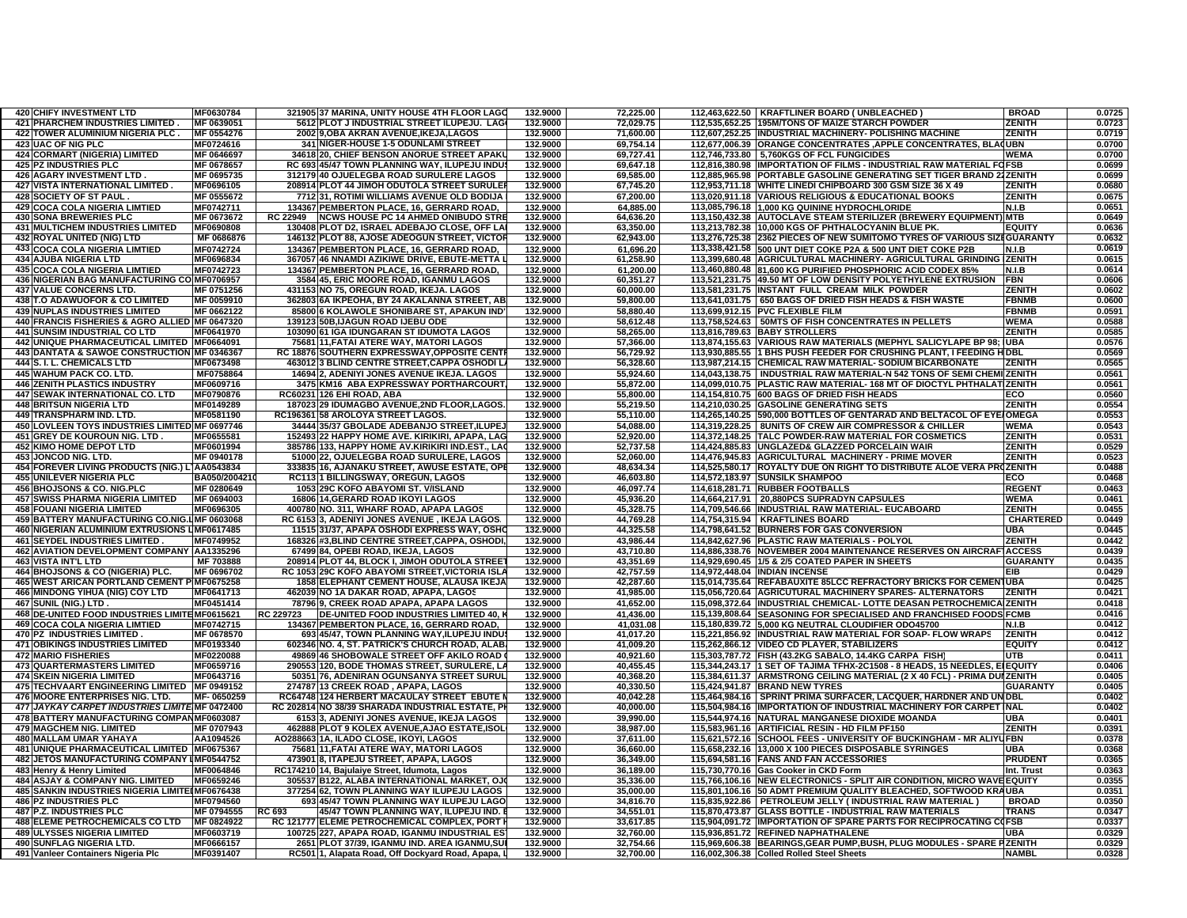| <b>420 CHIFY INVESTMENT LTD</b>                                | MF0630784              |           | 321905 37 MARINA, UNITY HOUSE 4TH FLOOR LAGO                                                      | 132.9000             | 72,225.00              | 112,463,622.50   KRAFTLINER BOARD ( UNBLEACHED                                                                      | <b>BROAD</b>     | 0.0725           |
|----------------------------------------------------------------|------------------------|-----------|---------------------------------------------------------------------------------------------------|----------------------|------------------------|---------------------------------------------------------------------------------------------------------------------|------------------|------------------|
| 421 PHARCHEM INDUSTRIES LIMITED.                               | MF 0639051             |           | 5612 PLOT J INDUSTRIAL STREET ILUPEJU. LAG                                                        | 132.9000             | 72,029.75              | 112,535,652.25 195M/TONS OF MAIZE STARCH POWDER                                                                     | ZENITH           | 0.0723           |
| 422 TOWER ALUMINIUM NIGERIA PLC.                               | MF 0554276             |           | 2002 9.OBA AKRAN AVENUE.IKEJA.LAGOS                                                               | 132.9000             | 71.600.00              | 112.607.252.25 IINDUSTRIAL MACHINERY- POLISHING MACHINE                                                             | <b>ZENITH</b>    | 0.0719           |
|                                                                |                        |           |                                                                                                   |                      |                        |                                                                                                                     |                  |                  |
| <b>423 UAC OF NIG PLC</b>                                      | MF0724616              |           | 341 NIGER-HOUSE 1-5 ODUNLAMI STREET                                                               | 132.9000             | 69,754.14              | 112,677,006.39 ORANGE CONCENTRATES, APPLE CONCENTRATES, BLAQUBN                                                     |                  | 0.0700           |
| 424 CORMART (NIGERIA) LIMITED                                  | MF 0646697             |           | 34618 20. CHIEF BENSON ANORUE STREET APAK                                                         | 132.9000             | 69,727.41              | 112,746,733.80 5,760KGS OF FCL FUNGICIDES                                                                           | <b>WEMA</b>      | 0.0700           |
| <b>425 PZ INDUSTRIES PLC</b>                                   | MF 0678657             |           | RC 693 45/47 TOWN PLANNING WAY, ILUPEJU INDU                                                      | 132.9000             | 69,647.18              | 112,816,380.98 IMPORTATION OF FILMS - INDUSTRIAL RAW MATERIAL FOFSB                                                 |                  | 0.0699           |
| 426 AGARY INVESTMENT LTD.                                      | MF 0695735             |           | 312179 40 OJUELEGBA ROAD SURULERE LAGOS                                                           | 132.9000             | 69,585.00              | 112,885,965.98 PORTABLE GASOLINE GENERATING SET TIGER BRAND 22ZENITH                                                |                  | 0.0699           |
| 427 VISTA INTERNATIONAL LIMITED.                               | MF0696105              |           | 208914 PLOT 44 JIMOH ODUTOLA STREET SURULE                                                        | 132.9000             | 67,745.20              | 112,953,711.18 WHITE LINEDI CHIPBOARD 300 GSM SIZE 36 X 49                                                          | ZENITH           | 0.0680           |
| 428 SOCIETY OF ST PAUL.                                        | MF 0555672             |           | 7712 31, ROTIMI WILLIAMS AVENUE OLD BODIJA                                                        | 132.9000             | 67,200.00              | 113,020,911.18 VARIOUS RELIGIOUS & EDUCATIONAL BOOKS                                                                | <b>ZENITH</b>    | 0.0675           |
|                                                                |                        |           |                                                                                                   |                      |                        |                                                                                                                     |                  |                  |
| <b>429 COCA COLA NIGERIA LIMTIED</b>                           | MF0742711              |           | 134367 PEMBERTON PLACE, 16, GERRARD ROAD,                                                         | 132.9000             | 64,885.00              | 113,085,796.18 1.000 KG QUININE HYDROCHLORIDE                                                                       | N.I.B            | 0.0651           |
| <b>430 SONA BREWERIES PLC</b>                                  | MF 0673672             |           | RC 22949 NCWS HOUSE PC 14 AHMED ONIBUDO STR                                                       | 132.9000             | 64,636.20              | 113,150,432.38 AUTOCLAVE STEAM STERILIZER (BREWERY EQUIPMENT) MTB                                                   |                  | 0.0649           |
| <b>431 MULTICHEM INDUSTRIES LIMITED</b>                        | MF0690808              |           | 130408 PLOT D2, ISRAEL ADEBAJO CLOSE, OFF LA                                                      | 132.9000             | 63,350.00              | 113,213,782.38 10,000 KGS OF PHTHALOCYANIN BLUE PK                                                                  | <b>EQUIT</b>     | 0.0636           |
| 432 ROYAL UNITED (NIG) LTD                                     | MF 0686876             |           | 146132 PLOT 88, AJOSE ADEOGUN STREET, VICTO                                                       | 132.9000             | 62,943.00              | 113,276,725.38 2362 PIECES OF NEW SUMITOMO TYRES OF VARIOUS SIZEGUARANTY                                            |                  | 0.0632           |
| <b>433 COCA COLA NIGERIA LIMTIED</b>                           |                        |           | 134367 PEMBERTON PLACE, 16, GERRARD ROAD,                                                         |                      |                        | 113,338,421.58 500 UNT DIET COKE P2A & 500 UNT DIET COKE P2B                                                        |                  | 0.0619           |
|                                                                | MF0742724              |           |                                                                                                   | 132.9000             | 61,696.20              |                                                                                                                     | N.I.B            |                  |
| <b>434 AJUBA NIGERIA LTD</b>                                   | MF0696834              |           | 367057 46 NNAMDI AZIKIWE DRIVE, EBUTE-METTA                                                       | 132.9000             | 61,258.90              | 113,399,680.48 AGRICULTURAL MACHINERY- AGRICULTURAL GRINDING IZENITH                                                |                  | 0.0615           |
| 435 COCA COLA NIGERIA LIMTIED                                  | MF0742723              |           | 134367 PEMBERTON PLACE, 16, GERRARD ROAD,                                                         | 132.9000             | 61,200.00              | 113,460,880.48 81,600 KG PURIFIED PHOSPHORIC ACID CODEX 85%                                                         | N.I.B            | 0.0614           |
| 436 NIGERIAN BAG MANUFACTURING COIMF0706957                    |                        |           | 3584 45, ERIC MOORE ROAD, IGANMU LAGOS                                                            | 132.9000             | 60,351.27              | 113,521,231.75 49.50 MT OF LOW DENSITY POLYETHYLENE EXTRUSION                                                       | <b>IFBN</b>      | 0.0606           |
| <b>437 VALUE CONCERNS LTD.</b>                                 | MF 0751256             |           | 431153 NO 75, OREGUN ROAD, IKEJA. LAGOS                                                           | 132.9000             | 60,000.00              | 113,581,231.75 INSTANT FULL CREAM MILK POWDER                                                                       | <b>ZENITH</b>    | 0.0602           |
| 438 T.O ADAWUOFOR & CO LIMITED                                 | MF 0059910             |           | 362803 6A IKPEOHA, BY 24 AKALANNA STREET, AB                                                      | 132.9000             | 59,800.00              | 113,641,031.75   650 BAGS OF DRIED FISH HEADS & FISH WASTE                                                          | <b>FBNMB</b>     | 0.0600           |
| <b>439 NUPLAS INDUSTRIES LIMITED</b>                           | MF 0662122             |           | 85800 6 KOLAWOLE SHONIBARE ST, APAKUN IND                                                         | 132.9000             | 58,880.40              | 113,699,912.15 PVC FLEXIBLE FILM                                                                                    | <b>FBNMB</b>     | 0.0591           |
|                                                                |                        |           |                                                                                                   |                      |                        |                                                                                                                     |                  |                  |
| 440 FRANCIS FISHERIES & AGRO ALLIED MF 0647320                 |                        |           | 139123 50B,IJAGUN ROAD IJEBU ODE                                                                  | 132.9000             | 58,612.48              | 113,758,524.63   50MTS OF FISH CONCENTRATES IN PELLETS                                                              | <b>WEMA</b>      | 0.0588           |
| 441 SUNSIM INDUSTRIAL CO LTD                                   | MF0641970              |           | 103090 61 IGA IDUNGARAN ST IDUMOTA LAGOS                                                          | 132.9000             | 58,265.00              | 113,816,789.63 BABY STROLLERS                                                                                       | ZENITH           | 0.0585           |
| 442 UNIQUE PHARMACEUTICAL LIMITED MF0664091                    |                        |           | 75681 11, FATAI ATERE WAY, MATORI LAGOS                                                           | 132.9000             | 57,366.00              | 113,874,155.63 VARIOUS RAW MATERIALS (MEPHYL SALICYLAPE BP 98; JUBA                                                 |                  | 0.0576           |
| 443 DANTATA & SAWOE CONSTRUCTION MF 0346367                    |                        |           | RC 18876 SOUTHERN EXPRESSWAY, OPPOSITE CENT                                                       | 132.9000             | 56,729.92              | 113,930,885.55 1 BHS PUSH FEEDER FOR CRUSHING PLANT, I FEEDING HOBL                                                 |                  | 0.0569           |
| 444 S. I. L. CHEMICALS LTD                                     | MF0673498              |           | 463012 3 BLIND CENTRE STREET, CAPPA OSHODI L.                                                     | 132.9000             | 56,328.60              | 113,987,214.15 CHEMICAL RAW MATERIAL- SODIUM BICARBONATE                                                            | ZENITH           | 0.0565           |
| 445 WAHUM PACK CO. LTD.                                        | MF0758864              |           | 14694 2, ADENIYI JONES AVENUE IKEJA. LAGOS                                                        | 132.9000             | 55,924.60              | 114,043,138.75   INDUSTRIAL RAW MATERIAL-N 542 TONS OF SEMI CHEMI(ZENITH                                            |                  | 0.0561           |
|                                                                |                        |           |                                                                                                   |                      |                        |                                                                                                                     |                  |                  |
| <b>446 ZENITH PLASTICS INDUSTRY</b>                            | MF0609716              |           | 3475 KM16 ABA EXPRESSWAY PORTHARCOURT                                                             | 132.9000             | 55,872.00              | 114,099,010.75 PLASTIC RAW MATERIAL-168 MT OF DIOCTYL PHTHALAT ZENITH                                               |                  | 0.0561           |
| <b>447 SEWAK INTERNATIONAL CO. LTD</b>                         | MF0790876              |           | RC60231 126 EHI ROAD, ABA                                                                         | 132.9000             | 55.800.00              | 114.154.810.75 600 BAGS OF DRIED FISH HEADS                                                                         | ECO              | 0.0560           |
| <b>448 BRITSUN NIGERIA LTD</b>                                 | MF0149289              |           | 187023 29 IDUMAGBO AVENUE,2ND FLOOR,LAGOS                                                         | 132.9000             | 55.219.50              | 114,210,030.25 GASOLINE GENERATING SETS                                                                             | <b>ZENITH</b>    | 0.0554           |
| 449 TRANSPHARM IND, LTD.                                       | MF0581190              |           | RC196361 58 AROLOYA STREET LAGOS.                                                                 | 132.9000             | 55.110.00              | 114,265,140.25 590,000 BOTTLES OF GENTARAD AND BELTACOL OF EYE/OMEGA                                                |                  | 0.0553           |
| 450 LOVLEEN TOYS INDUSTRIES LIMITED MF 0697746                 |                        |           | 34444 35/37 GBOLADE ADEBANJO STREET, ILUPE                                                        | 132.9000             | 54,088.00              | 114,319,228.25   8UNITS OF CREW AIR COMPRESSOR & CHILLER                                                            | <b>WEMA</b>      | 0.0543           |
|                                                                |                        |           |                                                                                                   |                      |                        |                                                                                                                     |                  |                  |
| 451 GREY DE KOUROUN NIG. LTD.                                  | MF0655581              |           | 152493 22 HAPPY HOME AVE. KIRIKIRI, APAPA, LA                                                     | 132.9000             | 52,920.00              | 114,372,148.25 TALC POWDER-RAW MATERIAL FOR COSMETICS                                                               | ZENITH           | 0.0531           |
| <b>452 KIMO HOME DEPOT LTD</b>                                 | MF0601994              |           | 385786 133, HAPPY HOME AV.KIRIKIRI IND.EST., LA                                                   | 132.9000             | 52,737.58              | 114,424,885.83 UNGLAZED& GLAZZED PORCELAIN WAIR                                                                     | <b>ZENITH</b>    | 0.0529           |
| 453 JONCOD NIG. LTD.                                           | MF 0940178             |           | 51000 22, OJUELEGBA ROAD SURULERE, LAGOS                                                          | 132.9000             | 52,060.00              | 114,476,945.83 AGRICULTURAL MACHINERY - PRIME MOVER                                                                 | ZENITH           | 0.0523           |
| 454 FOREVER LIVING PRODUCTS (NIG.) L AA0543834                 |                        |           | 333835 16, AJANAKU STREET, AWUSE ESTATE, OPI                                                      | 132.9000             | 48,634.34              | 114,525,580.17 ROYALTY DUE ON RIGHT TO DISTRIBUTE ALOE VERA PR                                                      | <b>ZENITH</b>    | 0.0488           |
| <b>455 UNILEVER NIGERIA PLC</b>                                | BA050/200421           |           | RC11311 BILLINGSWAY, OREGUN, LAGOS                                                                | 132.9000             | 46.603.80              | 114,572,183.97 SUNSILK SHAMPOO                                                                                      | ECO              | 0.0468           |
|                                                                |                        |           |                                                                                                   |                      |                        |                                                                                                                     |                  |                  |
|                                                                |                        |           |                                                                                                   |                      |                        |                                                                                                                     |                  |                  |
| 456 BHOJSONS & CO. NIG.PLC                                     | MF 0280649             |           | 1053 29C KOFO ABAYOMI ST. V/ISLAND                                                                | 132.9000             | 46,097.74              | 114,618,281.71 RUBBER FOOTBALLS                                                                                     | <b>REGENT</b>    | 0.0463           |
| <b>457 SWISS PHARMA NIGERIA LIMITED</b>                        | MF 0694003             |           | 16806 14, GERARD ROAD IKOYI LAGOS                                                                 | 132.9000             | 45,936.20              | 114,664,217.91 20,880PCS SUPRADYN CAPSULES                                                                          | <b>WEMA</b>      | 0.0461           |
| <b>458 FOUANI NIGERIA LIMITED</b>                              | MF0696305              |           | 400780 NO. 311, WHARF ROAD, APAPA LAGOS                                                           | 132.9000             | 45,328.75              | 114,709,546.66 INDUSTRIAL RAW MATERIAL- EUCABOARD                                                                   | ZENITH           | 0.0455           |
| 459 BATTERY MANUFACTURING CO.NIG.LMF 0603068                   |                        |           | RC 6153 3, ADENIYI JONES AVENUE, IKEJA LAGOS.                                                     | 132.9000             | 44,769.28              | 114,754,315.94 KRAFTLINES BOARD                                                                                     | <b>CHARTERED</b> | 0.0449           |
|                                                                |                        |           |                                                                                                   |                      |                        |                                                                                                                     |                  |                  |
| 460 NIGERIAN ALUMINIUM EXTRUSIONS LIMF0617485                  |                        |           | 11515 31/37, APAPA OSHODI EXPRESS WAY, OSHO                                                       | 132.9000             | 44.325.58              | 114.798.641.52 BURNERS FOR GAS CONVERSION                                                                           | <b>UBA</b>       | 0.0445           |
| <b>461 SEYDEL INDUSTRIES LIMITED</b>                           | MF0749952              |           | 168326 #3, BLIND CENTRE STREET, CAPPA, OSHODI                                                     | 132.9000             | 43.986.44              | 114,842,627.96   PLASTIC RAW MATERIALS - POLYOL                                                                     | <b>ZENITH</b>    | 0.0442           |
| 462 AVIATION DEVELOPMENT COMPANY  AA1335296                    |                        |           | 67499 84. OPEBI ROAD. IKEJA, LAGOS                                                                | 132.9000             | 43,710.80              | 114,886,338.76 NOVEMBER 2004 MAINTENANCE RESERVES ON AIRCRAFTACCESS                                                 |                  | 0.0439           |
| <b>463 VISTA INT'L LTD</b>                                     | MF 703888              |           | 208914 PLOT 44, BLOCK I, JIMOH ODUTOLA STREE                                                      | 132.9000             | 43,351.69              | 114,929,690.45 1/5 & 2/5 COATED PAPER IN SHEETS                                                                     | <b>GUARANTY</b>  | 0.0435           |
| 464 BHOJSONS & CO (NIGERIA) PLC                                | MF 0696702             |           | RC 1053 29C KOFO ABAYOMI STREET, VICTORIA ISL                                                     | 132.9000             | 42,757.59              | 114,972,448.04 INDIAN INCENSE                                                                                       | EIB              | 0.0429           |
|                                                                |                        |           |                                                                                                   |                      |                        |                                                                                                                     |                  |                  |
| 465 WEST ARICAN PORTLAND CEMENT PIMF0675258                    |                        |           | 1858 ELEPHANT CEMENT HOUSE, ALAUSA IKEJA                                                          | 132.9000             | 42,287.60              | 115,014,735.64 REFABAUXITE 85LCC REFRACTORY BRICKS FOR CEMENTUBA                                                    |                  | 0.0425           |
| 466 MINDONG YIHUA (NIG) COY LTD                                | MF0641713              |           | 462039 NO 1A DAKAR ROAD, APAPA, LAGOS                                                             | 132.9000             | 41,985.00              | 115,056,720.64 AGRICUTURAL MACHINERY SPARES-ALTERNATORS                                                             | ZENITH           | 0.0421           |
| 467 SUNIL (NIG.) LTD.                                          | MF0451414              |           | 78796 9, CREEK ROAD APAPA, APAPA LAGOS                                                            | 132.9000             | 41,652.00              | 115,098,372.64  INDUSTRIAL CHEMICAL- LOTTE DEASAN PETROCHEMICA ZENITH                                               |                  | 0.0418           |
| 468 DE-UNITED FOOD INDUSTRIES LIMITEMF0615621                  |                        | RC 229723 | <b>DE-UNITED FOOD INDUSTRIES LIMITED 40.</b>                                                      | 132.9000             | 41,436.00              | 115,139,808.64 SEASONING FOR SPECIALISED AND FRANCHISED FOODS FCMB                                                  |                  | 0.0416           |
| <b>469 COCA COLA NIGERIA LIMTIED</b>                           | MF0742715              |           | 134367 PEMBERTON PLACE, 16, GERRARD ROAD,                                                         | 132.9000             | 41,031.08              | 115,180,839.72 5,000 KG NEUTRAL CLOUDIFIER ODO45700                                                                 | N.I.B            | 0.0412           |
| 470 PZ INDUSTRIES LIMITED.                                     | MF 0678570             |           | 693 45/47, TOWN PLANNING WAY, ILUPEJU INDUS                                                       | 132.9000             | 41,017.20              | 115,221,856.92 INDUSTRIAL RAW MATERIAL FOR SOAP- FLOW WRAPS                                                         | <b>ZENITH</b>    | 0.0412           |
| <b>471 OBIKINGS INDUSTRIES LIMITED</b>                         | MF0193340              |           |                                                                                                   | 132.9000             | 41,009.20              |                                                                                                                     | <b>EQUITY</b>    | 0.0412           |
|                                                                |                        |           | 602346 NO. 4, ST. PATRICK'S CHURCH ROAD, ALAB.                                                    |                      |                        | 115,262,866.12 VIDEO CD PLAYER, STABILIZERS                                                                         |                  |                  |
| <b>472 MARIO FISHERIES</b>                                     | MF0220088              |           | 49869 46 SHOBOWALE STREET OFF AKILO ROAD                                                          | 132.9000             | 40,921.60              | 115,303,787.72 FISH (43.2KG SABALO, 14.4KG CARPA FISH)                                                              | UTB              | 0.0411           |
| 473 QUARTERMASTERS LIMITED                                     | MF0659716              |           | 290553 120, BODE THOMAS STREET, SURULERE, LA                                                      | 132.9000             | 40,455.45              | 115,344,243.17 1 SET OF TAJIMA TFHX-2C1508 - 8 HEADS, 15 NEEDLES, EIEQUITY                                          |                  | 0.0406           |
| <b>474 SKEIN NIGERIA LIMITED</b>                               | MF0643716              |           | 50351 76, ADENIRAN OGUNSANYA STREET SURUL                                                         | 132.9000             | 40.368.20              | 115,384,611.37 ARMSTRONG CEILING MATERIAL (2 X 40 FCL) - PRIMA DUNZENITH                                            |                  | 0.0405           |
| 475 TECHVAART ENGINEERING LIMITED MF 0949152                   |                        |           | 274787 13 CREEK ROAD, APAPA, LAGOS                                                                | 132.9000             | 40,330.50              | 115,424,941.87 BRAND NEW TYRES                                                                                      | <b>GUARANTY</b>  | 0.0405           |
| 476 MOORE ENTERPRISES NIG. LTD.                                | MF-0650259             |           | RC64748 124 HERBERT MACAULAY STREET EBUTE                                                         | 132.9000             | 40,042.28              | 115,464,984.16 SPRINT PRIMA SURFACER, LACQUER, HARDNER AND UNDBL                                                    |                  | 0.0402           |
|                                                                |                        |           |                                                                                                   |                      |                        |                                                                                                                     |                  |                  |
| 477 JAYKAY CARPET INDUSTRIES LIMITE MF 0472400                 |                        |           | RC 202814 NO 38/39 SHARADA INDUSTRIAL ESTATE, P                                                   | 132.9000             | 40,000.00              | 115,504,984.16 IMPORTATION OF INDUSTRIAL MACHINERY FOR CARPET INAL                                                  |                  | 0.0402           |
| 478 BATTERY MANUFACTURING COMPANMF0603087                      |                        |           | 6153 3, ADENIYI JONES AVENUE, IKEJA LAGOS                                                         | 132.9000             | 39,990.00              | 115,544,974.16 NATURAL MANGANESE DIOXIDE MOANDA                                                                     | <b>UBA</b>       | 0.0401           |
| <b>479 MAGCHEM NIG. LIMITED</b>                                | MF 0707943             |           | 462888 PLOT 9 KOLEX AVENUE,AJAO ESTATE,ISOL                                                       | 132.9000             | 38,987.00              | 115,583,961.16 ARTIFICIAL RESIN - HD FILM PF150                                                                     | ZENITH           | 0.0391           |
| <b>480 MALLAM UMAR YAHAYA</b>                                  | AA1094526              |           | A0288663 1A, ILADO CLOSE, IKOYI, LAGOS                                                            | 132.9000             | 37.611.00              | 115,621,572.16 SCHOOL FEES - UNIVERSITY OF BUCKINGHAM - MR ALIYUFBN                                                 |                  | 0.0378           |
| 481 UNIQUE PHARMACEUTICAL LIMITED MF0675367                    |                        |           | 75681 11, FATAI ATERE WAY, MATORI LAGOS                                                           | 132.9000             | 36,660.00              | 115,658,232.16 13,000 X 100 PIECES DISPOSABLE SYRINGES                                                              | UBA              | 0.0368           |
|                                                                |                        |           |                                                                                                   | 132.9000             | 36,349.00              |                                                                                                                     | <b>PRUDENT</b>   | 0.0365           |
| 482 JETOS MANUFACTURING COMPANY IMF0544752                     |                        |           | 473901 8, ITAPEJU STREET, APAPA, LAGOS                                                            |                      |                        | 115,694,581.16 FANS AND FAN ACCESSORIES                                                                             |                  |                  |
| 483 Henry & Henry Limited                                      | MF0064846              |           | RC174210 14, Bajulaiye Street, Idumota, Lagos                                                     | 132.9000             | 36,189.00              | 115,730,770.16 Gas Cooker in CKD Form                                                                               | Int. Trust       | 0.0363           |
| 484 ASJAY & COMPANY NIG. LIMITED                               | MF0659246              |           | 305537 B122, ALABA INTERNATIONAL MARKET, OJ                                                       | 132.9000             | 35,336.00              | 115,766,106.16 NEW ELECTRONICS - SPLIT AIR CONDITION, MICRO WAVE EQUITY                                             |                  | 0.0355           |
| 485 SANKIN INDUSTRIES NIGERIA LIMITEIMF0676438                 |                        |           | 377254 62, TOWN PLANNING WAY ILUPEJU LAGOS                                                        | 132.9000             | 35,000.00              | 115,801,106.16 50 ADMT PREMIUM QUALITY BLEACHED, SOFTWOOD KRAUBA                                                    |                  | 0.0351           |
| <b>486 PZ INDUSTRIES PLC</b>                                   | MF0794560              |           | 693 45/47 TOWN PLANNING WAY ILUPEJU LAGO                                                          | 132.9000             | 34,816.70              | 115,835,922.86   PETROLEUM JELLY (INDUSTRIAL RAW MATERIAL)                                                          | <b>BROAD</b>     | 0.0350           |
| 487 P.Z. INDUSTRIES PLC                                        | MF 0794555             | RC 693    | 45/47 TOWN PLANNING WAY, ILUPEJU IND.                                                             | 132.9000             | 34,551.01              | 115,870,473.87 GLASS BOTTLE - INDUSTRIAL RAW MATERIALS                                                              | <b>TRANS</b>     | 0.0347           |
| <b>488 ELEME PETROCHEMICALS CO LTD</b>                         | MF 0824922             |           | RC 121777 ELEME PETROCHEMICAL COMPLEX, PORT                                                       | 132.9000             |                        |                                                                                                                     |                  | 0.0337           |
|                                                                |                        |           |                                                                                                   |                      | 33,617.85              | 115,904,091.72  IMPORTATION OF SPARE PARTS FOR RECIPROCATING COFSB                                                  |                  |                  |
| <b>489 ULYSSES NIGERIA LIMITED</b>                             | MF0603719              |           | 100725 227, APAPA ROAD, IGANMU INDUSTRIAL ES                                                      | 132.9000             | 32,760.00              | 115,936,851.72 REFINED NAPHATHALENE                                                                                 | UBA              | 0.0329           |
| 490 SUNFLAG NIGERIA LTD.<br>491 Vanleer Containers Nigeria Plc | MF0666157<br>MF0391407 |           | 2651 PLOT 37/39, IGANMU IND. AREA IGANMU,SU<br>RC501 1, Alapata Road, Off Dockyard Road, Apapa, I | 132.9000<br>132.9000 | 32,754.66<br>32,700.00 | 115,969,606.38 BEARINGS, GEAR PUMP, BUSH, PLUG MODULES - SPARE PZENITH<br>116,002,306.38 Colled Rolled Steel Sheets | <b>NAMBL</b>     | 0.0329<br>0.0328 |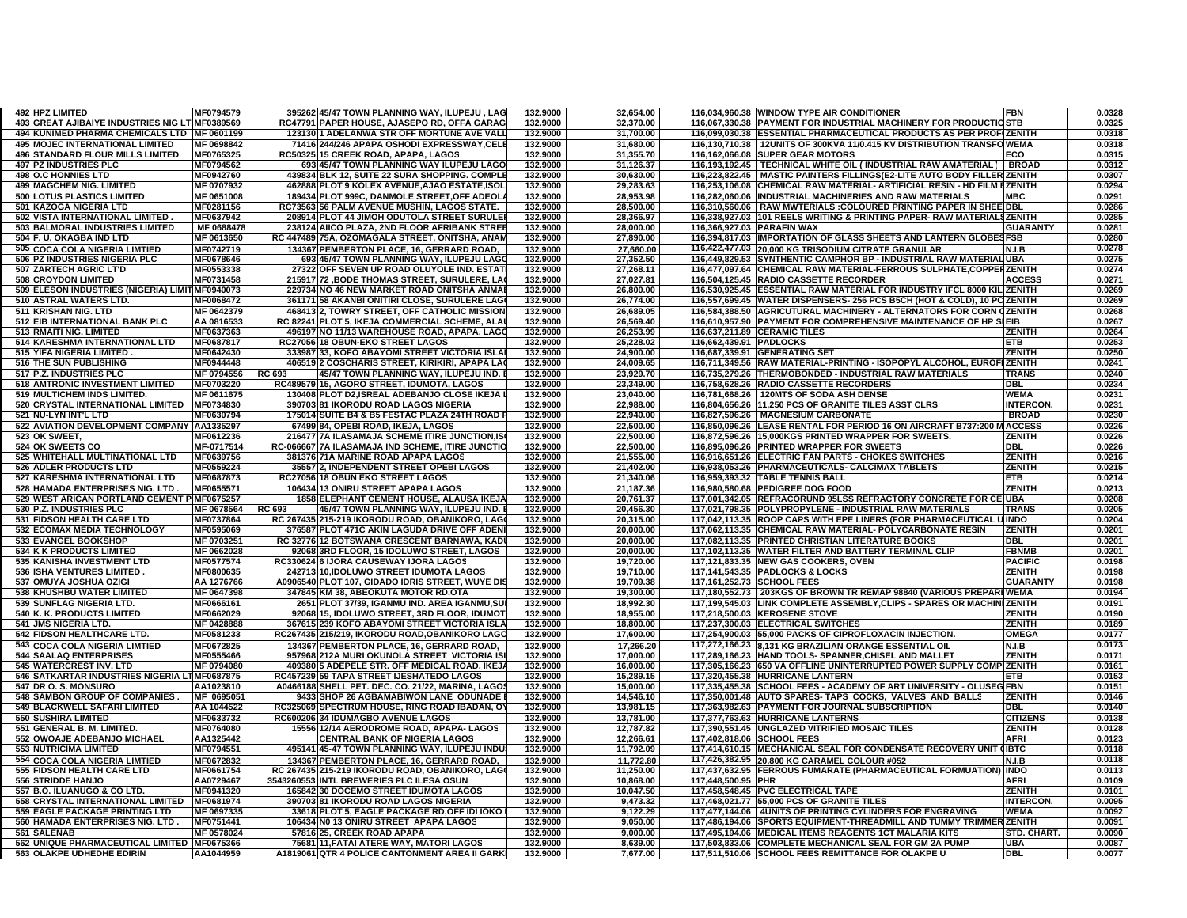| 492 HPZ LIMITED                                 | MF0794579  | 395262 45/47 TOWN PLANNING WAY, ILUPEJU, LAG     | 132.9000 | 32,654.00 |                         | 116,034,960.38 WINDOW TYPE AIR CONDITIONER                                 | FBN              | 0.0328 |
|-------------------------------------------------|------------|--------------------------------------------------|----------|-----------|-------------------------|----------------------------------------------------------------------------|------------------|--------|
| 493 GREAT AJIBAIYE INDUSTRIES NIG LTIMF0389569  |            | RC47791 PAPER HOUSE, AJASEPO RD, OFFA GARAG      | 132.9000 | 32,370.00 |                         | 116,067,330.38 PAYMENT FOR INDUSTRIAL MACHINERY FOR PRODUCTIOSTB           |                  | 0.0325 |
| 494 KUNIMED PHARMA CHEMICALS LTD IMF 0601199    |            | 12313011 ADELANWA STR OFF MORTUNE AVE VALI       | 132.9000 | 31.700.00 |                         | 116.099.030.38 ESSENTIAL PHARMACEUTICAL PRODUCTS AS PER PROFIZENITH        |                  | 0.0318 |
| <b>495 MOJEC INTERNATIONAL LIMITED</b>          | MF 0698842 | 71416 244/246 APAPA OSHODI EXPRESSWAY.CELE       | 132.9000 | 31,680.00 |                         | 116,130,710.38   12UNITS OF 300KVA 11/0.415 KV DISTRIBUTION TRANSFOWEMA    |                  | 0.0318 |
| <b>496 STANDARD FLOUR MILLS LIMITED</b>         | MF0765325  | RC50325 15 CREEK ROAD, APAPA, LAGOS              | 132.9000 | 31,355.70 |                         | 116.162.066.08 SUPER GEAR MOTORS                                           | ECO              | 0.0315 |
| <b>497 PZ INDUSTRIES PLC</b>                    | MF0794562  | 693 45/47 TOWN PLANNING WAY ILUPEJU LAGO         | 132.9000 | 31,126.37 |                         | 116,193,192.45   TECHNICAL WHITE OIL (INDUSTRIAL RAW AMATERIAL)            | <b>BROAD</b>     | 0.0312 |
| 498 O.C HONNIES LTD                             | MF0942760  | 439834 BLK 12, SUITE 22 SURA SHOPPING. COMPLI    | 132.9000 | 30,630.00 |                         | 116,223,822.45   MASTIC PAINTERS FILLINGS(E2-LITE AUTO BODY FILLER ZENITH  |                  | 0.0307 |
| <b>499 MAGCHEM NIG. LIMITED</b>                 | MF 0707932 | 462888 PLOT 9 KOLEX AVENUE, AJAO ESTATE, ISOL    | 132.9000 | 29,283.63 |                         | 116,253,106.08 CHEMICAL RAW MATERIAL- ARTIFICIAL RESIN - HD FILM EZENITH   |                  | 0.0294 |
| 500 LOTUS PLASTICS LIMITED                      | MF 0651008 | 189434 PLOT 999C, DANMOLE STREET, OFF ADEOL.     | 132.9000 | 28,953.98 |                         | 116,282,060.06 INDUSTRIAL MACHINERIES AND RAW MATERIALS                    | МВС              | 0.0291 |
| 501 KAZOGA NIGERIA LTD                          | MF0281156  | RC73563 56 PALM AVENUE MUSHIN, LAGOS STATE.      | 132.9000 | 28,500.00 |                         | 116,310,560.06 RAW MWTERIALS : COLOURED PRINTING PAPER IN SHEE DBL         |                  | 0.0286 |
| 502 VISTA INTERNATIONAL LIMITED.                | MF0637942  | 208914 PLOT 44 JIMOH ODUTOLA STREET SURULE       | 132.9000 | 28.366.97 |                         | 116.338.927.03 1101 REELS WRITING & PRINTING PAPER- RAW MATERIALSZENITH    |                  | 0.0285 |
| 503 BALMORAL INDUSTRIES LIMITED                 | MF 0688478 | 238124 AIICO PLAZA, 2ND FLOOR AFRIBANK STRE      | 132.9000 | 28,000.00 |                         | 116.366.927.03 PARAFIN WAX                                                 | GUARANTY         | 0.0281 |
| 504 F. U. OKAGBA IND LTD                        | MF 0613650 | RC 447489 75A, OZOMAGALA STREET, ONITSHA, ANAM   | 132.9000 | 27,890.00 |                         | 116,394,817.03 IMPORTATION OF GLASS SHEETS AND LANTERN GLOBESFSB           |                  | 0.0280 |
| 505 COCA COLA NIGERIA LIMTIED                   | MF0742719  | 134367 PEMBERTON PLACE, 16, GERRARD ROAD.        | 132.9000 | 27.660.00 |                         | 116,422,477.03 20,000 KG TRISODIUM CITRATE GRANULAR                        | N.I.B            | 0.0278 |
| 506 PZ INDUSTRIES NIGERIA PLC                   | MF0678646  | 693 45/47 TOWN PLANNING WAY, ILUPEJU LAGO        | 132.9000 | 27,352.50 |                         | 116,449,829.53 SYNTHENTIC CAMPHOR BP - INDUSTRIAL RAW MATERIAL UBA         |                  | 0.0275 |
| 507 ZARTECH AGRIC LT'D                          | MF0553338  | 27322 OFF SEVEN UP ROAD OLUYOLE IND. ESTAT       | 132.9000 | 27,268.11 |                         | 116,477,097.64 CHEMICAL RAW MATERIAL-FERROUS SULPHATE, COPPERZENITH        |                  | 0.0274 |
| 508 CROYDON LIMITED                             | MF0731458  | 215917 72 , BODE THOMAS STREET, SURULERE, LA     | 132.9000 | 27,027.81 |                         | 116,504,125.45 RADIO CASSETTE RECORDER                                     | <b>ACCESS</b>    | 0.0271 |
| 509 ELESON INDUSTRIES (NIGERIA) LIMIT MF0940073 |            | 229734 NO 46 NEW MARKET ROAD ONITSHA ANMAI       | 132.9000 | 26,800.00 |                         | 116.530.925.45 ESSENTIAL RAW MATERIAL FOR INDUSTRY IFCL 8000 KILIZENITH    |                  | 0.0269 |
|                                                 |            |                                                  |          |           |                         |                                                                            |                  |        |
| 510 ASTRAL WATERS LTD.                          | MF0068472  | 361171 58 AKANBI ONITIRI CLOSE, SURULERE LAG     | 132.9000 | 26,774.00 |                         | 116,557,699.45   WATER DISPENSERS- 256 PCS B5CH (HOT & COLD), 10 PC ZENITH |                  | 0.0269 |
| 511 KRISHAN NIG. LTD                            | MF 0642379 | 468413 2, TOWRY STREET, OFF CATHOLIC MISSION     | 132.9000 | 26,689.05 |                         | 116,584,388.50 AGRICUTURAL MACHINERY - ALTERNATORS FOR CORN GZENITH        |                  | 0.0268 |
| 512 EIB INTERNATIONAL BANK PLC                  | AA 0816533 | RC 82241 PLOT 5, IKEJA COMMERCIAL SCHEME, ALA    | 132.9000 | 26,569.40 |                         | 116,610,957.90 PAYMENT FOR COMPREHENSIVE MAINTENANCE OF HP SIEIB           |                  | 0.0267 |
| 513 RMAITI NIG. LIMITED                         | MF0637363  | 496197 NO 11/13 WAREHOUSE ROAD, APAPA. LAGO      | 132.9000 | 26,253.99 |                         | 116,637,211.89 CERAMIC TILES                                               | ZENITH           | 0.0264 |
| 514 KARESHMA INTERNATIONAL LTD                  | MF0687817  | RC27056 18 OBUN-EKO STREET LAGOS                 | 132.9000 | 25,228.02 | 116,662,439.91 PADLOCKS |                                                                            | ETB              | 0.0253 |
| 515 YIFA NIGERIA LIMITED.                       | MF0642430  | 333987 33, KOFO ABAYOMI STREET VICTORIA ISLA     | 132.9000 | 24,900.00 |                         | 116,687,339.91 GENERATING SET                                              | ZENITH           | 0.0250 |
| 516 THE SUN PUBLISHING                          | MF0944448  | 406519 2 COSCHARIS STREET, KIRIKIRI, APAPA LA    | 132.9000 | 24,009.65 |                         | 116,711,349.56 RAW MATERIAL-PRINTING - ISOPOPYL ALCOHOL, EUROFIZENITH      |                  | 0.0241 |
| 517 P.Z. INDUSTRIES PLC                         | MF 0794556 | 45/47 TOWN PLANNING WAY, ILUPEJU IND.<br>RC 693  | 132.9000 | 23,929.70 |                         | 116,735,279.26 THERMOBONDED - INDUSTRIAL RAW MATERIALS                     | TRANS            | 0.0240 |
| <b>518 AMTRONIC INVESTMENT LIMITED</b>          | MF0703220  | RC489579 15, AGORO STREET, IDUMOTA, LAGOS        | 132.9000 | 23,349.00 |                         | 116,758,628.26 RADIO CASSETTE RECORDERS                                    | <b>DBL</b>       | 0.0234 |
| 519 MULTICHEM INDS LIMITED.                     | MF 0611675 | 130408 PLOT D2, ISREAL ADEBANJO CLOSE IKEJA      | 132.9000 | 23,040.00 |                         | 116,781,668.26   120MTS OF SODA ASH DENSE                                  | <b>WEMA</b>      | 0.0231 |
| 520 CRYSTAL INTERNATIONAL LIMITED               | MF0734830  | 390703 81 IKORODU ROAD LAGOS NIGERIA             | 132.9000 | 22.988.00 |                         | 116,804,656.26 11,250 PCS OF GRANITE TILES ASST CLRS                       | <b>INTERCON.</b> | 0.0231 |
| 521 NU-LYN INT'L LTD                            | MF0630794  | 175014 SUITE B4 & B5 FESTAC PLAZA 24TH ROAD I    | 132.9000 | 22.940.00 |                         | 116.827.596.26   MAGNESIUM CARBONATE                                       | <b>BROAD</b>     | 0.0230 |
| 522 AVIATION DEVELOPMENT COMPANY  AA1335297     |            | 67499 84, OPEBI ROAD, IKEJA, LAGOS               | 132.9000 | 22.500.00 |                         | 116,850,096.26 LEASE RENTAL FOR PERIOD 16 ON AIRCRAFT B737:200 M ACCESS    |                  | 0.0226 |
| 523 OK SWEET                                    | MF0612236  | 216477 7A ILASAMAJA SCHEME ITIRE JUNCTION.IS     | 132.9000 | 22,500.00 |                         | 116,872,596.26 15,000KGS PRINTED WRAPPER FOR SWEETS.                       | <b>ZENITH</b>    | 0.0226 |
| <b>524 OK SWEETS CO</b>                         | MF-0717514 | RC-066667 7A ILASAMAJA IND SCHEME, ITIRE JUNCTIO | 132.9000 | 22,500.00 |                         | 116,895,096.26 PRINTED WRAPPER FOR SWEETS                                  | <b>DBL</b>       | 0.0226 |
| 525 WHITEHALL MULTINATIONAL LTD                 | MF0639756  | 381376 71A MARINE ROAD APAPA LAGOS               | 132.9000 | 21,555.00 |                         | 116,916,651.26 ELECTRIC FAN PARTS - CHOKES SWITCHES                        | <b>ZENITH</b>    | 0.0216 |
| <b>526 ADLER PRODUCTS LTD</b>                   | MF0559224  | 35557 2, INDEPENDENT STREET OPEBILAGOS           | 132.9000 | 21,402.00 |                         | 116,938,053.26 PHARMACEUTICALS- CALCIMAX TABLETS                           | <b>ZENITH</b>    | 0.0215 |
| 527 KARESHMA INTERNATIONAL LTD                  | MF0687873  | RC27056 18 OBUN EKO STREET LAGOS                 | 132.9000 | 21.340.06 |                         | 116,959,393.32 TABLE TENNIS BALL                                           | ETB              | 0.0214 |
| 528 HAMADA ENTERPRISES NIG. LTD.                | MF0655571  | 106434 13 ONIRU STREET APAPA LAGOS               | 132.9000 | 21.187.36 |                         | 116.980.580.68 PEDIGREE DOG FOOD                                           | ZENITH           | 0.0213 |
| 529 WEST ARICAN PORTLAND CEMENT PIMF0675257     |            | 1858 ELEPHANT CEMENT HOUSE, ALAUSA IKEJA         | 132.9000 | 20.761.37 |                         |                                                                            |                  | 0.0208 |
|                                                 |            |                                                  |          |           |                         | 117,001,342.05 REFRACORUND 95LSS REFRACTORY CONCRETE FOR CEIUBA            |                  |        |
| 530 P.Z. INDUSTRIES PLC                         | MF 0678564 | RC 693<br>45/47 TOWN PLANNING WAY. ILUPEJU IND.  | 132.9000 | 20,456.30 |                         | 117.021.798.35 POLYPROPYLENE - INDUSTRIAL RAW MATERIALS                    | TRANS            | 0.0205 |
| 531 FIDSON HEALTH CARE LTD                      | MF0737864  | RC 267435 215-219 IKORODU ROAD, OBANIKORO, LAG   | 132.9000 | 20,315.00 |                         | 117,042,113.35 ROOP CAPS WITH EPE LINERS (FOR PHARMACEUTICAL U INDO        |                  | 0.0204 |
| <b>532 ECOMAX MEDIA TECHNOLOGY</b>              | MF0595069  | 376587 PLOT 471C AKIN LAGUDA DRIVE OFF ADEN      | 132.9000 | 20,000.00 |                         | 117,062,113.35 CHEMICAL RAW MATERIAL- POLYCARBONATE RESIN                  | <b>ZENITH</b>    | 0.0201 |
| <b>533 EVANGEL BOOKSHOP</b>                     | MF 0703251 | RC 32776 12 BOTSWANA CRESCENT BARNAWA, KAD       | 132.9000 | 20,000.00 |                         | 117,082,113.35 PRINTED CHRISTIAN LITERATURE BOOKS                          | DBL              | 0.0201 |
| 534 K K PRODUCTS LIMITED                        | MF 0662028 | 92068 3RD FLOOR, 15 IDOLUWO STREET, LAGOS        | 132.9000 | 20,000.00 |                         | 117,102,113.35 WATER FILTER AND BATTERY TERMINAL CLIP                      | <b>FBNMB</b>     | 0.0201 |
| 535 KANISHA INVESTMENT LTD                      | MF0577574  | RC330624 6 IJORA CAUSEWAY IJORA LAGOS            | 132.9000 | 19,720.00 |                         | 117,121,833.35 NEW GAS COOKERS, OVEN                                       | <b>PACIFIC</b>   | 0.0198 |
| 536 ISHA VENTURES LIMITED                       | MF0800635  | 242713 10, IDOLUWO STREET IDUMOTA LAGOS          | 132.9000 | 19,710.00 |                         | 117,141,543.35 PADLOCKS & LOCKS                                            | <b>ZENITH</b>    | 0.0198 |
| 537 OMUYA JOSHUA OZIGI                          | AA 1276766 | A0906540 PLOT 107, GIDADO IDRIS STREET, WUYE DI  | 132.9000 | 19,709.38 |                         | 117,161,252.73 SCHOOL FEES                                                 | <b>GUARANTY</b>  | 0.0198 |
| 538 KHUSHBU WATER LIMITED                       | MF 0647398 | 347845 KM 38, ABEOKUTA MOTOR RD.OTA              | 132.9000 | 19,300.00 |                         | 117,180,552.73 203KGS OF BROWN TR REMAP 98840 (VARIOUS PREPAREWEMA         |                  | 0.0194 |
| 539 SUNFLAG NIGERIA LTD.                        | MF0666161  | 2651 PLOT 37/39, IGANMU IND. AREA IGANMU,SU      | 132.9000 | 18,992.30 |                         | 117,199,545.03 LINK COMPLETE ASSEMBLY, CLIPS - SPARES OR MACHINIZENITH     |                  | 0.0191 |
| 540 K. K. PRODUCTS LIMITED                      | MF0662029  | 92068 15, IDOLUWO STREET, 3RD FLOOR, IDUMOT      | 132.9000 | 18,955.00 |                         | 117,218,500.03 KEROSENE STOVE                                              | ZENITH           | 0.0190 |
| 541 JMS NIGERIA LTD.                            | MF 0428888 | 367615 239 KOFO ABAYOMI STREET VICTORIA ISLA     | 132.9000 | 18,800.00 |                         | 117,237,300.03 ELECTRICAL SWITCHES                                         | ZENITH           | 0.0189 |
| 542 FIDSON HEALTHCARE LTD.                      | MF0581233  | RC267435 215/219, IKORODU ROAD, OBANIKORO LAGO   | 132.9000 | 17,600.00 |                         | 117,254,900.03 55,000 PACKS OF CIPROFLOXACIN INJECTION.                    | OMEGA            | 0.0177 |
| 543 COCA COLA NIGERIA LIMTIED                   | MF0672825  | 134367 PEMBERTON PLACE, 16, GERRARD ROAD,        | 132.9000 | 17,266.20 |                         | 117,272,166.23 8,131 KG BRAZILIAN ORANGE ESSENTIAL OIL                     | <b>N.I.B</b>     | 0.0173 |
| <b>544 SAALAQ ENTERPRISES</b>                   | MF0555466  | 957968 212A MURI OKUNOLA STREET VICTORIA IS      | 132.9000 | 17,000.00 |                         | 117,289,166.23 HAND TOOLS- SPANNER, CHISEL AND MALLET                      | ZENITH           | 0.0171 |
| 545 WATERCREST INV. LTD                         | MF 0794080 | 409380 5 ADEPELE STR. OFF MEDICAL ROAD, IKEJ.    | 132.9000 | 16,000.00 |                         | 117,305,166.23 650 VA OFFLINE UNINTERRUPTED POWER SUPPLY COMPIZENITH       |                  | 0.0161 |
| 546 SATKARTAR INDUSTRIES NIGERIA LTMF0687875    |            | RC457239 59 TAPA STREET IJESHATEDO LAGOS         | 132.9000 | 15,289.15 |                         | 117,320,455.38 HURRICANE LANTERN                                           | ETB              | 0.0153 |
| 547 DR O. S. MONSURO                            | AA1023810  | A0466188 SHELL PET. DEC. CO. 21/22, MARINA, LAGO | 132.9000 | 15,000.00 |                         | 117,335,455.38 SCHOOL FEES - ACADEMY OF ART UNIVERSITY - OLUSEGFBN         |                  | 0.0151 |
| <b>548 SAMBON GROUP OF COMPANIES</b>            | MF 0695051 | 9433 SHOP 26 AGBAMABIWON LANE ODUNADE            | 132.9000 | 14.546.10 |                         | 117.350.001.48 AUTO SPARES-TAPS COCKS, VALVES AND BALLS                    | <b>ZENITH</b>    | 0.0146 |
| <b>549 BLACKWELL SAFARI LIMITED</b>             | AA 1044522 | RC325069 SPECTRUM HOUSE, RING ROAD IBADAN, O     | 132.9000 | 13,981.15 |                         | 117.363.982.63 PAYMENT FOR JOURNAL SUBSCRIPTION                            | DBL              | 0.0140 |
| 550 SUSHIRA LIMITED                             | MF0633732  | RC600206 34 IDUMAGBO AVENUE LAGOS                | 132.9000 | 13.781.00 |                         | 117.377.763.63 HURRICANE LANTERNS                                          | <b>CITIZENS</b>  | 0.0138 |
|                                                 |            |                                                  |          |           |                         |                                                                            |                  |        |
| 551 GENERAL B. M. LIMITED.                      | MF0764080  | 15556 12/14 AERODROME ROAD, APAPA-LAGOS          | 132.9000 | 12,787.82 |                         | 117,390,551.45 UNGLAZED VITRIFIED MOSAIC TILES                             | <b>ZENITH</b>    | 0.0128 |
| 552 OWOAJE ADEBANJO MICHAEL                     | AA1325442  | <b>CENTRAL BANK OF NIGERIA LAGOS</b>             | 132.9000 | 12,266.61 |                         | 117,402,818.06 SCHOOL FEES                                                 | <b>AFRI</b>      | 0.0123 |
| 553 NUTRICIMA LIMITED                           | MF0794551  | 495141 45-47 TOWN PLANNING WAY, ILUPEJU INDU     | 132.9000 | 11,792.09 |                         | 117,414,610.15   MECHANICAL SEAL FOR CONDENSATE RECOVERY UNIT (IBTC        |                  | 0.0118 |
| 554 COCA COLA NIGERIA LIMTIED                   | MF0672832  | 134367 PEMBERTON PLACE, 16, GERRARD ROAD.        | 132.9000 | 11.772.80 |                         | 117,426,382.95 20,800 KG CARAMEL COLOUR #052                               | N.I.B            | 0.0118 |
| 555 FIDSON HEALTH CARE LTD                      | MF0661754  | RC 267435 215-219 IKORODU ROAD, OBANIKORO, LAG   | 132.9000 | 11,250.00 |                         | 117,437,632.95 FERROUS FUMARATE (PHARMACEUTICAL FORMUATION)                | <b>INDO</b>      | 0.0113 |
| 556 STRIDDE HANJO                               | AA0729467  | 3543260553 INTL BREWERIES PLC ILESA OSUN         | 132.9000 | 10.868.00 | 117,448,500.95 PHR      |                                                                            | AFRI             | 0.0109 |
| 557 B.O. ILUANUGO & CO LTD.                     | MF0941320  | 165842 30 DOCEMO STREET IDUMOTA LAGOS            | 132.9000 | 10,047.50 |                         | 117,458,548.45 PVC ELECTRICAL TAPE                                         | <b>ZENITH</b>    | 0.0101 |
| 558 CRYSTAL INTERNATIONAL LIMITED               | MF0681974  | 390703 81 IKORODU ROAD LAGOS NIGERIA             | 132.9000 | 9,473.32  |                         | 117,468,021.77 55,000 PCS OF GRANITE TILES                                 | <b>INTERCON.</b> | 0.0095 |
| 559 EAGLE PACKAGE PRINTING LTD                  | MF 0697335 | 33618 PLOT 5, EAGLE PACKAGE RD, OFF IDI IOKO     | 132.9000 | 9,122.29  |                         | 117,477,144.06 4UNITS OF PRINTING CYLINDERS FOR ENGRAVING                  | <b>WEMA</b>      | 0.0092 |
| 560 HAMADA ENTERPRISES NIG. LTD.                | MF0751441  | 106434 N0 13 ONIRU STREET APAPA LAGOS            | 132.9000 | 9,050.00  |                         | 117,486,194.06 SPORTS EQUIPMENT-THREADMILL AND TUMMY TRIMMER ZENITH        |                  | 0.0091 |
| 561 SALENAB                                     | MF 0578024 | 57816 25, CREEK ROAD APAPA                       | 132.9000 | 9,000.00  |                         | 117,495,194.06 MEDICAL ITEMS REAGENTS 1CT MALARIA KITS                     | STD. CHART.      | 0.0090 |
| 562 UNIQUE PHARMACEUTICAL LIMITED IMF0675366    |            | 75681 11. FATAI ATERE WAY, MATORI LAGOS          | 132.9000 | 8.639.00  |                         | 117,503,833.06 COMPLETE MECHANICAL SEAL FOR GM 2A PUMP                     | <b>UBA</b>       | 0.0087 |
| 563 OLAKPE UDHEDHE EDIRIN                       | AA1044959  | A1819061 QTR 4 POLICE CANTONMENT AREA II GARK    | 132.9000 | 7,677.00  |                         | 117,511,510.06 SCHOOL FEES REMITTANCE FOR OLAKPE U                         | <b>DBL</b>       | 0.0077 |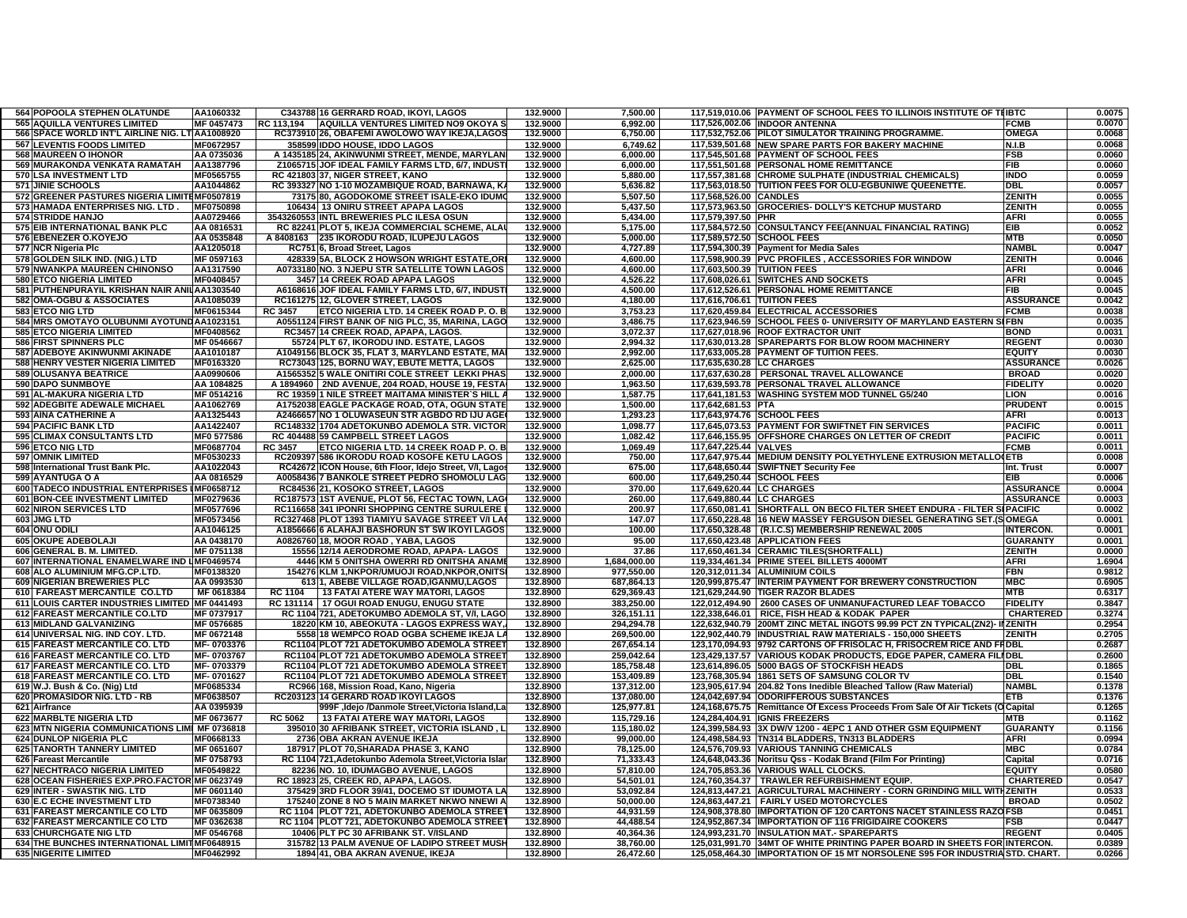| 564 POPOOLA STEPHEN OLATUNDE                    | AA1060332  |                | C343788 16 GERRARD ROAD, IKOYI, LAGOS                  | 132.9000 | 7,500.00     |                            | 117,519,010.06 PAYMENT OF SCHOOL FEES TO ILLINOIS INSTITUTE OF THIBTC              |                               | 0.0075 |
|-------------------------------------------------|------------|----------------|--------------------------------------------------------|----------|--------------|----------------------------|------------------------------------------------------------------------------------|-------------------------------|--------|
| <b>565 AQUILLA VENTURES LIMITED</b>             | MF 0457473 | RC 113.194     | AQUILLA VENTURES LIMITED NO9 OKOYA S                   | 132.9000 | 6,992.00     |                            | 117,526,002.06 INDOOR ANTENNA                                                      | <b>FCMB</b>                   | 0.0070 |
| 566 SPACE WORLD INT'L AIRLINE NIG. LT AA1008920 |            |                | RC373910 26, OBAFEMI AWOLOWO WAY IKEJA,LAGOS           | 132.9000 | 6,750.00     |                            | 117,532,752.06 PILOT SIMULATOR TRAINING PROGRAMME.                                 | <b>OMEGA</b>                  | 0.0068 |
| 567 LEVENTIS FOODS LIMITED                      | MF0672957  |                | 358599 IDDO HOUSE, IDDO LAGOS                          | 132.9000 | 6.749.62     |                            | 117,539,501.68 NEW SPARE PARTS FOR BAKERY MACHINE                                  | N.I.B                         | 0.0068 |
| <b>568 MAUREEN O IHONOR</b>                     | AA 0735036 |                | A 1435185 24, AKINWUNMI STREET, MENDE, MARYLAN         | 132.9000 | 6.000.00     |                            | 117,545,501.68 PAYMENT OF SCHOOL FEES                                              | <b>FSB</b>                    | 0.0060 |
| 569 MURAKONDA VENKATA RAMATAH                   | AA1387796  |                | Z1065715 JOF IDEAL FAMILY FARMS LTD, 6/7, INDUST       | 132.9000 | 6.000.00     |                            | 117,551,501.68 PERSONAL HOME REMITTANCE                                            | <b>FIB</b>                    | 0.0060 |
| 570 LSA INVESTMENT LTD                          | MF0565755  |                | RC 421803 37, NIGER STREET, KANO                       | 132.9000 | 5,880.00     |                            | 117,557,381.68 CHROME SULPHATE (INDUSTRIAL CHEMICALS)                              | <b>INDO</b>                   | 0.0059 |
| 571 JINIE SCHOOLS                               | AA1044862  |                | RC 393327 NO 1-10 MOZAMBIQUE ROAD, BARNAWA, K          | 132.9000 | 5,636.82     |                            | 117,563,018.50 TUITION FEES FOR OLU-EGBUNIWE QUEENETTE.                            | <b>DBL</b>                    | 0.0057 |
| 572 GREENER PASTURES NIGERIA LIMITEMF0507819    |            |                | 73175 80, AGODOKOME STREET ISALE-EKO IDUM              | 132.9000 | 5,507.50     | 117,568,526.00 CANDLES     |                                                                                    | <b>ZENITH</b>                 | 0.0055 |
| 573 HAMADA ENTERPRISES NIG. LTD.                | MF0750898  |                | 106434  13 ONIRU STREET APAPA LAGOS                    | 132.9000 | 5,437.50     |                            | 117,573,963.50 GROCERIES- DOLLY'S KETCHUP MUSTARD                                  | ZENITH                        | 0.0055 |
| <b>574 STRIDDE HANJO</b>                        | AA0729466  |                | 3543260553 INTL BREWERIES PLC ILESA OSUN               | 132.9000 | 5.434.00     | 117,579,397.50 PHR         |                                                                                    | <b>AFRI</b>                   | 0.0055 |
| 575 EIB INTERNATIONAL BANK PLC                  | AA 0816531 |                | RC 82241 PLOT 5, IKEJA COMMERCIAL SCHEME, ALA          | 132.9000 | 5.175.00     |                            | 117,584,572.50 CONSULTANCY FEE(ANNUAL FINANCIAL RATING)                            | <b>EIB</b>                    | 0.0052 |
| 576 EBENEZER O.KOYEJO                           | AA 0535848 |                | A 8408163 235 IKORODU ROAD, ILUPEJU LAGOS              | 132.9000 | 5.000.00     |                            | 117,589,572.50 SCHOOL FEES                                                         | <b>MTB</b>                    | 0.0050 |
|                                                 |            |                |                                                        |          |              |                            |                                                                                    | <b>NAMBI</b>                  |        |
| 577 NCR Nigeria Plc                             | AA1205018  |                | RC751 6, Broad Street, Lagos                           | 132.9000 | 4,727.89     |                            | 117,594,300.39 Payment for Media Sales                                             |                               | 0.0047 |
| 578 GOLDEN SILK IND. (NIG.) LTD                 | MF 0597163 |                | 428339 5A, BLOCK 2 HOWSON WRIGHT ESTATE, OR            | 132.9000 | 4,600.00     |                            | 117,598,900.39 PVC PROFILES, ACCESSORIES FOR WINDOW                                | ZENITH                        | 0.0046 |
| 579 NWANKPA MAUREEN CHINONSO                    | AA1317590  |                | A0733180 NO. 3 NJEPU STR SATELLITE TOWN LAGOS          | 132.9000 | 4,600.00     |                            | 117,603,500.39 TUITION FEES                                                        | <b>AFRI</b>                   | 0.0046 |
| <b>580 ETCO NIGERIA LIMITED</b>                 | MF0408457  |                | 3457 14 CREEK ROAD APAPA LAGOS                         | 132.9000 | 4,526.22     |                            | 117,608,026.61 SWITCHES AND SOCKETS                                                | <b>AFRI</b>                   | 0.0045 |
| 581 PUTHENPURAYIL KRISHAN NAIR ANILAA1303540    |            |                | A6168616 JOF IDEAL FAMILY FARMS LTD, 6/7, INDUST       | 132.9000 | 4,500.00     |                            | 117,612,526.61 PERSONAL HOME REMITTANCE                                            | FIB                           | 0.0045 |
| 582 OMA-OGBU & ASSOCIATES                       | AA1085039  |                | RC161275 12, GLOVER STREET, LAGOS                      | 132.9000 | 4.180.00     |                            | 117,616,706.61 TUITION FEES                                                        | <b>ASSURANCE</b>              | 0.0042 |
| 583 ETCO NIG LTD                                | MF0615344  | <b>RC 3457</b> | ETCO NIGERIA LTD. 14 CREEK ROAD P.O. B                 | 132.9000 | 3,753.23     |                            | 117,620,459.84 ELECTRICAL ACCESSORIES                                              | <b>FCMB</b>                   | 0.0038 |
| 584 MRS OMOTAYO OLUBUNMI AYOTUNDAA1023151       |            |                | A0551124 FIRST BANK OF NIG PLC, 35, MARINA, LAGO       | 132.9000 | 3,486.75     |                            | 117,623,946.59 SCHOOL FEES 0- UNIVERSITY OF MARYLAND EASTERN SIFBN                 |                               | 0.0035 |
| 585 ETCO NIGERIA LIMITED                        | MF0408562  |                | RC3457 14 CREEK ROAD, APAPA, LAGOS                     | 132.9000 | 3,072.37     |                            | 117,627,018.96 ROOF EXTRACTOR UNIT                                                 | <b>BOND</b>                   | 0.0031 |
| 586 FIRST SPINNERS PLC                          | MF 0546667 |                | 55724 PLT 67, IKORODU IND. ESTATE, LAGOS               | 132.9000 | 2,994.32     |                            | 117,630,013.28 SPAREPARTS FOR BLOW ROOM MACHINERY                                  | <b>REGENT</b>                 | 0.0030 |
| <b>587 ADEBOYE AKINWUNMI AKINADE</b>            | AA1010187  |                | A1049156 BLOCK 35, FLAT 3, MARYLAND ESTATE, MA         | 132.9000 | 2,992.00     |                            | 117,633,005.28 PAYMENT OF TUITION FEES.                                            | <b>EQUITY</b>                 | 0.0030 |
| 588 HENRY VESTER NIGERIA LIMITED                | MF0163320  |                | RC73043 125, BORNU WAY, EBUTE METTA, LAGOS             | 132.9000 | 2.625.00     | 117.635.630.28 ILC CHARGES |                                                                                    | <b>ASSURANCE</b>              | 0.0026 |
| 589 OLUSANYA BEATRICE                           | AA0990606  |                | A1565352 5 WALE ONITIRI COLE STREET LEKKI PHAS         | 132.9000 | 2.000.00     |                            | 117,637,630.28   PERSONAL TRAVEL ALLOWANCE                                         | <b>BROAD</b>                  | 0.0020 |
| <b>590 DAPO SUNMBOYE</b>                        | AA 1084825 |                | A 1894960   2ND AVENUE, 204 ROAD, HOUSE 19, FESTA      | 132.9000 | 1,963.50     |                            | 117,639,593.78 PERSONAL TRAVEL ALLOWANCE                                           | <b>FIDELITY</b>               | 0.0020 |
| 591 AL-MAKURA NIGERIA LTD                       | MF 0514216 |                | RC 19359 1 NILE STREET MAITAMA MINISTER'S HILL         | 132.9000 | 1,587.75     |                            | 117,641,181.53 WASHING SYSTEM MOD TUNNEL G5/240                                    | <b>LION</b>                   | 0.0016 |
| 592 ADEGBITE ADEWALE MICHAEL                    | AA1062769  |                | A1752038 EAGLE PACKAGE ROAD, OTA, OGUN STATE           | 132.9000 | 1,500.00     | 117,642,681.53 PTA         |                                                                                    | <b>PRUDENT</b>                | 0.0015 |
| <b>593 AINA CATHERINE A</b>                     | AA1325443  |                | A2466657 NO 1 OLUWASEUN STR AGBDO RD IJU AGE           | 132.9000 | 1,293.23     |                            | 117,643,974.76 SCHOOL FEES                                                         | <b>AFRI</b>                   | 0.0013 |
| <b>594 PACIFIC BANK LTD</b>                     | AA1422407  |                | RC148332 1704 ADETOKUNBO ADEMOLA STR. VICTOR           | 132.9000 | 1,098.77     |                            | 117,645,073.53 PAYMENT FOR SWIFTNET FIN SERVICES                                   | <b>PACIFIC</b>                | 0.0011 |
| 595 CLIMAX CONSULTANTS LTD                      | MF0 577586 |                | RC 404488 59 CAMPBELL STREET LAGOS                     | 132.9000 | 1,082.42     |                            | 117,646,155.95 OFFSHORE CHARGES ON LETTER OF CREDIT                                | <b>PACIFIC</b>                | 0.0011 |
| 596 ETCO NIG LTD                                | MF0687704  | <b>RC 3457</b> | ETCO NIGERIA LTD. 14 CREEK ROAD P.O. E                 | 132.9000 | 1,069.49     | 117,647,225.44 VALVES      |                                                                                    | <b>FCMB</b>                   | 0.0011 |
| <b>597 OMNIK LIMITED</b>                        | MF0530233  |                | RC209397 586 IKORODU ROAD KOSOFE KETU LAGOS            | 132.9000 | 750.00       |                            | 117,647,975.44   MEDIUM DENSITY POLYETHYLENE EXTRUSION METALLO (ETB                |                               | 0.0008 |
| 598 International Trust Bank Plc.               | AA1022043  |                |                                                        | 132.9000 | 675.00       |                            | 117,648,650.44 SWIFTNET Security Fee                                               |                               | 0.0007 |
|                                                 |            |                | RC42672 ICON House, 6th Floor, Idejo Street, V/I, Lago |          |              |                            |                                                                                    | Int. Trust<br>FIB             |        |
| 599 AYANTUGA O A                                | AA 0816529 |                | A0058436 7 BANKOLE STREET PEDRO SHOMOLU LAG            | 132.9000 | 600.00       |                            | 117,649,250.44 SCHOOL FEES                                                         |                               | 0.0006 |
| 600 TADECO INDUSTRIAL ENTERPRISES IMF0658712    |            |                | RC84536 21, KOSOKO STREET, LAGOS                       | 132.9000 | 370.00       | 117,649,620.44 LC CHARGES  |                                                                                    | <b>ASSURANCE</b>              | 0.0004 |
| 601 BON-CEE INVESTMENT LIMITED                  | MF0279636  |                | RC187573 1ST AVENUE, PLOT 56, FECTAC TOWN, LAG         | 132.9000 | 260.00       | 117,649,880.44 LC CHARGES  |                                                                                    | <b>ASSURANCE</b>              | 0.0003 |
| <b>602 NIRON SERVICES LTD</b>                   | MF0577696  |                | RC116658 341 IPONRI SHOPPING CENTRE SURULERE           | 132.9000 | 200.97       |                            | 117,650,081.41 SHORTFALL ON BECO FILTER SHEET ENDURA - FILTER SI PACIFIC           |                               | 0.0002 |
| 603 JMG LTD                                     | MF0573456  |                | RC327468 PLOT 1393 TIAMIYU SAVAGE STREET V/I LA        | 132.9000 | 147.07       |                            | 117,650,228.48 16 NEW MASSEY FERGUSON DIESEL GENERATING SET.(SOMEGA                |                               | 0.0001 |
| 604 ONU ODILI                                   | AA1046125  |                | A1856666 6 ALAHAJI BASHORUN ST SW IKOYI LAGOS          | 132.9000 | 100.00       |                            | 117,650,328.48   (R.I.C.S) MEMBERSHIP RENEWAL 2005                                 | <b>INTERCON</b>               | 0.0001 |
| <b>605 OKUPE ADEBOLAJI</b>                      | AA 0438170 |                | A0826760 18, MOOR ROAD, YABA, LAGOS                    | 132.9000 | 95.00        |                            | 117,650,423.48 APPLICATION FEES                                                    | <b>GUARANTY</b>               | 0.0001 |
| 606 GENERAL B. M. LIMITED.                      | MF 0751138 |                | 15556 12/14 AERODROME ROAD, APAPA- LAGOS               | 132.9000 | 37.86        |                            | 117,650,461.34 CERAMIC TILES(SHORTFALL                                             | <b>ZENITH</b>                 | 0.0000 |
| 607 INTERNATIONAL ENAMELWARE IND UMF0469574     |            |                | 4446 KM 5 ONITSHA OWERRI RD ONITSHA ANAM               | 132.8900 | 1,684,000.00 |                            | 119,334,461.34 PRIME STEEL BILLETS 4000MT                                          | <b>AFRI</b>                   | 1.6904 |
| 608 ALO ALUMINIUM MFG.CP.LTD.                   | MF0138320  |                | 154276 KLM 1.NKPOR/UMUOJI ROAD.NKPOR.ONITS             | 132.8900 | 977,550.00   |                            | 120.312.011.34 ALUMINIUM COILS                                                     | <b>FBN</b>                    | 0.9812 |
| 609 NIGERIAN BREWERIES PLC                      | AA 0993530 |                | 613 1, ABEBE VILLAGE ROAD, IGANMU, LAGOS               | 132.8900 | 687,864.13   |                            | 120,999,875.47 INTERIM PAYMENT FOR BREWERY CONSTRUCTION                            | <b>MBC</b>                    | 0.6905 |
| 610 FAREAST MERCANTILE CO.LTD                   | MF 0618384 |                | RC 1104   13 FATAI ATERE WAY MATORI, LAGOS             | 132.8900 | 629,369.43   |                            | 121,629,244.90 TIGER RAZOR BLADES                                                  | <b>MTB</b>                    | 0.6317 |
| 611 LOUIS CARTER INDUSTRIES LIMITED MF 0441493  |            |                | RC 131114   17 OGUI ROAD ENUGU, ENUGU STATE            | 132.8900 | 383,250.00   |                            | 122,012,494.90 2600 CASES OF UNMANUFACTURED LEAF TOBACCO                           | <b>FIDELITY</b>               | 0.3847 |
| 612 FAREAST MERCANTILE CO.LTD                   | MF 0737917 |                | RC 1104 721, ADETOKUMBO ADEMOLA ST, V/I, LAGO          | 132.8900 | 326,151.11   |                            | 122,338,646.01   RICE, FISH HEAD & KODAK PAPER                                     | <b>CHARTERED</b>              | 0.3274 |
| 613 MIDLAND GALVANIZING                         | MF 0576685 |                | 18220 KM 10, ABEOKUTA - LAGOS EXPRESS WAY              | 132.8900 | 294,294.78   |                            | 122,632,940.79 200MT ZINC METAL INGOTS 99.99 PCT ZN TYPICAL(ZN2)- INZENITH         |                               | 0.2954 |
| 614 UNIVERSAL NIG. IND COY. LTD.                | MF 0672148 |                | 5558 18 WEMPCO ROAD OGBA SCHEME IKEJA LA               | 132.8900 | 269,500.00   |                            | 122,902,440.79 INDUSTRIAL RAW MATERIALS - 150,000 SHEETS                           | <b>ZENITH</b>                 | 0.2705 |
| 615 FAREAST MERCANTILE CO. LTD                  | MF-0703376 |                | RC1104 PLOT 721 ADETOKUMBO ADEMOLA STREE               | 132.8900 | 267,654.14   |                            | 123,170,094.93 9792 CARTONS OF FRISOLAC H, FRISOCREM RICE AND FRDBL                |                               | 0.2687 |
| 616 FAREAST MERCANTILE CO. LTD                  | MF-0703767 |                | RC1104 PLOT 721 ADETOKUMBO ADEMOLA STREET              | 132.8900 | 259,042.64   |                            | 123,429,137.57 VARIOUS KODAK PRODUCTS, EDGE PAPER, CAMERA FILIDBL                  |                               | 0.2600 |
| 617 FAREAST MERCANTILE CO. LTD                  | MF-0703379 |                | RC1104 PLOT 721 ADETOKUMBO ADEMOLA STREET              | 132.8900 | 185,758.48   |                            | 123,614,896.05 5000 BAGS OF STOCKFISH HEADS                                        | DBL                           | 0.1865 |
| 618 FAREAST MERCANTILE CO. LTD                  | MF-0701627 |                | RC1104 PLOT 721 ADETOKUMBO ADEMOLA STREET              | 132.8900 | 153,409.89   |                            | 123,768,305.94 1861 SETS OF SAMSUNG COLOR TV                                       | DBL                           | 0.1540 |
| 619 W.J. Bush & Co. (Nig) Ltd                   | MF0685334  |                | RC966 168, Mission Road, Kano, Nigeria                 | 132.8900 | 137,312.00   |                            | 123,905,617.94 204.82 Tons Inedible Bleached Tallow (Raw Material)                 | <b>NAMBL</b>                  | 0.1378 |
| 620 PROMASIDOR NIG. LTD - RB                    | MF0638507  |                | RC203123 14 GERARD ROAD IKOYI LAGOS                    | 132.8900 | 137,080.00   |                            | 124,042,697.94 ODORIFFEROUS SUBSTANCES                                             | <b>ETB</b>                    | 0.1376 |
| 621 Airfrance                                   | AA 0395939 |                | 999F , Idejo /Danmole Street, Victoria Island, L       | 132.8900 | 125,977.81   |                            | 124,168,675.75   Remittance Of Excess Proceeds From Sale Of Air Tickets (O Capital |                               | 0.1265 |
|                                                 |            |                |                                                        |          |              |                            |                                                                                    |                               |        |
| <b>622 MARBLTE NIGERIA LTD</b>                  | MF 0673677 | <b>RC 5062</b> | 13 FATAI ATERE WAY MATORI, LAGOS                       | 132.8900 | 115,729.16   |                            | 124,284,404.91 IGNIS FREEZERS                                                      | <b>NTB</b><br><b>GUARANTY</b> | 0.1162 |
| 623 MTN NIGERIA COMMUNICATIONS LIMI MF 0736818  |            |                | 395010 30 AFRIBANK STREET, VICTORIA ISLAND, L          | 132.8900 | 115,180.02   |                            | 124,399,584.93 3X DW/V 1200 - 4EPC 1 AND OTHER GSM EQUIPMENT                       |                               | 0.1156 |
| 624 DUNLOP NIGERIA PLC                          | MF0668133  |                | 2736 OBA AKRAN AVENUE IKEJA                            | 132.8900 | 99,000.00    |                            | 124,498,584.93 TN314 BLADDERS, TN313 BLADDERS                                      | <b>AFRI</b>                   | 0.0994 |
| 625 TANORTH TANNERY LIMITED                     | MF 0651607 |                | 187917 PLOT 70, SHARADA PHASE 3, KANO                  | 132.8900 | 78.125.00    |                            | 124,576,709.93 VARIOUS TANNING CHEMICALS                                           | <b>MBC</b>                    | 0.0784 |
| 626 Fareast Mercantile                          | MF 0758793 |                | RC 1104 721, Adetokunbo Ademola Street, Victoria Islar | 132.8900 | 71,333.43    |                            | 124,648,043.36 Noritsu Qss - Kodak Brand (Film For Printing)                       | Capital                       | 0.0716 |
| <b>627 NECHTRACO NIGERIA LIMITED</b>            | MF0549822  |                | 82236 NO. 10, IDUMAGBO AVENUE, LAGOS                   | 132.8900 | 57.810.00    |                            | 124,705,853.36 VARIOUS WALL CLOCKS.                                                | <b>EQUITY</b>                 | 0.0580 |
| 628 OCEAN FISHERIES EXP.PRO.FACTORIMF 0623749   |            |                | RC 18923 25, CREEK RD, APAPA, LAGOS.                   | 132.8900 | 54.501.01    |                            | 124,760,354.37   TRAWLER REFURBISHMENT EQUIP.                                      | <b>CHARTERED</b>              | 0.0547 |
| 629 INTER - SWASTIK NIG. LTD                    | MF 0601140 |                | 375429 3RD FLOOR 39/41, DOCEMO ST IDUMOTA L/           | 132.8900 | 53,092.84    |                            | 124,813,447.21 AGRICULTURAL MACHINERY - CORN GRINDING MILL WITHZENITH              |                               | 0.0533 |
| 630 E.C ECHE INVESTMENT LTD                     | MF0738340  |                | 175240 ZONE 8 NO 5 MAIN MARKET NKWO NNEWI A            | 132.8900 | 50,000.00    |                            | 124,863,447.21   FAIRLY USED MOTORCYCLES                                           | <b>BROAD</b>                  | 0.0502 |
| 631 FAREAST MERCANTILE CO LTD                   | MF 0635809 |                | RC 1104 PLOT 721, ADETOKUNBO ADEMOLA STREE             | 132.8900 | 44,931.59    |                            | 124,908,378.80 IMPORTATION OF 120 CARTONS NACET STAINLESS RAZO FSB                 |                               | 0.0451 |
| 632 FAREAST MERCANTILE CO LTD                   | MF 0362638 |                | RC 1104 PLOT 721, ADETOKUNBO ADEMOLA STREE             | 132.8900 | 44,488.54    |                            | 124,952,867.34 IMPORTATION OF 116 FRIGIDAIRE COOKERS                               | FSB                           | 0.0447 |
| <b>633 CHURCHGATE NIG LTD</b>                   | MF 0546768 |                | 10406 PLT PC 30 AFRIBANK ST. V/ISLAND                  | 132.8900 | 40,364.36    |                            | 124,993,231.70 INSULATION MAT.- SPAREPARTS                                         | <b>REGENT</b>                 | 0.0405 |
| 634 THE BUNCHES INTERNATIONAL LIMITIMF0648915   |            |                | 315782 13 PALM AVENUE OF LADIPO STREET MUSH            | 132.8900 | 38.760.00    |                            | 125.031.991.70 34MT OF WHITE PRINTING PAPER BOARD IN SHEETS FOR INTERCON           |                               | 0.0389 |
| <b>635 NIGERITE LIMITED</b>                     | MF0462992  |                | 1894 41, OBA AKRAN AVENUE, IKEJA                       | 132.8900 | 26,472.60    |                            | 125,058,464.30 IMPORTATION OF 15 MT NORSOLENE S95 FOR INDUSTRIAISTD. CHART.        |                               | 0.0266 |
|                                                 |            |                |                                                        |          |              |                            |                                                                                    |                               |        |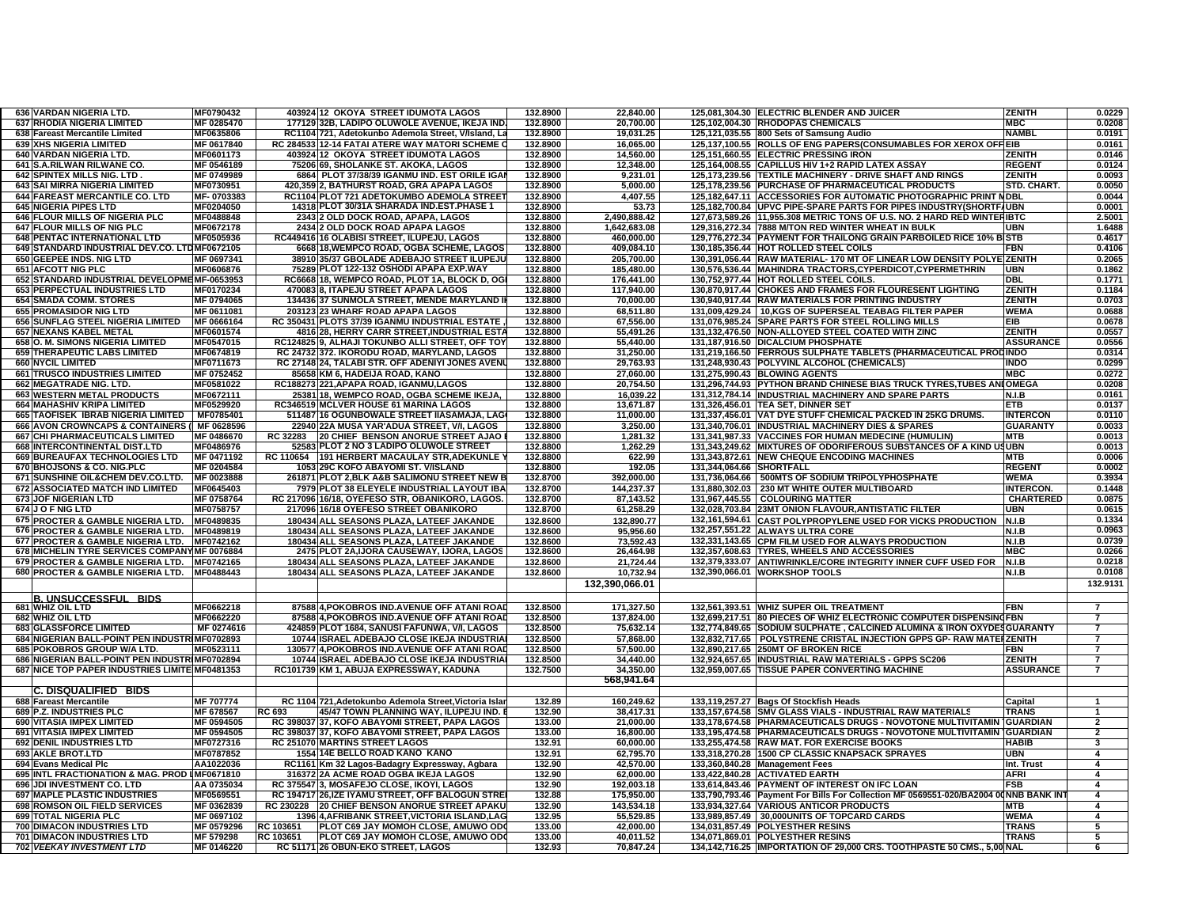| 636 VARDAN NIGERIA LTD.                                               | MF0790432               |           | 403924 12 OKOYA STREET IDUMOTA LAGOS                                     | 132.8900         | 22.840.00              |                          | 125,081,304.30 ELECTRIC BLENDER AND JUICER                                                                   | <b>ZENITH</b>    | 0.0229                   |
|-----------------------------------------------------------------------|-------------------------|-----------|--------------------------------------------------------------------------|------------------|------------------------|--------------------------|--------------------------------------------------------------------------------------------------------------|------------------|--------------------------|
| 637 RHODIA NIGERIA LIMITED                                            | MF 0285470              |           | 177129 32B, LADIPO OLUWOLE AVENUE, IKEJA IND                             | 132.8900         | 20,700.00              |                          | 125,102,004.30 RHODOPAS CHEMICALS                                                                            | <b>MBC</b>       | 0.0208                   |
| 638 Fareast Mercantile Limited                                        | MF0635806               |           | RC1104 721, Adetokunbo Ademola Street, V/Island, La                      | 132.8900         | 19,031.25              |                          | 125,121,035.55 800 Sets of Samsung Audio                                                                     | <b>NAMBL</b>     | 0.0191                   |
| 639 XHS NIGERIA LIMITED                                               | MF 0617840              |           | RC 284533 12-14 FATAI ATERE WAY MATORI SCHEME                            | 132.8900         | 16.065.00              |                          | 125,137,100.55 ROLLS OF ENG PAPERS(CONSUMABLES FOR XEROX OFF EIB                                             |                  | 0.0161                   |
| <b>640 VARDAN NIGERIA LTD.</b>                                        | MF0601173               |           | 403924 12 OKOYA STREET IDUMOTA LAGOS                                     | 132.8900         | 14.560.00              |                          | 125.151.660.55 ELECTRIC PRESSING IRON                                                                        | ZENITH           | 0.0146                   |
| 641 S.A.RILWAN RILWANE CO                                             | MF 0546189              |           | 75206 69, SHOLANKE ST. AKOKA, LAGOS                                      | 132.8900         | 12,348.00              |                          | 125,164,008.55 CAPILLUS HIV 1+2 RAPID LATEX ASSAY                                                            | <b>REGENT</b>    | 0.0124                   |
| 642 SPINTEX MILLS NIG. LTD.                                           | MF 0749989              |           | 6864 PLOT 37/38/39 IGANMU IND. EST ORILE IGA                             | 132.8900         | 9,231.01               |                          | 125,173,239.56 TEXTILE MACHINERY - DRIVE SHAFT AND RINGS                                                     | <b>ZENITH</b>    | 0.0093                   |
| 643 SAI MIRRA NIGERIA LIMITED                                         | MF0730951               |           | 420,359 2, BATHURST ROAD, GRA APAPA LAGOS                                | 132.8900         | 5,000.00               |                          | 125,178,239.56 PURCHASE OF PHARMACEUTICAL PRODUCTS                                                           | STD. CHART.      | 0.0050                   |
| 644 FAREAST MERCANTILE CO. LTD                                        | MF-0703383              |           | RC1104 PLOT 721 ADETOKUMBO ADEMOLA STREE                                 | 132.8900         | 4,407.55               |                          | 125,182,647.11 ACCESSORIES FOR AUTOMATIC PHOTOGRAPHIC PRINT MDBL                                             |                  | 0.0044                   |
| <b>645 NIGERIA PIPES LTD</b>                                          | MF0204050               |           | 14318 PLOT 30/31A SHARADA IND EST PHASE 1                                | 132.8900         | 53.73                  |                          | 125,182,700.84 UPVC PIPE-SPARE PARTS FOR PIPES INDUSTRY(SHORTFAUBN                                           |                  | 0.0001                   |
|                                                                       |                         |           |                                                                          |                  |                        |                          |                                                                                                              |                  |                          |
| 646 FLOUR MILLS OF NIGERIA PLC                                        | MF0488848               |           | 2343 2 OLD DOCK ROAD, APAPA, LAGOS                                       | 132.8800         | 2.490.888.42           |                          | 127,673,589.26 11,955.308 METRIC TONS OF U.S. NO. 2 HARD RED WINTERIBTC                                      |                  | 2.5001                   |
| 647 FLOUR MILLS OF NIG PLC                                            | MF0672178               | 2434      | <b>2 OLD DOCK ROAD APAPA LAGOS</b>                                       | 132.8800         | 1,642,683.08           |                          | 129,316,272.34 7888 M/TON RED WINTER WHEAT IN BULK                                                           | UBN              | 1.6488                   |
| <b>648 PENTAC INTERNATIONAL LTD</b>                                   | MF0505936               |           | RC449416 16 OLABISI STREET, ILUPEJU, LAGOS                               | 132.8800         | 460,000.00             |                          | 129,776,272.34 PAYMENT FOR THAILONG GRAIN PARBOILED RICE 10% BI                                              | <b>STB</b>       | 0.4617                   |
| 649 STANDARD INDUSTRIAL DEV.CO. LTDMF0672105                          |                         |           | 6668 18, WEMPCO ROAD, OGBA SCHEME, LAGOS                                 | 132.8800         | 409,084.10             |                          | 130,185,356.44 HOT ROLLED STEEL COILS                                                                        | FBN              | 0.4106                   |
| 650 GEEPEE INDS. NIG LTD                                              | MF 0697341              |           | 38910 35/37 GBOLADE ADEBAJO STREET ILUPEJU                               | 132.8800         | 205,700.00             |                          | 130,391,056.44 RAW MATERIAL-170 MT OF LINEAR LOW DENSITY POLYE ZENITH                                        |                  | 0.2065                   |
| <b>651 AFCOTT NIG PLC</b>                                             | MF0606876               |           | 75289 PLOT 122-132 OSHODI APAPA EXP.WAY                                  | 132.8800         | 185,480.00             |                          | 130,576,536.44 MAHINDRA TRACTORS,CYPERDICOT,CYPERMETHRIN                                                     | <b>UBN</b>       | 0.1862                   |
| 652 STANDARD INDUSTRIAL DEVELOPMEMF-0653953                           |                         |           | RC6668 18, WEMPCO ROAD, PLOT 1A, BLOCK D, OG                             | 132.8800         | 176,441.00             |                          | 130,752,977.44 HOT ROLLED STEEL COILS.                                                                       | DBL              | 0.1771                   |
| 653 PERPECTUAL INDUSTRIES LTD                                         | MF0170234               |           | 4700838, ITAPEJU STREET APAPA LAGOS                                      | 132.8800         | 117,940.00             |                          | 130,870,917.44 CHOKES AND FRAMES FOR FLOURESENT LIGHTING                                                     | <b>ZENITH</b>    | 0.1184                   |
| <b>654 SMADA COMM. STORES</b>                                         | MF 0794065              |           | 134436 37 SUNMOLA STREET, MENDE MARYLAND                                 | 132.8800         | 70,000.00              |                          | 130,940,917.44 RAW MATERIALS FOR PRINTING INDUSTRY                                                           | <b>ZENITH</b>    | 0.0703                   |
| <b>655 PROMASIDOR NIG LTD</b>                                         | MF 0611081              |           | 203123 23 WHARF ROAD APAPA LAGOS                                         | 132.8800         | 68,511.80              |                          | 131,009,429.24   10, KGS OF SUPERSEAL TEABAG FILTER PAPER                                                    | <b>WEMA</b>      | 0.0688                   |
| 656 SUNFLAG STEEL NIGERIA LIMITED                                     | MF 0666164              |           | RC 350431 PLOTS 37/39 IGANMU INDUSTRIAL ESTATE                           | 132.8800         | 67.556.00              |                          | 131.076.985.24 SPARE PARTS FOR STEEL ROLLING MILLS                                                           | EIB              | 0.0678                   |
| <b>657 NEXANS KABEL METAL</b>                                         | MF0601574               |           | 4816 28, HERRY CARR STREET,INDUSTRIAL EST                                | 132.8800         | 55,491.26              |                          | 131,132,476.50 NON-ALLOYED STEEL COATED WITH ZINC                                                            | <b>ZENITH</b>    | 0.0557                   |
| 658 O. M. SIMONS NIGERIA LIMITED                                      | MF0547015               |           | RC124825 9, ALHAJI TOKUNBO ALLI STREET, OFF TO'                          | 132.8800         | 55,440.00              |                          | 131,187,916.50 DICALCIUM PHOSPHATE                                                                           | <b>ASSURANCE</b> | 0.0556                   |
| <b>659 THERAPEUTIC LABS LIMITED</b>                                   | MF0674819               |           | RC 24732 372. IKORODU ROAD, MARYLAND, LAGOS                              | 132.8800         | 31,250.00              |                          | 131,219,166.50 FERROUS SULPHATE TABLETS (PHARMACEUTICAL PRODINDO                                             |                  | 0.0314                   |
| 660 NYCIL LIMITED                                                     | MF0711673               |           | RC 27148 24, TALABI STR. OFF ADENIYI JONES AVEN                          | 132.8800         | 29.763.93              |                          | 131,248,930.43 POLYVINL ALCOHOL (CHEMICALS)                                                                  | <b>INDO</b>      | 0.0299                   |
| <b>661 TRUSCO INDUSTRIES LIMITED</b>                                  | MF 0752452              |           | 85658 KM 6, HADEIJA ROAD, KANO                                           | 132.8800         | 27,060.00              |                          | 131,275,990.43 BLOWING AGENTS                                                                                | <b>MBC</b>       | 0.0272                   |
|                                                                       |                         |           |                                                                          |                  |                        |                          |                                                                                                              |                  |                          |
| 662 MEGATRADE NIG. LTD.                                               | MF0581022               |           | RC188273 221, APAPA ROAD, IGANMU, LAGOS                                  | 132.8800         | 20,754.50              |                          | 131,296,744.93 PYTHON BRAND CHINESE BIAS TRUCK TYRES, TUBES ANIOMEGA                                         |                  | 0.0208                   |
| <b>663 WESTERN METAL PRODUCTS</b>                                     | MF0672111               |           | 25381 18, WEMPCO ROAD, OGBA SCHEME IKEJA                                 | 132.8800         | 16,039.22              |                          | 131,312,784.14 INDUSTRIAL MACHINERY AND SPARE PARTS                                                          | N.I.B            | 0.0161                   |
| 664 MAHASHIV KRIPA LIMITED                                            | MF0529920               |           | RC346519 MCLVER HOUSE 61 MARINA LAGOS                                    | 132.8800         | 13,671.87              |                          | 131,326,456.01 TEA SET, DINNER SET                                                                           | ETB              | 0.0137                   |
| 665 TAOFISEK IBRAB NIGERIA LIMITED                                    | MF0785401               |           | 511487 16 OGUNBOWALE STREET IIASAMAJA, LAC                               | 132.8800         | 11,000.00              |                          | 131,337,456.01 VAT DYE STUFF CHEMICAL PACKED IN 25KG DRUMS.                                                  | <b>INTERCON</b>  | 0.0110                   |
| 666 AVON CROWNCAPS & CONTAINERS (I MF 0628596                         |                         |           | 22940 22A MUSA YAR'ADUA STREET, V/I, LAGOS                               | 132.8800         | 3,250.00               |                          | 131,340,706.01 INDUSTRIAL MACHINERY DIES & SPARES                                                            | <b>GUARANTY</b>  | 0.0033                   |
| 667 CHI PHARMACEUTICALS LIMITED                                       | MF 0486670              | RC 32283  | <b>20 CHIEF BENSON ANORUE STREET AJAO</b>                                | 132.8800         | 1.281.32               |                          | 131.341.987.33 VACCINES FOR HUMAN MEDECINE (HUMULIN)                                                         | МТВ              | 0.0013                   |
| <b>668 INTERCONTINENTAL DIST.LTD</b>                                  | MF0486976               | 52583     | PLOT 2 NO 3 LADIPO OLUWOLE STREET                                        | 132.8800         | 1,262.29               |                          | 131,343,249.62 MIXTURES OF ODORIFEROUS SUBSTANCES OF A KIND USUBN                                            |                  | 0.0013                   |
| 669 BUREAUFAX TECHNOLOGIES LTD                                        | MF 0471192              |           | RC 110654 191 HERBERT MACAULAY STR, ADEKUNLE                             | 132.8800         | 622.99                 |                          | 131,343,872.61 NEW CHEQUE ENCODING MACHINES                                                                  | MTB              | 0.0006                   |
| 670 BHOJSONS & CO. NIG.PLC                                            | MF 0204584              |           | 1053 29C KOFO ABAYOMI ST. V/ISLAND                                       | 132.8800         | 192.05                 | 131,344,064.66 SHORTFALL |                                                                                                              | <b>REGENT</b>    | 0.0002                   |
|                                                                       |                         |           |                                                                          |                  |                        |                          |                                                                                                              |                  |                          |
|                                                                       |                         |           |                                                                          |                  |                        |                          |                                                                                                              | <b>WEMA</b>      |                          |
| 671 SUNSHINE OIL&CHEM DEV.CO.LTD.                                     | MF 0023888              |           | 261871 PLOT 2, BLK A&B SALIMONU STREET NEW I                             | 132.8700         | 392,000.00             |                          | 131,736,064.66   500MTS OF SODIUM TRIPOLYPHOSPHATE                                                           |                  | 0.3934                   |
| <b>672 ASSOCIATED MATCH IND LIMITED</b>                               | MF0645403               |           | 7979 PLOT 38 ELEYELE INDUSTRIAL LAYOUT IBA                               | 132.8700         | 144.237.37             |                          | 131.880.302.03 230 MT WHITE OUTER MULTIBOARD                                                                 | <b>INTERCON</b>  | 0.1448                   |
| 673 JOF NIGERIAN LTD                                                  | MF 0758764              |           | RC 217096 16/18, OYEFESO STR, OBANIKORO, LAGOS.                          | 132.8700         | 87,143.52              |                          | 131,967,445.55 COLOURING MATTER                                                                              | <b>CHARTERED</b> | 0.0875                   |
| 674 J O F NIG LTD                                                     | MF0758757               |           | 217096 16/18 OYEFESO STREET OBANIKORO                                    | 132.8700         | 61,258.29              |                          | 132,028,703.84 23MT ONION FLAVOUR, ANTISTATIC FILTER                                                         | <b>UBN</b>       | 0.0615                   |
| 675 PROCTER & GAMBLE NIGERIA LTD.                                     | MF0489835               |           | 180434 ALL SEASONS PLAZA, LATEEF JAKANDE                                 | 132.8600         | 132,890.77             |                          | 132,161,594.61 CAST POLYPROPYLENE USED FOR VICKS PRODUCTION                                                  | N.I.B            | 0.1334                   |
| 676 PROCTER & GAMBLE NIGERIA LTD.                                     | MF0489819               |           | 180434 ALL SEASONS PLAZA, LATEEF JAKANDE                                 | 132.8600         | 95,956.60              |                          | 132,257,551.22 ALWAYS ULTRA CORE                                                                             | <b>N.I.B</b>     | 0.0963                   |
| 677 PROCTER & GAMBLE NIGERIA LTD.                                     | MF0742162               |           | 180434 ALL SEASONS PLAZA, LATEEF JAKANDE                                 | 132.8600         | 73,592.43              |                          | 132,331,143.65 CPM FILM USED FOR ALWAYS PRODUCTION                                                           | N.I.B            | 0.0739                   |
| 678 MICHELIN TYRE SERVICES COMPANY MF 0076884                         |                         |           | 2475 PLOT 2A, IJORA CAUSEWAY, IJORA, LAGOS                               | 132.8600         | 26,464.98              |                          | 132,357,608.63 TYRES, WHEELS AND ACCESSORIES                                                                 | MBC              | 0.0266                   |
| 679 PROCTER & GAMBLE NIGERIA LTD.                                     | MF0742165               |           | 180434 ALL SEASONS PLAZA, LATEEF JAKANDE                                 | 132.8600         | 21,724.44              |                          | 132,379,333.07 ANTIWRINKLE/CORE INTEGRITY INNER CUFF USED FOR                                                | N.I.B            | 0.0218                   |
| 680 PROCTER & GAMBLE NIGERIA LTD.                                     | MF0488443               |           | 180434 ALL SEASONS PLAZA, LATEEF JAKANDE                                 | 132.8600         | 10,732.94              |                          | 132,390,066.01 WORKSHOP TOOLS                                                                                | N.I.B            | 0.0108                   |
|                                                                       |                         |           |                                                                          |                  | 132,390,066.01         |                          |                                                                                                              |                  | 132.9131                 |
|                                                                       |                         |           |                                                                          |                  |                        |                          |                                                                                                              |                  |                          |
| <u>IB. UNSUCCESSFUL BIDS</u>                                          |                         |           |                                                                          |                  |                        |                          |                                                                                                              |                  |                          |
| 681 WHIZ OIL LTD                                                      | MF0662218               |           | 87588 4, POKOBROS IND. AVENUE OFF ATANI ROA                              | 132.8500         | 171,327.50             |                          | 132,561,393.51 WHIZ SUPER OIL TREATMENT                                                                      | -BN              | $\overline{7}$           |
| 682 WHIZ OIL LTD                                                      | MF0662220               |           | 87588 4, POKOBROS IND. AVENUE OFF ATANI ROA                              | 132.8500         | 137.824.00             |                          | 132,699,217.51 80 PIECES OF WHIZ ELECTRONIC COMPUTER DISPENSINGFBN                                           |                  |                          |
| <b>683 GLASSFORCE LIMITED</b>                                         | MF 0274616              |           | 424859 PLOT 1684, SANUSI FAFUNWA, V/I, LAGOS                             | 132.8500         | 75,632.14              |                          | 132,774,849.65 SODIUM SULPHATE, CALCINED ALUMINA & IRON OXYDESGUARANTY                                       |                  | $\overline{\phantom{a}}$ |
| 684 NIGERIAN BALL-POINT PEN INDUSTRIMF0702893                         |                         |           | 10744 ISRAEL ADEBAJO CLOSE IKEJA INDUSTRIA                               | 132.8500         | 57,868.00              |                          | 132,832,717.65 POLYSTRENE CRISTAL INJECTION GPPS GP-RAW MATERZENITH                                          |                  | 7                        |
| 685 POKOBROS GROUP W/A LTD.                                           | MF0523111               |           | 130577 4, POKOBROS IND. AVENUE OFF ATANI ROA                             | 132.8500         | 57,500.00              |                          | 132,890,217.65 250MT OF BROKEN RICE                                                                          | FBN              | 7                        |
| 686 NIGERIAN BALL-POINT PEN INDUSTRIMF0702894                         |                         |           | 10744 ISRAEL ADEBAJO CLOSE IKEJA INDUSTRIA                               | 132.8500         | 34.440.00              |                          | 132,924,657.65 INDUSTRIAL RAW MATERIALS - GPPS SC206                                                         | <b>ZENITH</b>    | $\overline{7}$           |
| 687 NICE TOP PAPER INDUSTRIES LIMITE MF0481353                        |                         |           | RC101739 KM 1, ABUJA EXPRESSWAY, KADUNA                                  | 132.7500         | 34.350.00              |                          | 132,959,007.65 TISSUE PAPER CONVERTING MACHINE                                                               | <b>ASSURANCE</b> |                          |
|                                                                       |                         |           |                                                                          |                  | 568,941.64             |                          |                                                                                                              |                  |                          |
| C. DISQUALIFIED BIDS                                                  |                         |           |                                                                          |                  |                        |                          |                                                                                                              |                  |                          |
| 688 Fareast Mercantile                                                | <b>MF 707774</b>        |           | RC 1104 721, Adetokunbo Ademola Street, Victoria Isla                    | 132.89           | 160,249.62             |                          | 133,119,257.27 Bags Of Stockfish Heads                                                                       | Capital          |                          |
| 689 P.Z. INDUSTRIES PLC                                               | MF 678567               | RC 693    | 45/47 TOWN PLANNING WAY, ILUPEJU IND.                                    | 132.90           | 38,417.31              |                          | 133,157,674.58 SMV GLASS VIALS - INDUSTRIAL RAW MATERIALS                                                    | <b>TRANS</b>     |                          |
| <b>690 VITASIA IMPEX LIMITED</b>                                      | MF 0594505              |           | RC 398037 37. KOFO ABAYOMI STREET, PAPA LAGOS                            | 133.00           | 21.000.00              |                          | 133.178.674.58 PHARMACEUTICALS DRUGS - NOVOTONE MULTIVITAMIN IGUARDIAN                                       |                  | $\overline{\phantom{a}}$ |
| <b>691 VITASIA IMPEX LIMITED</b>                                      | MF 0594505              |           | RC 398037 37, KOFO ABAYOMI STREET, PAPA LAGOS                            | 133.00           | 16.800.00              |                          | 133,195,474.58 PHARMACEUTICALS DRUGS - NOVOTONE MULTIVITAMIN GUARDIAN                                        |                  | $\overline{2}$           |
| 692 DENIL INDUSTRIES LTD                                              | MF0727316               |           | RC 251070 MARTINS STREET LAGOS                                           | 132.91           | 60,000.00              |                          | 133,255,474.58 RAW MAT. FOR EXERCISE BOOKS                                                                   | HABIB            | 3                        |
| 693 AKLE BROT.LTD                                                     | MF0787852               |           | 1554 14E BELLO ROAD KANO KANO                                            | 132.91           | 62,795.70              |                          | 133,318,270.28 1500 CP CLASSIC KNAPSACK SPRAYES                                                              | <b>UBN</b>       | $\overline{4}$           |
|                                                                       |                         |           |                                                                          |                  |                        |                          |                                                                                                              |                  | $\overline{\mathbf{A}}$  |
| 694 Evans Medical Plc                                                 | AA1022036               |           | RC1161 Km 32 Lagos-Badagry Expressway, Agbara                            | 132.90           | 42,570.00              |                          | 133,360,840.28 Management Fees                                                                               | Int. Trust       |                          |
| 695 INTL FRACTIONATION & MAG. PROD IMF0671810                         |                         |           | 316372 2A ACME ROAD OGBA IKEJA LAGOS                                     | 132.90           | 62.000.00              |                          | 133,422,840.28 ACTIVATED EARTH                                                                               | <b>AFRI</b>      |                          |
| 696 JDI INVESTMENT CO. LTD                                            | AA 0735034              |           | RC 37554713. MOSAFEJO CLOSE. IKOYI, LAGOS                                | 132.90           | 192.003.18             |                          | 133.614.843.46 PAYMENT OF INTEREST ON IFC LOAN                                                               | FSB              | 4                        |
| <b>697 MAPLE PLASTIC INDUSTRIES</b>                                   | MF0569551               |           | RC 194717 26, IZE IYAMU STREET, OFF BALOGUN STRE                         | 132.88           | 175,950.00             |                          | 133,790,793.46   Payment For Bills For Collection MF 0569551-020/BA2004 00NNB BANK IN                        |                  | 4                        |
| 698 ROMSON OIL FIELD SERVICES                                         | MF 0362839              |           | RC 230228 20 CHIEF BENSON ANORUE STREET APAKI                            | 132.90           | 143,534.18             |                          | 133,934,327.64 VARIOUS ANTICOR PRODUCTS                                                                      | МТВ              | 4                        |
| 699 TOTAL NIGERIA PLC                                                 | MF 0697102              |           | 1396 4, AFRIBANK STREET, VICTORIA ISLAND, LAC                            | 132.95           | 55,529.85              |                          | 133,989,857.49 30,000UNITS OF TOPCARD CARDS                                                                  | <b>WEMA</b>      | 4                        |
| 700 DIMACON INDUSTRIES LTD                                            | MF 0579296              | RC 103651 | PLOT C69 JAY MOMOH CLOSE, AMUWO OD                                       | 133.00           | 42.000.00              |                          | 134,031,857.49 POLYESTHER RESINS                                                                             | <b>TRANS</b>     | 5                        |
| <b>701 DIMACON INDUSTRIES LTD</b><br><b>702 VEEKAY INVESTMENT LTD</b> | MF 579298<br>MF 0146220 | RC 103651 | PLOT C69 JAY MOMOH CLOSE, AMUWO OD<br>RC 51171 26 OBUN-EKO STREET, LAGOS | 133.00<br>132.93 | 40.011.52<br>70,847.24 |                          | 134.071.869.01 POLYESTHER RESINS<br>134,142,716.25   IMPORTATION OF 29,000 CRS. TOOTHPASTE 50 CMS., 5,00 NAL | <b>TRANS</b>     | 5<br>6                   |